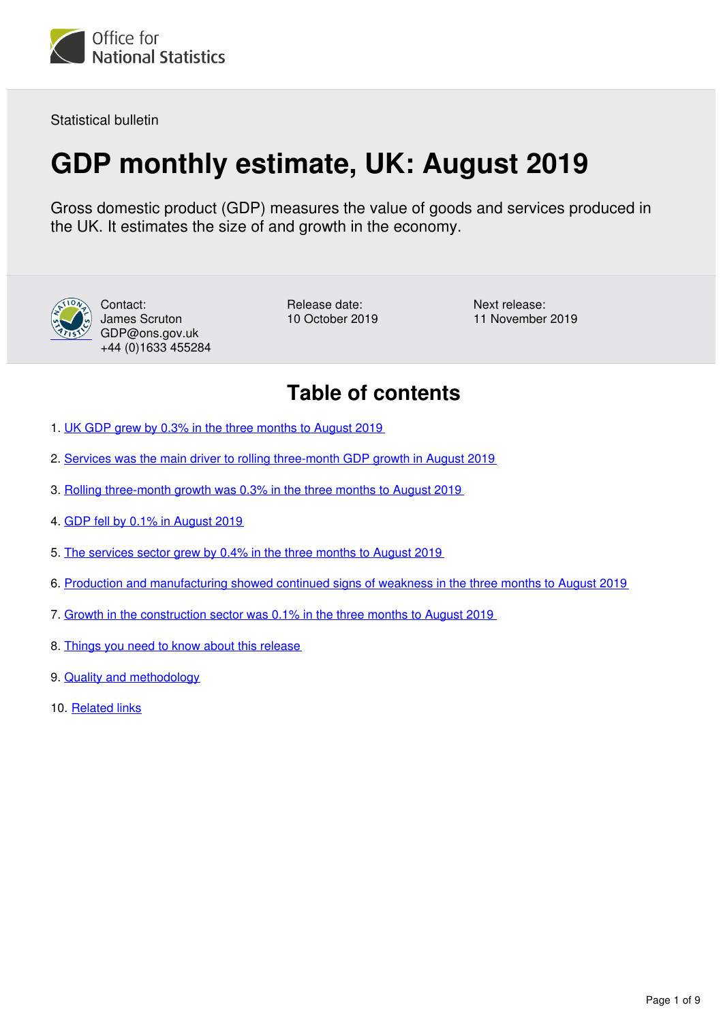

Statistical bulletin

# **GDP monthly estimate, UK: August 2019**

Gross domestic product (GDP) measures the value of goods and services produced in the UK. It estimates the size of and growth in the economy.



Contact: James Scruton GDP@ons.gov.uk +44 (0)1633 455284

Release date: 10 October 2019 Next release: 11 November 2019

# **Table of contents**

- 1. [UK GDP grew by 0.3% in the three months to August 2019](#page-1-0)
- 2. [Services was the main driver to rolling three-month GDP growth in August 2019](#page-2-0)
- 3. [Rolling three-month growth was 0.3% in the three months to August 2019](#page-3-0)
- 4. [GDP fell by 0.1% in August 2019](#page-4-0)
- 5. [The services sector grew by 0.4% in the three months to August 2019](#page-5-0)
- 6. [Production and manufacturing showed continued signs of weakness in the three months to August 2019](#page-6-0)
- 7. [Growth in the construction sector was 0.1% in the three months to August 2019](#page-7-0)
- 8. [Things you need to know about this release](#page-8-0)
- 9. [Quality and methodology](#page-8-1)
- 10. [Related links](#page-8-2)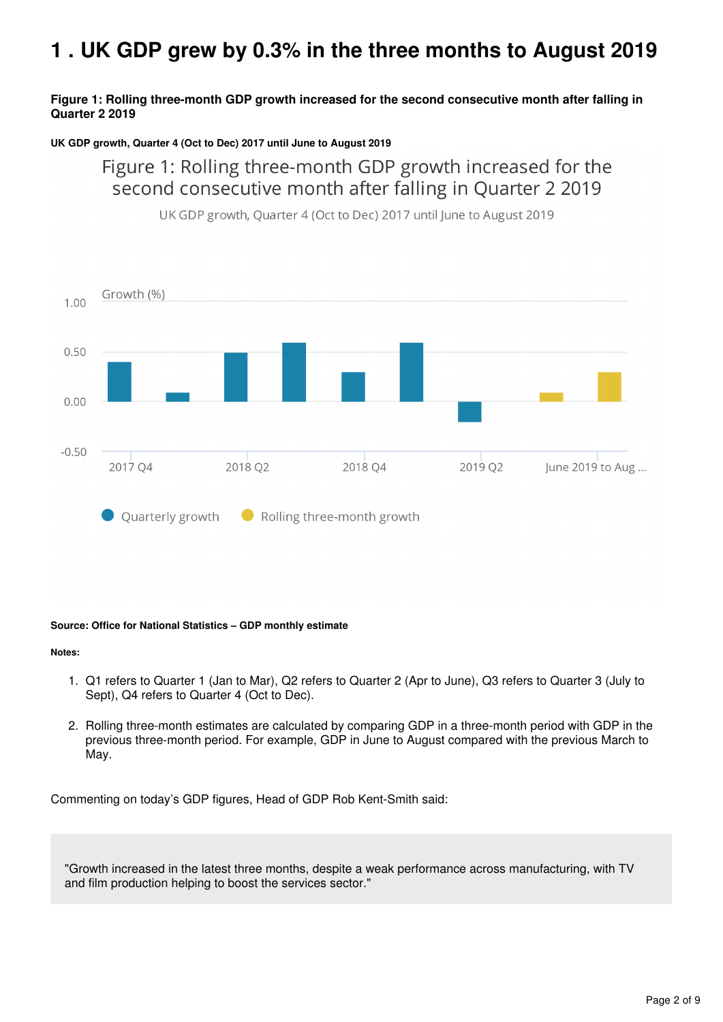# <span id="page-1-0"></span>**1 . UK GDP grew by 0.3% in the three months to August 2019**

## **Figure 1: Rolling three-month GDP growth increased for the second consecutive month after falling in Quarter 2 2019**

#### **UK GDP growth, Quarter 4 (Oct to Dec) 2017 until June to August 2019**

# Figure 1: Rolling three-month GDP growth increased for the second consecutive month after falling in Quarter 2 2019



UK GDP growth, Quarter 4 (Oct to Dec) 2017 until June to August 2019

#### **Source: Office for National Statistics – GDP monthly estimate**

#### **Notes:**

- 1. Q1 refers to Quarter 1 (Jan to Mar), Q2 refers to Quarter 2 (Apr to June), Q3 refers to Quarter 3 (July to Sept), Q4 refers to Quarter 4 (Oct to Dec).
- 2. Rolling three-month estimates are calculated by comparing GDP in a three-month period with GDP in the previous three-month period. For example, GDP in June to August compared with the previous March to May.

Commenting on today's GDP figures, Head of GDP Rob Kent-Smith said:

"Growth increased in the latest three months, despite a weak performance across manufacturing, with TV and film production helping to boost the services sector."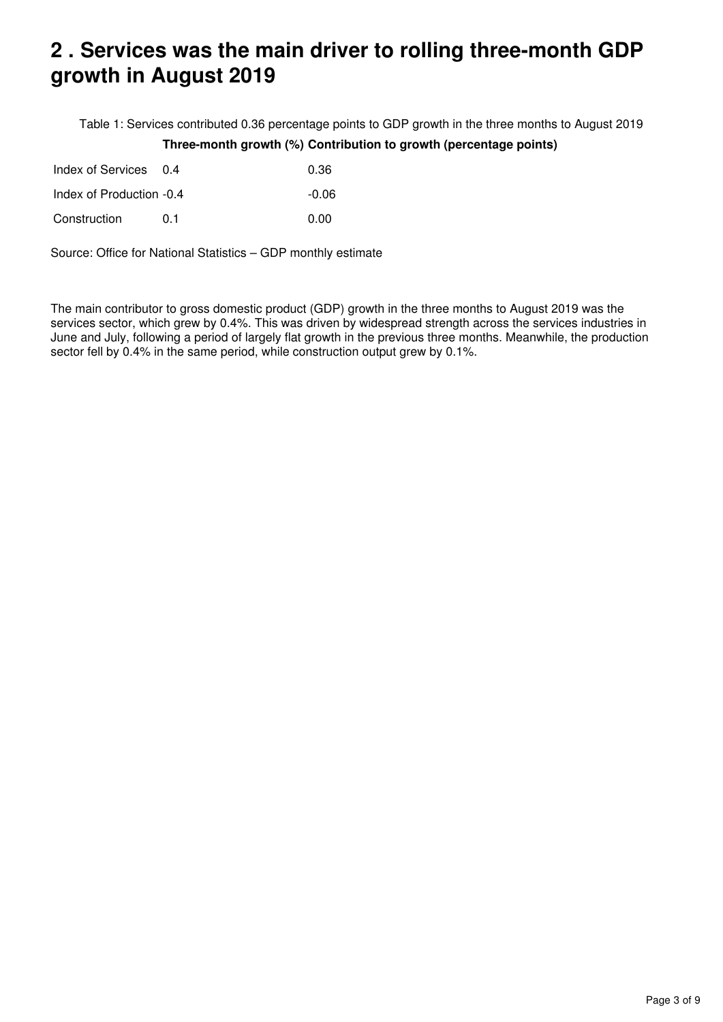# <span id="page-2-0"></span>**2 . Services was the main driver to rolling three-month GDP growth in August 2019**

Table 1: Services contributed 0.36 percentage points to GDP growth in the three months to August 2019 **Three-month growth (%) Contribution to growth (percentage points)**

| Index of Services 0.4    |     | 0.36  |
|--------------------------|-----|-------|
| Index of Production -0.4 |     | -0.06 |
| Construction             | O 1 | 0.00  |

Source: Office for National Statistics – GDP monthly estimate

The main contributor to gross domestic product (GDP) growth in the three months to August 2019 was the services sector, which grew by 0.4%. This was driven by widespread strength across the services industries in June and July, following a period of largely flat growth in the previous three months. Meanwhile, the production sector fell by 0.4% in the same period, while construction output grew by 0.1%.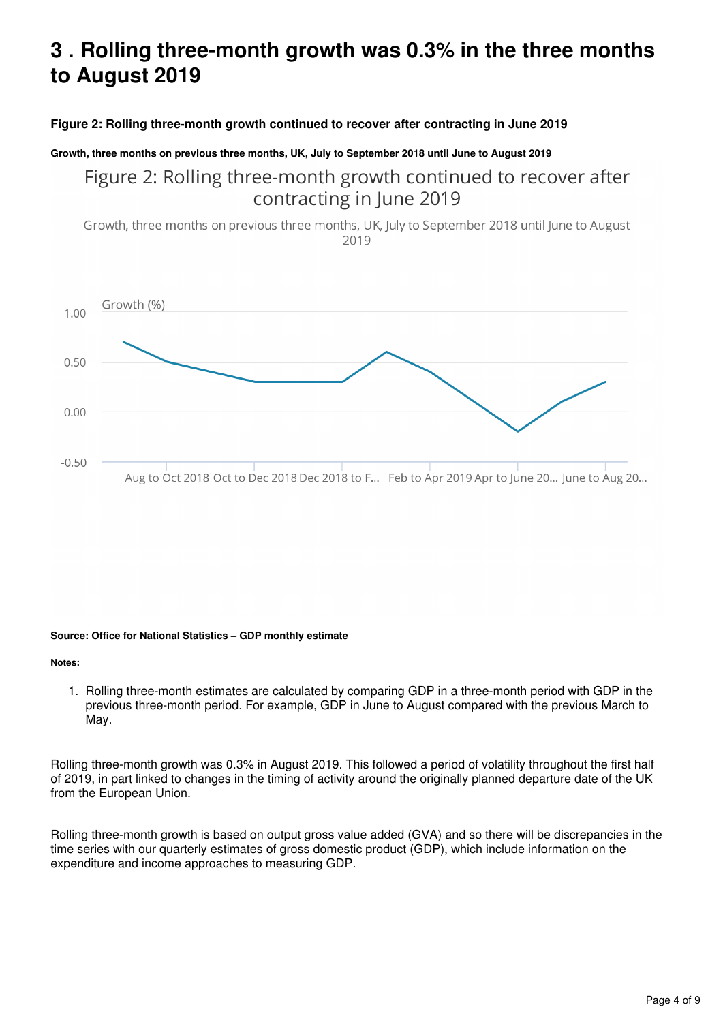# <span id="page-3-0"></span>**3 . Rolling three-month growth was 0.3% in the three months to August 2019**

## **Figure 2: Rolling three-month growth continued to recover after contracting in June 2019**

#### **Growth, three months on previous three months, UK, July to September 2018 until June to August 2019**

Figure 2: Rolling three-month growth continued to recover after contracting in June 2019

Growth, three months on previous three months, UK, July to September 2018 until June to August 2019



#### **Source: Office for National Statistics – GDP monthly estimate**

#### **Notes:**

1. Rolling three-month estimates are calculated by comparing GDP in a three-month period with GDP in the previous three-month period. For example, GDP in June to August compared with the previous March to May.

Rolling three-month growth was 0.3% in August 2019. This followed a period of volatility throughout the first half of 2019, in part linked to changes in the timing of activity around the originally planned departure date of the UK from the European Union.

Rolling three-month growth is based on output gross value added (GVA) and so there will be discrepancies in the time series with our quarterly estimates of gross domestic product (GDP), which include information on the expenditure and income approaches to measuring GDP.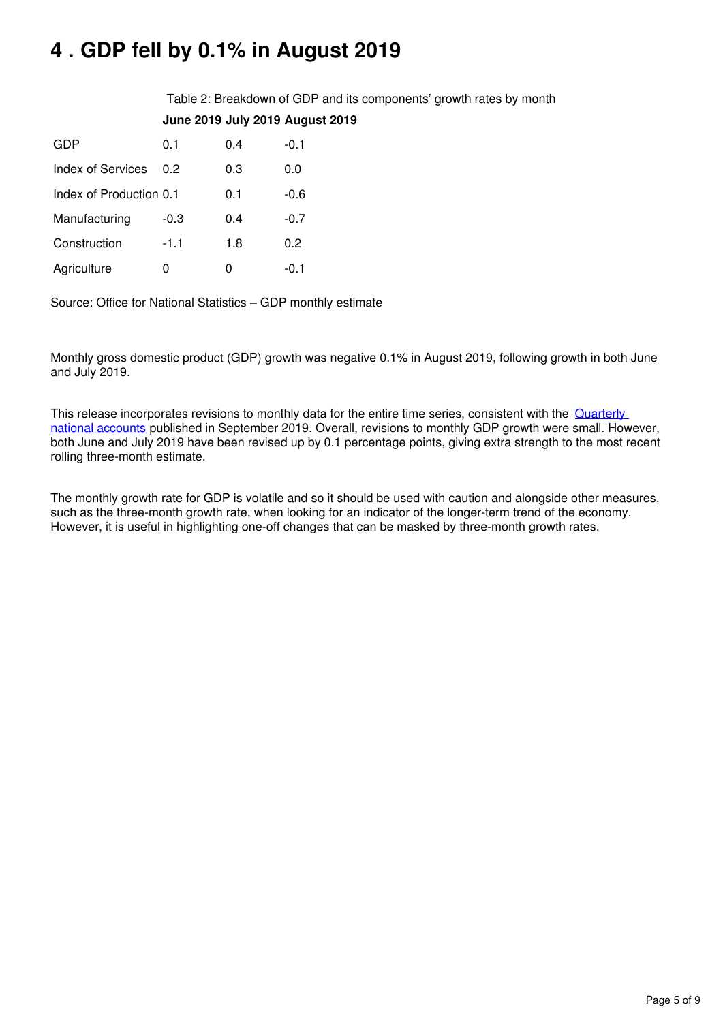# <span id="page-4-0"></span>**4 . GDP fell by 0.1% in August 2019**

Table 2: Breakdown of GDP and its components' growth rates by month **June 2019 July 2019 August 2019**

| GDP                     | 0.1    | 0.4 | $-0.1$ |
|-------------------------|--------|-----|--------|
| Index of Services       | 0 2    | 0.3 | 0.0    |
| Index of Production 0.1 |        | 0.1 | -0.6   |
| Manufacturing           | $-0.3$ | 0.4 | $-0.7$ |
| Construction            | $-1.1$ | 1.8 | 0.2    |
| Agriculture             |        | O   | -0.1   |

Source: Office for National Statistics – GDP monthly estimate

Monthly gross domestic product (GDP) growth was negative 0.1% in August 2019, following growth in both June and July 2019.

This release incorporates revisions to monthly data for the entire time series, consistent with the **Quarterly** [national accounts](https://www.ons.gov.uk/economy/grossdomesticproductgdp/bulletins/quarterlynationalaccounts/apriltojune2019) published in September 2019. Overall, revisions to monthly GDP growth were small. However, both June and July 2019 have been revised up by 0.1 percentage points, giving extra strength to the most recent rolling three-month estimate.

The monthly growth rate for GDP is volatile and so it should be used with caution and alongside other measures, such as the three-month growth rate, when looking for an indicator of the longer-term trend of the economy. However, it is useful in highlighting one-off changes that can be masked by three-month growth rates.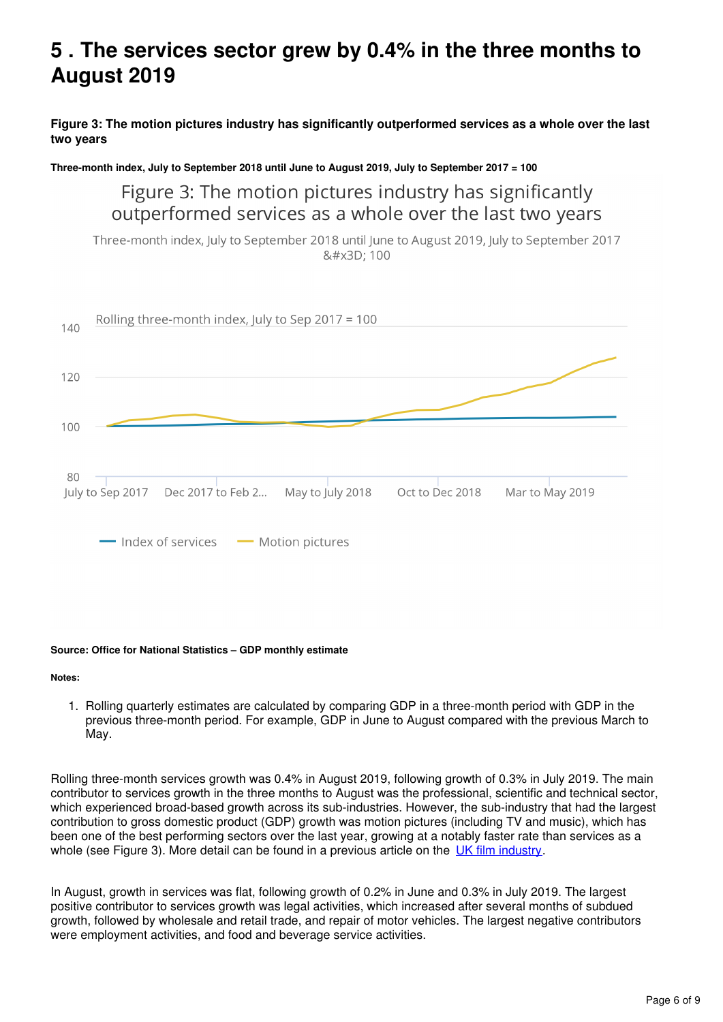# <span id="page-5-0"></span>**5 . The services sector grew by 0.4% in the three months to August 2019**

**Figure 3: The motion pictures industry has significantly outperformed services as a whole over the last two years**

**Three-month index, July to September 2018 until June to August 2019, July to September 2017 = 100**

# Figure 3: The motion pictures industry has significantly outperformed services as a whole over the last two years

Three-month index, July to September 2018 until June to August 2019, July to September 2017 &#x3D: 100



#### **Source: Office for National Statistics – GDP monthly estimate**

**Notes:**

1. Rolling quarterly estimates are calculated by comparing GDP in a three-month period with GDP in the previous three-month period. For example, GDP in June to August compared with the previous March to May.

Rolling three-month services growth was 0.4% in August 2019, following growth of 0.3% in July 2019. The main contributor to services growth in the three months to August was the professional, scientific and technical sector, which experienced broad-based growth across its sub-industries. However, the sub-industry that had the largest contribution to gross domestic product (GDP) growth was motion pictures (including TV and music), which has been one of the best performing sectors over the last year, growing at a notably faster rate than services as a whole (see Figure 3)[.](https://www.ons.gov.uk/economy/grossdomesticproductgdp/articles/paddingtonstarwarsandtheriseoftheukfilmindustry/2017-12-14) More detail can be found in a previous article on the UK film industry.

In August, growth in services was flat, following growth of 0.2% in June and 0.3% in July 2019. The largest positive contributor to services growth was legal activities, which increased after several months of subdued growth, followed by wholesale and retail trade, and repair of motor vehicles. The largest negative contributors were employment activities, and food and beverage service activities.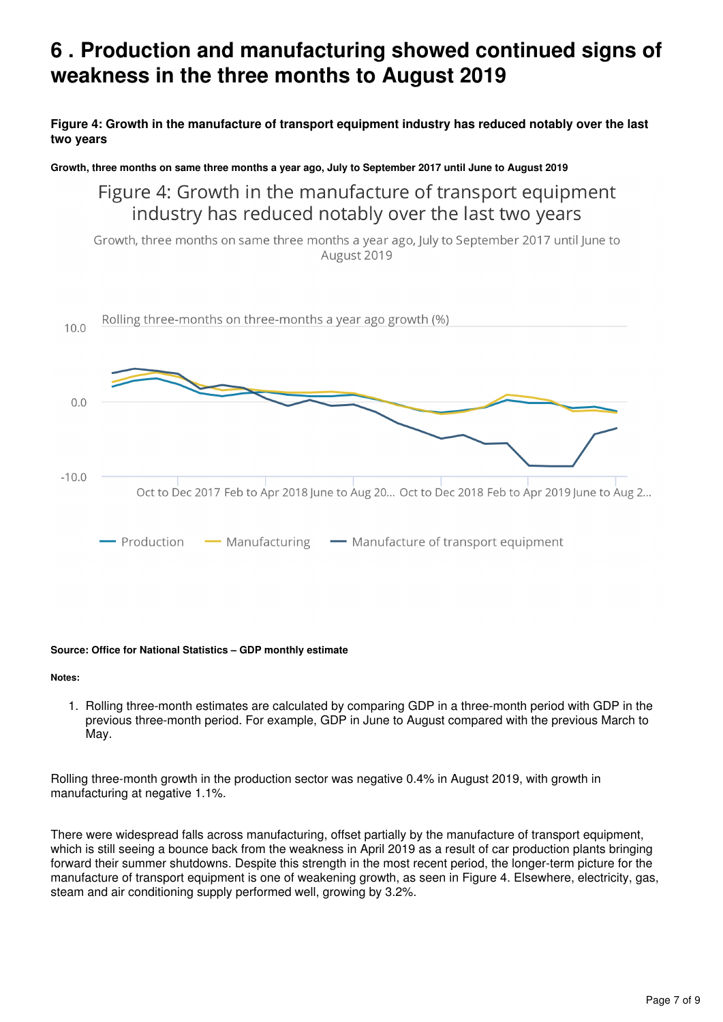# <span id="page-6-0"></span>**6 . Production and manufacturing showed continued signs of weakness in the three months to August 2019**

**Figure 4: Growth in the manufacture of transport equipment industry has reduced notably over the last two years**

**Growth, three months on same three months a year ago, July to September 2017 until June to August 2019**

Figure 4: Growth in the manufacture of transport equipment industry has reduced notably over the last two years

Growth, three months on same three months a year ago, July to September 2017 until June to August 2019



#### **Source: Office for National Statistics – GDP monthly estimate**

**Notes:**

1. Rolling three-month estimates are calculated by comparing GDP in a three-month period with GDP in the previous three-month period. For example, GDP in June to August compared with the previous March to May.

Rolling three-month growth in the production sector was negative 0.4% in August 2019, with growth in manufacturing at negative 1.1%.

There were widespread falls across manufacturing, offset partially by the manufacture of transport equipment, which is still seeing a bounce back from the weakness in April 2019 as a result of car production plants bringing forward their summer shutdowns. Despite this strength in the most recent period, the longer-term picture for the manufacture of transport equipment is one of weakening growth, as seen in Figure 4. Elsewhere, electricity, gas, steam and air conditioning supply performed well, growing by 3.2%.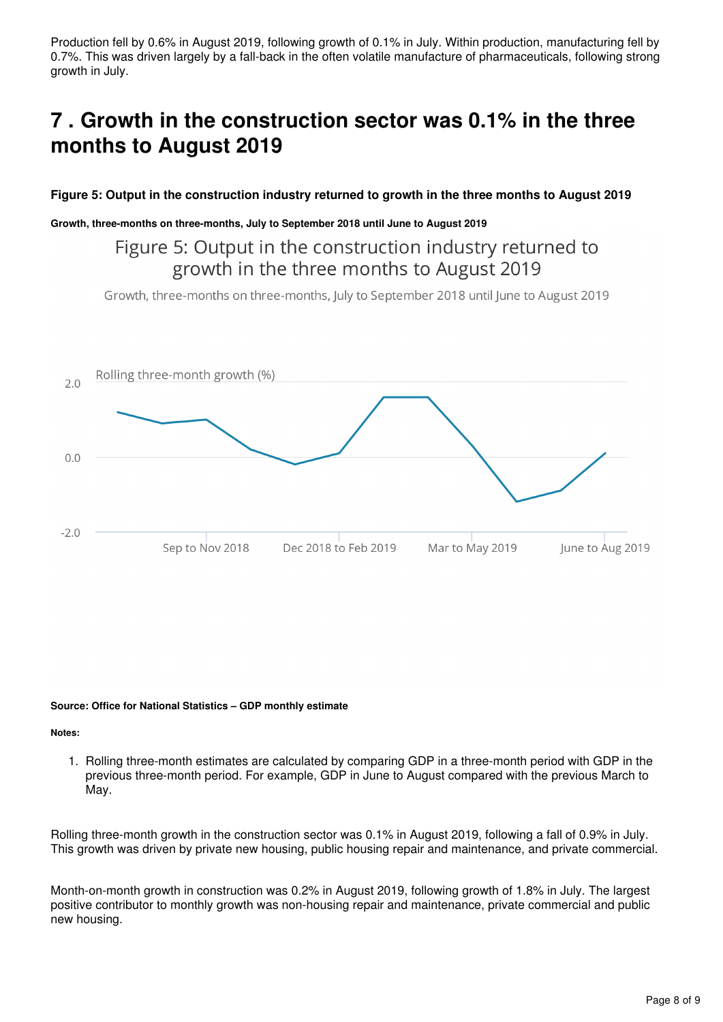Production fell by 0.6% in August 2019, following growth of 0.1% in July. Within production, manufacturing fell by 0.7%. This was driven largely by a fall-back in the often volatile manufacture of pharmaceuticals, following strong growth in July.

# <span id="page-7-0"></span>**7 . Growth in the construction sector was 0.1% in the three months to August 2019**

## **Figure 5: Output in the construction industry returned to growth in the three months to August 2019**

#### **Growth, three-months on three-months, July to September 2018 until June to August 2019**

# Figure 5: Output in the construction industry returned to growth in the three months to August 2019

Growth, three-months on three-months, July to September 2018 until June to August 2019



#### **Source: Office for National Statistics – GDP monthly estimate**

#### **Notes:**

1. Rolling three-month estimates are calculated by comparing GDP in a three-month period with GDP in the previous three-month period. For example, GDP in June to August compared with the previous March to May.

Rolling three-month growth in the construction sector was 0.1% in August 2019, following a fall of 0.9% in July. This growth was driven by private new housing, public housing repair and maintenance, and private commercial.

Month-on-month growth in construction was 0.2% in August 2019, following growth of 1.8% in July. The largest positive contributor to monthly growth was non-housing repair and maintenance, private commercial and public new housing.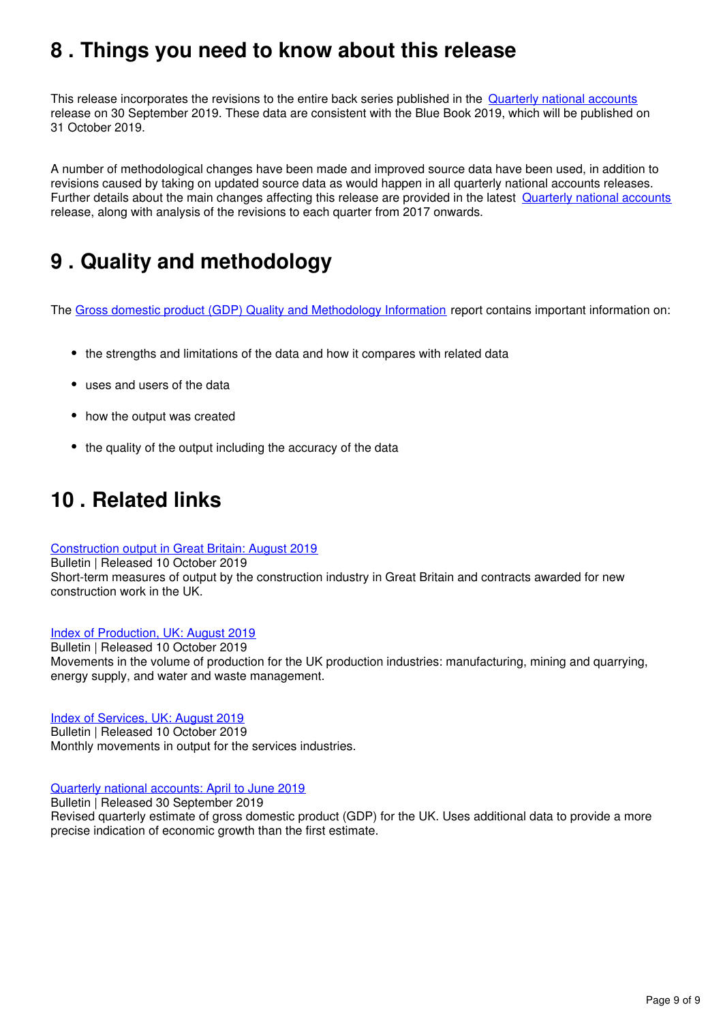# <span id="page-8-0"></span>**8 . Things you need to know about this release**

This release incorporates the revisions to the entire back series published in the [Quarterly national accounts](https://www.ons.gov.uk/economy/grossdomesticproductgdp/bulletins/quarterlynationalaccounts/apriltojune2019/relateddata) release on 30 September 2019. These data are consistent with the Blue Book 2019, which will be published on 31 October 2019.

A number of methodological changes have been made and improved source data have been used, in addition to revisions caused by taking on updated source data as would happen in all quarterly national accounts releases. Further details about the main changes affecting this release are provided in the latest [Quarterly national accounts](https://www.ons.gov.uk/economy/grossdomesticproductgdp/bulletins/quarterlynationalaccounts/apriltojune2019#revisions-to-gdp) release, along with analysis of the revisions to each quarter from 2017 onwards.

# <span id="page-8-1"></span>**9 . Quality and methodology**

The [Gross domestic product \(GDP\) Quality and Methodology Information](https://www.ons.gov.uk/economy/grossdomesticproductgdp/methodologies/grossdomesticproductgdpqmi) report contains important information on:

- the strengths and limitations of the data and how it compares with related data
- uses and users of the data
- how the output was created
- the quality of the output including the accuracy of the data

# <span id="page-8-2"></span>**10 . Related links**

### [Construction output in Great Britain: August 2019](https://www.ons.gov.uk/businessindustryandtrade/constructionindustry/bulletins/constructionoutputingreatbritain/august2019)

Bulletin | Released 10 October 2019 Short-term measures of output by the construction industry in Great Britain and contracts awarded for new construction work in the UK.

### [Index of Production, UK: August 2019](https://www.ons.gov.uk/economy/economicoutputandproductivity/output/bulletins/indexofproduction/august2019)

Bulletin | Released 10 October 2019 Movements in the volume of production for the UK production industries: manufacturing, mining and quarrying, energy supply, and water and waste management.

### [Index of Services, UK: August 2019](https://www.ons.gov.uk/economy/economicoutputandproductivity/output/bulletins/indexofservices/august2019)

Bulletin | Released 10 October 2019 Monthly movements in output for the services industries.

### [Quarterly national accounts: April to June 2019](https://www.ons.gov.uk/economy/grossdomesticproductgdp/bulletins/quarterlynationalaccounts/apriltojune2019)

Bulletin | Released 30 September 2019

Revised quarterly estimate of gross domestic product (GDP) for the UK. Uses additional data to provide a more precise indication of economic growth than the first estimate.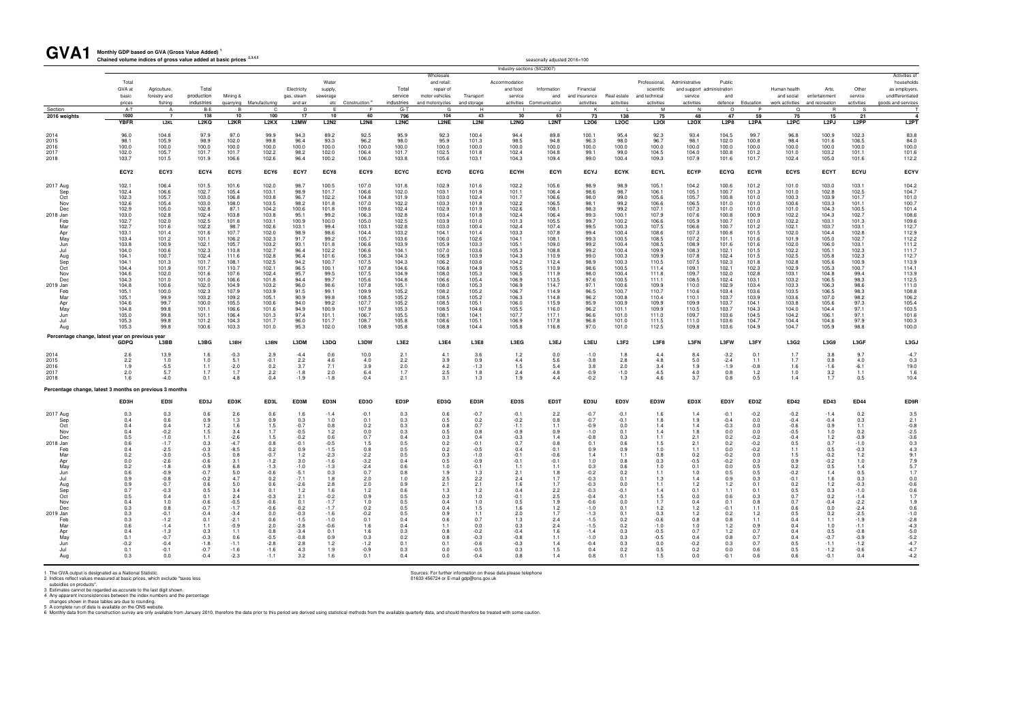| GVA1                                                                                                                                                                                       | Monthly GDP based on GVA (Gross Value Added)<br>Chained volume indices of gross value added at basic prices <sup>2,3,4,5</sup>                                                                                                |                                                                                                                                                                                                                                   |                                                                                                                                                                                                                               |                                                                                                                                                                                                                             |                                                                                                                                                                                                                               |                                                                                                                                                                                                                         |                                                                                                                                                                                                                     |                                                                                                                                                                                                                               |                                                                                                                                                                                                                               |                                                                                                                                                                                                                               |                                                                                                                                                                                                                               |                                                                                                                                                                                                                               | seasonally adjusted 2016=100                                                                                                                                                                                                  |                                                                                                                                                                                                                                   |                                                                                                                                                                                                                          |                                                                                                                                                                                                                               |                                                                                                                                                                                                                               |                                                                                                                                                                                                                               |                                                                                                                                                                                                                               |                                                                                                                                                                                                                               |                                                                                                                                                                                                                               |                                                                                                                                                                                                                          |                                                                                                                                                                                                                                                               |
|--------------------------------------------------------------------------------------------------------------------------------------------------------------------------------------------|-------------------------------------------------------------------------------------------------------------------------------------------------------------------------------------------------------------------------------|-----------------------------------------------------------------------------------------------------------------------------------------------------------------------------------------------------------------------------------|-------------------------------------------------------------------------------------------------------------------------------------------------------------------------------------------------------------------------------|-----------------------------------------------------------------------------------------------------------------------------------------------------------------------------------------------------------------------------|-------------------------------------------------------------------------------------------------------------------------------------------------------------------------------------------------------------------------------|-------------------------------------------------------------------------------------------------------------------------------------------------------------------------------------------------------------------------|---------------------------------------------------------------------------------------------------------------------------------------------------------------------------------------------------------------------|-------------------------------------------------------------------------------------------------------------------------------------------------------------------------------------------------------------------------------|-------------------------------------------------------------------------------------------------------------------------------------------------------------------------------------------------------------------------------|-------------------------------------------------------------------------------------------------------------------------------------------------------------------------------------------------------------------------------|-------------------------------------------------------------------------------------------------------------------------------------------------------------------------------------------------------------------------------|-------------------------------------------------------------------------------------------------------------------------------------------------------------------------------------------------------------------------------|-------------------------------------------------------------------------------------------------------------------------------------------------------------------------------------------------------------------------------|-----------------------------------------------------------------------------------------------------------------------------------------------------------------------------------------------------------------------------------|--------------------------------------------------------------------------------------------------------------------------------------------------------------------------------------------------------------------------|-------------------------------------------------------------------------------------------------------------------------------------------------------------------------------------------------------------------------------|-------------------------------------------------------------------------------------------------------------------------------------------------------------------------------------------------------------------------------|-------------------------------------------------------------------------------------------------------------------------------------------------------------------------------------------------------------------------------|-------------------------------------------------------------------------------------------------------------------------------------------------------------------------------------------------------------------------------|-------------------------------------------------------------------------------------------------------------------------------------------------------------------------------------------------------------------------------|-------------------------------------------------------------------------------------------------------------------------------------------------------------------------------------------------------------------------------|--------------------------------------------------------------------------------------------------------------------------------------------------------------------------------------------------------------------------|---------------------------------------------------------------------------------------------------------------------------------------------------------------------------------------------------------------------------------------------------------------|
|                                                                                                                                                                                            |                                                                                                                                                                                                                               |                                                                                                                                                                                                                                   |                                                                                                                                                                                                                               |                                                                                                                                                                                                                             |                                                                                                                                                                                                                               |                                                                                                                                                                                                                         |                                                                                                                                                                                                                     |                                                                                                                                                                                                                               |                                                                                                                                                                                                                               |                                                                                                                                                                                                                               |                                                                                                                                                                                                                               | Industry sections (SIC2007                                                                                                                                                                                                    |                                                                                                                                                                                                                               |                                                                                                                                                                                                                                   |                                                                                                                                                                                                                          |                                                                                                                                                                                                                               |                                                                                                                                                                                                                               |                                                                                                                                                                                                                               |                                                                                                                                                                                                                               |                                                                                                                                                                                                                               |                                                                                                                                                                                                                               |                                                                                                                                                                                                                          |                                                                                                                                                                                                                                                               |
|                                                                                                                                                                                            | Total<br>GVA at<br>basic<br>prices                                                                                                                                                                                            | Agriculture,<br>forestry and<br>fishing                                                                                                                                                                                           | Total<br>production<br>industries                                                                                                                                                                                             | Mining &                                                                                                                                                                                                                    | quarrying Manufacturing                                                                                                                                                                                                       | Electricity<br>gas, steam<br>and air                                                                                                                                                                                    | Water<br>supply.<br>sewerage<br>etc                                                                                                                                                                                 | Construction <sup>6</sup>                                                                                                                                                                                                     | Total<br>service<br>industries                                                                                                                                                                                                | Wholesale<br>and retail:<br>repair of<br>motor vehicles<br>and motorcycles                                                                                                                                                    | Transport<br>and storage                                                                                                                                                                                                      | Accommodation<br>and food<br>service<br>activities                                                                                                                                                                            | Information<br>and<br>Communication                                                                                                                                                                                           | Financial<br>and insurance<br>activities                                                                                                                                                                                          | Real estate<br>activities                                                                                                                                                                                                | Professional,<br>scientific<br>and technical<br>activities                                                                                                                                                                    | Administrative<br>and support administration<br>service<br>activities                                                                                                                                                         | Public<br>and<br>defence                                                                                                                                                                                                      | Education                                                                                                                                                                                                                     | Human health<br>and social<br>work activities                                                                                                                                                                                 | Arts,<br>entertainment<br>and recreation                                                                                                                                                                                      | Other<br>service<br>activities                                                                                                                                                                                           | Activities of<br>households<br>as employers.<br>undifferentiated<br>goods and services                                                                                                                                                                        |
| Section                                                                                                                                                                                    | A-T<br>1000                                                                                                                                                                                                                   | A                                                                                                                                                                                                                                 | B-E                                                                                                                                                                                                                           | <b>B</b>                                                                                                                                                                                                                    | C.                                                                                                                                                                                                                            | D.<br>17                                                                                                                                                                                                                | F.<br>10                                                                                                                                                                                                            | - F<br>60                                                                                                                                                                                                                     | G-T<br>796                                                                                                                                                                                                                    | G<br>104                                                                                                                                                                                                                      | H<br>43                                                                                                                                                                                                                       |                                                                                                                                                                                                                               | 63                                                                                                                                                                                                                            | K                                                                                                                                                                                                                                 |                                                                                                                                                                                                                          | <b>M</b>                                                                                                                                                                                                                      | - N<br>48                                                                                                                                                                                                                     | $\circ$<br>47                                                                                                                                                                                                                 | P                                                                                                                                                                                                                             | $\Omega$                                                                                                                                                                                                                      | <b>R</b>                                                                                                                                                                                                                      | S.<br>21                                                                                                                                                                                                                 | $\overline{\phantom{a}}$                                                                                                                                                                                                                                      |
| 2016 weights                                                                                                                                                                               | <b>YBFR</b>                                                                                                                                                                                                                   | $\overline{7}$<br>L2KL                                                                                                                                                                                                            | 138<br>L2KQ                                                                                                                                                                                                                   | 10<br>L <sub>2</sub> KR                                                                                                                                                                                                     | 100<br>L <sub>2</sub> KX                                                                                                                                                                                                      | <b>L2MW</b>                                                                                                                                                                                                             | <b>L2N2</b>                                                                                                                                                                                                         | <b>L2N8</b>                                                                                                                                                                                                                   | L <sub>2</sub> NC                                                                                                                                                                                                             | <b>L2NE</b>                                                                                                                                                                                                                   | L <sub>2NI</sub>                                                                                                                                                                                                              | 30<br>L <sub>2</sub> NQ                                                                                                                                                                                                       | L <sub>2</sub> NT                                                                                                                                                                                                             | 73<br>L2O6                                                                                                                                                                                                                        | 138<br><b>L2OC</b>                                                                                                                                                                                                       | 75<br><b>L2OI</b>                                                                                                                                                                                                             | <b>L2OX</b>                                                                                                                                                                                                                   | L2P8                                                                                                                                                                                                                          | 59<br>L <sub>2</sub> PA                                                                                                                                                                                                       | 75<br>L <sub>2</sub> PC                                                                                                                                                                                                       | 15<br>L <sub>2</sub> PJ                                                                                                                                                                                                       | L <sub>2</sub> PP                                                                                                                                                                                                        | L <sub>2</sub> PT                                                                                                                                                                                                                                             |
| 2014<br>2015<br>2016<br>2017<br>2018                                                                                                                                                       | 96.0<br>98.1<br>100.0<br>102.0<br>103.7                                                                                                                                                                                       | 104.8<br>105.9<br>100.0<br>105.7<br>101.5                                                                                                                                                                                         | 97.9<br>98.9<br>100.0<br>101.7<br>101.9                                                                                                                                                                                       | 97.0<br>102.0<br>100.0<br>101.7<br>106.6                                                                                                                                                                                    | 99.9<br>99.8<br>100.0<br>102.2<br>102.6                                                                                                                                                                                       | 94.3<br>96.4<br>100.0<br>98.2<br>96.4                                                                                                                                                                                   | 89.2<br>93.3<br>100.0<br>102.0<br>100.2                                                                                                                                                                             | 92.5<br>96.2<br>100.0<br>106.4<br>106.0                                                                                                                                                                                       | 95.9<br>98.0<br>100.0<br>101.7<br>103.8                                                                                                                                                                                       | 92.3<br>95.9<br>100.0<br>102.5<br>105.6                                                                                                                                                                                       | 100.4<br>101.3<br>100.0<br>101.8<br>103.1                                                                                                                                                                                     | 94.4<br>98.5<br>100.0<br>102.4<br>104.3                                                                                                                                                                                       | 89.8<br>94.8<br>100.0<br>104.8<br>109.4                                                                                                                                                                                       | 100.1<br>96.3<br>100.0<br>99.1<br>99.0                                                                                                                                                                                            | 95.4<br>98.0<br>100.0<br>99.0<br>100.4                                                                                                                                                                                   | 92.3<br>96.7<br>100.0<br>104.5<br>109.3                                                                                                                                                                                       | 93.4<br>98.1<br>100.0<br>104.0<br>107.9                                                                                                                                                                                       | 104.5<br>102.0<br>100.0<br>100.8<br>101.6                                                                                                                                                                                     | 99.7<br>100.8<br>100.0<br>101.2<br>101.7                                                                                                                                                                                      | 96.8<br>98.4<br>100.0<br>101.0<br>102.4                                                                                                                                                                                       | 100.9<br>101.6<br>100.0<br>103.2<br>105.0                                                                                                                                                                                     | 102.3<br>106.5<br>100.0<br>101.1<br>101.6                                                                                                                                                                                | 83.8<br>84.0<br>100.0<br>101.6<br>112.2                                                                                                                                                                                                                       |
|                                                                                                                                                                                            | ECY <sub>2</sub>                                                                                                                                                                                                              | ECY3                                                                                                                                                                                                                              | ECY4                                                                                                                                                                                                                          | ECY <sub>5</sub>                                                                                                                                                                                                            | ECY6                                                                                                                                                                                                                          | ECY7                                                                                                                                                                                                                    | ECY8                                                                                                                                                                                                                | ECY9                                                                                                                                                                                                                          | <b>ECYC</b>                                                                                                                                                                                                                   | <b>ECYD</b>                                                                                                                                                                                                                   | <b>ECYG</b>                                                                                                                                                                                                                   | <b>ECYH</b>                                                                                                                                                                                                                   | <b>ECYI</b>                                                                                                                                                                                                                   | <b>ECYJ</b>                                                                                                                                                                                                                       | <b>ECYK</b>                                                                                                                                                                                                              | <b>ECYL</b>                                                                                                                                                                                                                   | <b>ECYP</b>                                                                                                                                                                                                                   | <b>ECYQ</b>                                                                                                                                                                                                                   | <b>ECYR</b>                                                                                                                                                                                                                   | <b>ECYS</b>                                                                                                                                                                                                                   | <b>ECYT</b>                                                                                                                                                                                                                   | <b>ECYU</b>                                                                                                                                                                                                              | ECYV                                                                                                                                                                                                                                                          |
| 2017 Aug<br>Sep<br>Oct<br>Nov<br>Dec<br>2018 Jan<br>Feb<br>Mar<br>Apr<br>May<br>Jun<br>Jul<br>Aug<br>Sep<br>Oct<br>Nov<br>Dec<br>2019 Jan<br>Feb<br>Mar<br>Apr<br>May<br>Jun<br>Jul<br>Aug | 102.1<br>102.4<br>102.3<br>102.6<br>102.9<br>103.0<br>102.7<br>102.7<br>103.1<br>103.4<br>103.8<br>104.0<br>104.1<br>104.1<br>104.4<br>104.6<br>104.3<br>104.8<br>105.1<br>105.1<br>104.6<br>104.8<br>105.0<br>105.3<br>105.3 | 106.4<br>106.6<br>105.7<br>105.4<br>105.0<br>102.8<br>102.0<br>101.6<br>101.4<br>101.2<br>100.9<br>100.6<br>100.7<br>101.3<br>101.9<br>102.0<br>101.0<br>100.6<br>100.0<br>99.9<br>99.7<br>99.8<br>99.8<br>99.8<br>99.8           | 101.5<br>102.7<br>103.0<br>103.0<br>102.8<br>102.4<br>102.5<br>102.2<br>101.6<br>101.7<br>102.7<br>102.3<br>102.4<br>101.7<br>101.7<br>101.6<br>101.0<br>102.0<br>102.3<br>103.2<br>100.0<br>101.1<br>101.1<br>101.2<br>100.6 | 101.6<br>105.4<br>106.8<br>108.0<br>87.1<br>103.8<br>101.8<br>98.7<br>107.7<br>106.2<br>105.7<br>110.8<br>111.6<br>108.1<br>110.7<br>107.6<br>106.6<br>104.9<br>107.9<br>109.2<br>105.5<br>106.6<br>106.4<br>104.3<br>103.3 | 102.0<br>103.1<br>103.8<br>103.5<br>104.2<br>103.8<br>103.1<br>102.6<br>102.0<br>102.3<br>103.2<br>102.7<br>102.8<br>102.5<br>102.1<br>102.4<br>101.8<br>103.2<br>103.9<br>105.1<br>100.6<br>101.6<br>101.3<br>101.7<br>101.0 | 98.<br>98.9<br>96.7<br>98.2<br>100.6<br>95.1<br>100.9<br>103.1<br>98.9<br>91.7<br>93.1<br>96.4<br>96.4<br>94.2<br>96.5<br>95.7<br>94.4<br>96.0<br>91.5<br>90.9<br>94.0<br>94.9<br>97.4<br>96.0<br>95.3                  | 100.5<br>101.7<br>102.2<br>101.8<br>101.8<br>99.2<br>100.0<br>99.4<br>98.6<br>99.2<br>101.8<br>102.2<br>101.6<br>100.7<br>100.1<br>99.5<br>99.7<br>98.6<br>99.1<br>99.8<br>99.2<br>100.9<br>101.1<br>101.7<br>102.0 | 107.0<br>106.6<br>104.8<br>107.0<br>109.6<br>106.3<br>105.0<br>103.1<br>104.4<br>105.7<br>106.6<br>106.6<br>106.3<br>107.5<br>107.8<br>107.5<br>105.6<br>107.8<br>109.9<br>108.5<br>107.7<br>107.9<br>106.7<br>108.7<br>108.9 | 101.8<br>102.0<br>101.9<br>102.2<br>102.4<br>102.8<br>102.5<br>102.8<br>103.2<br>103.6<br>103.9<br>104.1<br>104.3<br>104.3<br>104.6<br>104.9<br>104.8<br>105.1<br>105.2<br>105.2<br>105.2<br>105.3<br>105.5<br>105.8<br>105.8 | 102.9<br>103.1<br>103.0<br>103.3<br>102.9<br>103.4<br>103.9<br>103.0<br>104.1<br>106.0<br>105.9<br>107.0<br>106.9<br>106.2<br>106.8<br>108.0<br>106.6<br>108.0<br>108.2<br>108.5<br>108.5<br>108.5<br>108.1<br>108.6<br>108.8 | 101.6<br>101.9<br>102.4<br>101.8<br>101.9<br>101.8<br>101.0<br>100.4<br>101.4<br>102.6<br>103.3<br>103.6<br>103.9<br>103.6<br>104.9<br>105.3<br>105.4<br>105.3<br>105.2<br>105.2<br>105.1<br>104.6<br>104.1<br>105.1<br>104.4 | 102.2<br>101.1<br>101.7<br>102.2<br>102.6<br>102.4<br>101.3<br>102.4<br>103.3<br>104.1<br>105.1<br>105.3<br>104.3<br>104.2<br>105.5<br>106.5<br>106.9<br>106.9<br>106.7<br>106.3<br>106.0<br>105.5<br>107.7<br>106.9<br>105.8 | 105.6<br>106.4<br>106.6<br>106.5<br>108.1<br>106.4<br>105.5<br>107.4<br>107.8<br>108.1<br>109.0<br>108.8<br>110.9<br>112.4<br>110.9<br>111.9<br>113.5<br>114.7<br>114.9<br>114.8<br>115.9<br>116.0<br>117.1<br>117.8<br>116.8 | 98.9<br>98.6<br>98.0<br>98.1<br>98.3<br>99.3<br>99.7<br>99.5<br>99.4<br>99.3<br>99.2<br>99.2<br>99.0<br>98.9<br>98.6<br>98.0<br>97.6<br>97.1<br>96.5<br>96.2<br>95.9<br>96.2<br>96.6<br>96.8<br>97.0                              | 98.9<br>98.7<br>99.0<br>99.2<br>99.2<br>100.1<br>100.2<br>100.3<br>100.4<br>100.5<br>100.4<br>100.4<br>100.3<br>100.3<br>100.5<br>100.4<br>100.5<br>100.6<br>100.7<br>100.8<br>100.9<br>101.1<br>101.0<br>101.0<br>101.0 | 105.1<br>106.1<br>105.6<br>106.6<br>107.1<br>107.9<br>106.6<br>107.5<br>108.6<br>108.5<br>108.5<br>109.9<br>109.9<br>110.5<br>111.4<br>111.8<br>111.1<br>109.9<br>110.7<br>110.4<br>109.9<br>109.9<br>111.0<br>111.5<br>112.5 | 104.2<br>105.1<br>105.7<br>106.5<br>107.3<br>107.6<br>105.9<br>106.6<br>107.3<br>107.2<br>108.9<br>108.3<br>107.8<br>107.5<br>109.1<br>109.7<br>108.5<br>110.0<br>110.6<br>110.1<br>109.9<br>110.5<br>109.7<br>111.0<br>109.8 | 100.6<br>100.7<br>100.8<br>101.0<br>101.0<br>100.8<br>100.7<br>100.7<br>100.8<br>101.1<br>101.6<br>102.1<br>102.4<br>102.3<br>102.1<br>102.0<br>102.4<br>102.9<br>103.4<br>103.7<br>103.7<br>103.7<br>103.6<br>103.6<br>103.6 | 101.2<br>101.3<br>101.0<br>101.0<br>101.0<br>100.9<br>101.0<br>101.2<br>101.5<br>101.6<br>101.6<br>101.5<br>101.5<br>101.8<br>102.3<br>102.8<br>103.1<br>103.4<br>103.6<br>103.9<br>104.1<br>104.3<br>104.5<br>104.7<br>104.9 | 101.0<br>101.0<br>100.3<br>100.6<br>101.0<br>102.2<br>102.2<br>102.1<br>102.0<br>101.9<br>102.0<br>102.2<br>102.5<br>102.8<br>102.9<br>103.1<br>103.2<br>103.3<br>103.5<br>103.6<br>103.8<br>104.0<br>104.2<br>104.4<br>104.7 | 103.0<br>102.8<br>103.9<br>103.3<br>104.3<br>104.3<br>103.1<br>103.7<br>104.4<br>105.0<br>106.0<br>105.1<br>105.8<br>105.6<br>105.3<br>104.8<br>106.5<br>106.3<br>106.5<br>107.0<br>105.6<br>104.4<br>106.1<br>104.6<br>105.9 | 103.1<br>102.5<br>101.7<br>101.1<br>100.5<br>102.7<br>101.3<br>103.1<br>102.8<br>102.7<br>103.1<br>102.3<br>102.3<br>100.9<br>100.7<br>99.4<br>98.3<br>98.6<br>98.3<br>98.2<br>97.3<br>97.1<br>97.1<br>97.9<br>98.8      | 104.2<br>104.7<br>101.0<br>100.7<br>101.4<br>108.6<br>109.6<br>112.7<br>112.9<br>112.2<br>111.2<br>111.7<br>112.7<br>113.9<br>114.1<br>113.9<br>112.5<br>111.0<br>108.8<br>106.2<br>105.4<br>103.5<br>101.6<br>100.3<br>100.0                                 |
| Percentage change, latest year on previous year                                                                                                                                            | <b>GDPQ</b>                                                                                                                                                                                                                   | L3BB                                                                                                                                                                                                                              | L3BG                                                                                                                                                                                                                          | L3BH                                                                                                                                                                                                                        | L3BN                                                                                                                                                                                                                          | <b>L3DM</b>                                                                                                                                                                                                             | L3DQ                                                                                                                                                                                                                | L3DW                                                                                                                                                                                                                          | <b>L3E2</b>                                                                                                                                                                                                                   | L3E4                                                                                                                                                                                                                          | <b>L3E8</b>                                                                                                                                                                                                                   | L3EG                                                                                                                                                                                                                          | L3EJ                                                                                                                                                                                                                          | L3EU                                                                                                                                                                                                                              | <b>L3F2</b>                                                                                                                                                                                                              | <b>L3F8</b>                                                                                                                                                                                                                   | <b>L3FN</b>                                                                                                                                                                                                                   | L3FW                                                                                                                                                                                                                          | L3FY                                                                                                                                                                                                                          | L3G2                                                                                                                                                                                                                          | L3G9                                                                                                                                                                                                                          | L3GF                                                                                                                                                                                                                     | L3GJ                                                                                                                                                                                                                                                          |
| 2014<br>2015<br>2016<br>2017<br>2018                                                                                                                                                       | 2.6<br>2.2<br>1.9<br>2.0<br>1.6                                                                                                                                                                                               | 13.9<br>1.0<br>$-5.5$<br>5.7<br>-4.0                                                                                                                                                                                              | 1.6<br>1.0<br>1.1<br>1.7<br>0.1                                                                                                                                                                                               | -0.3<br>5.1<br>-2.0<br>1.7<br>4.8                                                                                                                                                                                           | 2.9<br>$-0.1$<br>0.2<br>2.2<br>0.4                                                                                                                                                                                            | $-4.4$<br>2.2<br>3.7<br>$-1.8$<br>$-1.9$                                                                                                                                                                                | 0.6<br>4.6<br>7.1<br>2.0<br>$-1.8$                                                                                                                                                                                  | 10.0<br>4.0<br>3.9<br>6.4<br>$-0.4$                                                                                                                                                                                           | 2.1<br>2.2<br>2.0<br>1.7<br>2.1                                                                                                                                                                                               | 4.1<br>3.9<br>4.2<br>2.5<br>3.1                                                                                                                                                                                               | 3.6<br>0.9<br>$-1.3$<br>1.8<br>1.3                                                                                                                                                                                            | 1.2<br>4.4<br>1.5<br>2.4<br>1.9                                                                                                                                                                                               | 0.0<br>5.6<br>5.4<br>4.8<br>4.4                                                                                                                                                                                               | $-1.0$<br>$-3.8$<br>3.8<br>$-0.9$<br>$-0.2$                                                                                                                                                                                       | 1.8<br>2.8<br>2.0<br>$-1.0$<br>1.3                                                                                                                                                                                       | 4.4<br>4.8<br>3.4<br>4.5<br>4.6                                                                                                                                                                                               | 8.4<br>5.0<br>1.9<br>4.0<br>3.7                                                                                                                                                                                               | $-3.2$<br>$-2.4$<br>$-1.9$<br>0.8<br>0.8                                                                                                                                                                                      | 0.1<br>1.1<br>$-0.8$<br>1.2<br>0.5                                                                                                                                                                                            | 1.7<br>1.7<br>1.6<br>1.0<br>1.4                                                                                                                                                                                               | 3.8<br>0.8<br>$-1.6$<br>3.2<br>1.7                                                                                                                                                                                            | 9.7<br>4.0<br>$-6.1$<br>1.1<br>0.5                                                                                                                                                                                       | $-4.7$<br>0.3<br>19.0<br>1.6<br>10.4                                                                                                                                                                                                                          |
| Percentage change, latest 3 months on previous 3 months                                                                                                                                    |                                                                                                                                                                                                                               |                                                                                                                                                                                                                                   |                                                                                                                                                                                                                               |                                                                                                                                                                                                                             |                                                                                                                                                                                                                               |                                                                                                                                                                                                                         |                                                                                                                                                                                                                     |                                                                                                                                                                                                                               |                                                                                                                                                                                                                               |                                                                                                                                                                                                                               |                                                                                                                                                                                                                               |                                                                                                                                                                                                                               |                                                                                                                                                                                                                               |                                                                                                                                                                                                                                   |                                                                                                                                                                                                                          |                                                                                                                                                                                                                               |                                                                                                                                                                                                                               |                                                                                                                                                                                                                               |                                                                                                                                                                                                                               |                                                                                                                                                                                                                               |                                                                                                                                                                                                                               |                                                                                                                                                                                                                          |                                                                                                                                                                                                                                                               |
|                                                                                                                                                                                            | ED3H                                                                                                                                                                                                                          | ED3I                                                                                                                                                                                                                              | ED3J                                                                                                                                                                                                                          | ED3K                                                                                                                                                                                                                        | ED3L                                                                                                                                                                                                                          | ED3M                                                                                                                                                                                                                    | ED3N                                                                                                                                                                                                                | ED3O                                                                                                                                                                                                                          | ED3P                                                                                                                                                                                                                          | ED3Q                                                                                                                                                                                                                          | ED3R                                                                                                                                                                                                                          | ED3S                                                                                                                                                                                                                          | ED3T                                                                                                                                                                                                                          | ED3U                                                                                                                                                                                                                              | ED3V                                                                                                                                                                                                                     | ED3W                                                                                                                                                                                                                          | ED3X                                                                                                                                                                                                                          | ED3Y                                                                                                                                                                                                                          | ED3Z                                                                                                                                                                                                                          | <b>ED42</b>                                                                                                                                                                                                                   | <b>ED43</b>                                                                                                                                                                                                                   | <b>ED44</b>                                                                                                                                                                                                              | ED9R                                                                                                                                                                                                                                                          |
| 2017 Aug<br>Sep<br>Oct<br>Nov<br>Dec<br>2018 Jan<br>Feb<br>Mar<br>Apr<br>May<br>Jun<br>Jul<br>Aug<br>Sep<br>Oct<br>Nov<br>Dec<br>2019 Jan<br>Feb<br>Mar<br>Apr<br>May<br>Jun<br>Jul<br>Aug | 0.3<br>0.4<br>0.4<br>0.4<br>0.5<br>0.6<br>0.4<br>0.2<br>0.0<br>0.2<br>0.6<br>0.9<br>0.9<br>0.7<br>0.5<br>0.4<br>0.3<br>0.3<br>0.3<br>0.6<br>0.4<br>0.1<br>$-0.2$<br>0.1<br>0.3                                                | 0.3<br>0.6<br>0.4<br>$-0.2$<br>$-1.0$<br>$-1.7$<br>$-2.5$<br>$-3.0$<br>$-2.6$<br>$-1.8$<br>$-0.9$<br>$-0.8$<br>$-0.7$<br>$-0.3$<br>0.4<br>1.0<br>0.8<br>$-0.1$<br>$-1.2$<br>$-1.4$<br>$-1.3$<br>$-0.7$<br>$-0.4$<br>$-0.1$<br>0.0 | 0.6<br>0.9<br>1.2<br>1.5<br>1.1<br>0.3<br>$-0.3$<br>$-0.5$<br>$-0.6$<br>$-0.9$<br>$-0.7$<br>$-0.2$<br>0.6<br>0.5<br>0.1<br>$-0.6$<br>$-0.7$<br>$-0.4$<br>0.1<br>1.1<br>0.3<br>$-0.3$<br>$-1.8$<br>$-0.7$<br>-0.4              | 2.6<br>1.3<br>1.6<br>3.4<br>$-2.6$<br>$-4.7$<br>-8.5<br>0.8<br>3.1<br>6.8<br>5.0<br>4.7<br>5.0<br>3.4<br>2.4<br>$-0.5$<br>$-1.7$<br>$-3.4$<br>$-2.1$<br>-0.9<br>1.1<br>0.6<br>$-1.1$<br>$-1.6$<br>$-2.3$                    | 0.6<br>0.9<br>1.5<br>1.7<br>1.5<br>$0.8\,$<br>0.2<br>$-0.7$<br>$-1.2$<br>$-1.3$<br>$-0.6$<br>0.2<br>0.6<br>0.1<br>$-0.3$<br>$-0.6$<br>$-0.6$<br>0.0<br>0.6<br>2.0<br>0.8<br>$-0.5$<br>$-2.8$<br>$-1.6$<br>$-1.1$              | 1.6<br>0.3<br>$-0.7$<br>$-0.5$<br>$-0.2$<br>$-0.1$<br>0.9<br>1.2<br>3.0<br>$-1.0$<br>$-5.1$<br>$-7.1$<br>$-2.6$<br>$1.2$<br>2.1<br>0.1<br>$-0.2$<br>$-0.3$<br>$-1.5$<br>$-2.8$<br>$-3.4$<br>$-0.8$<br>2.8<br>4.3<br>3.2 | $-1.4$<br>1.0<br>0.8<br>1.2<br>0.6<br>$-0.5$<br>$-1.5$<br>$-2.3$<br>$-1.6$<br>$-1.3$<br>0.3<br>1.8<br>2.8<br>1.6<br>$-0.2$<br>$-1.7$<br>$-1.7$<br>$-1.6$<br>$-1.0$<br>$-0.6$<br>0.1<br>0.9<br>1.2<br>1.9<br>1.6     | $-0.1$<br>0.1<br>0.2<br>0.0<br>0.7<br>1.5<br>0.8<br>$-2.2$<br>$-3.2$<br>$-2.4$<br>0.7<br>2.0<br>2.0<br>1.2<br>0.9<br>1.0<br>0.2<br>$-0.2$<br>0.1<br>1.6<br>1.6<br>0.3<br>$-1.2$<br>$-0.9$<br>0.1                              | 0.3<br>0.3<br>0.3<br>0.3<br>0.4<br>0.5<br>0.5<br>0.5<br>0.4<br>0.6<br>0.8<br>1.0<br>0.9<br>0.6<br>0.5<br>0.5<br>$0.5\,$<br>0.5<br>0.4<br>0.4<br>0.3<br>0.2<br>0.1<br>0.3<br>0.4                                               | 0.6<br>0.5<br>0.8<br>0.5<br>0.3<br>0.2<br>0.2<br>0.3<br>0.5<br>1.0<br>1.9<br>2.5<br>2.1<br>1.3<br>0.3<br>0.4<br>0.4<br>0.9<br>0.6<br>1.1<br>0.8<br>0.8<br>0.1<br>0.0<br>0.0                                                   | $-0.7$<br>0.2<br>0.7<br>0.8<br>0.4<br>$-0.1$<br>$-0.5$<br>$-1.0$<br>$-0.9$<br>$-0.1$<br>1.3<br>2.2<br>2.1<br>1.2<br>1.0<br>1.0<br>1.5<br>1.1<br>0.7<br>0.0<br>$-0.2$<br>$-0.3$<br>$-0.6$<br>$-0.5$<br>$-0.4$                  | $-0.1$<br>$-0.2$<br>$-1.1$<br>$-0.9$<br>$-0.3$<br>0.7<br>0.4<br>$-0.1$<br>$-0.1$<br>1.1<br>2.1<br>2.4<br>1.6<br>0.4<br>$-0.1$<br>0.5<br>1.6<br>2.0<br>1.3<br>0.3<br>$-0.4$<br>$-0.8$<br>$-0.3$<br>0.3<br>0.8                  | 2.2<br>0.8<br>1.1<br>0.9<br>1.4<br>0.8<br>0.1<br>$-0.6$<br>$-0.1$<br>1.1<br>1.8<br>1.7<br>$1.7$<br>2.2<br>$2.5\,$<br>1.9<br>$1.2\,$<br>1.7<br>$2.4\,$<br>2.4<br>1.6<br>1.1<br>1.4<br>$1.5$<br>1.4                             | $-0.7$<br>$-0.7$<br>$-0.9$<br>$-1.0$<br>$-0.8$<br>0.1<br>0.9<br>1.4<br>1.0<br>0.3<br>$-0.2$<br>$-0.3$<br>$-0.3$<br>$-0.3$<br>$-0.4$<br>$-0.6$<br>$-1.0$<br>$-1.3$<br>$-1.5$<br>$-1.5$<br>$-1.4$<br>$-1.0$<br>$-0.4$<br>0.4<br>0.8 | $-0.1$<br>$-0.1$<br>0.0<br>0.1<br>0.3<br>0.6<br>0.9<br>1.1<br>0.8<br>0.6<br>0.2<br>0.1<br>0.0<br>$-0.1$<br>$-0.1$<br>0.0<br>0.1<br>0.1<br>0.2<br>0.2<br>0.3<br>0.3<br>0.3<br>0.2<br>0.1                                  | 1.6<br>1.8<br>1.4<br>1.4<br>1.1<br>1.5<br>1.0<br>0.8<br>0.3<br>1.0<br>1.1<br>1.3<br>1.1<br>1.4<br>1.5<br>1.7<br>1.2<br>0.3<br>$-0.6$<br>$-1.0$<br>$-0.5$<br>$-0.5$<br>0.0<br>0.5<br>1.5                                       | 1.4<br>1.9<br>1.4<br>1.8<br>2.1<br>2.1<br>1.1<br>0.2<br>$-0.5$<br>0.1<br>1.0<br>1.4<br>1.2<br>0.1<br>0.0<br>0.4<br>$1.2$<br>$1.2$<br>0.8<br>1.0<br>0.7<br>0.4<br>$-0.2$<br>0.2<br>0.0                                         | $-0.1$<br>$-0.4$<br>$-0.3$<br>0.0<br>0.2<br>0.2<br>0.0<br>$-0.2$<br>$-0.2$<br>0.0<br>0.5<br>0.9<br>1.2<br>1.1<br>0.6<br>0.1<br>$-0.1$<br>0.2<br>0.8<br>1.2<br>1.2<br>0.8<br>0.3<br>0.0<br>$-0.1$                              | $-0.2$<br>0.0<br>0.0<br>0.0<br>$-0.2$<br>$-0.2$<br>$-0.2$<br>0.0<br>0.3<br>0.5<br>0.5<br>0.3<br>0.1<br>0.1<br>0.3<br>0.8<br>1.1<br>1.2<br>1.1<br>0.9<br>0.7<br>0.7<br>0.7<br>0.6<br>0.6                                       | $-0.2$<br>$-0.4$<br>$-0.6$<br>-0.5<br>$-0.4$<br>0.5<br>1.1<br>1.5<br>0.9<br>0.2<br>$-0.2$<br>$-0.1$<br>0.2<br>0.5<br>0.7<br>0.7<br>0.6<br>0.5<br>0.4<br>0.4<br>0.4<br>0.4<br>0.5<br>0.5<br>0.6                                | $-1.4$<br>$-0.4$<br>0.9<br>1.0<br>1.2<br>0.7<br>0.5<br>$-0.2$<br>$-0.2$<br>0.5<br>1.4<br>1.6<br>1.2<br>0.3<br>0.2<br>$-0.4$<br>0.0<br>0.2<br>1.1<br>1.0<br>0.5<br>$-0.7$<br>$-1.1$<br>$-1.2$<br>$-0.1$                        | 0.2<br>0.3<br>1.1<br>0.2<br>$-0.9$<br>$-1.0$<br>$-0.3$<br>1.2<br>1.0<br>1.4<br>0.5<br>0.3<br>$-0.3$<br>$-1.0$<br>$-1.4$<br>$-2.2$<br>$-2.4$<br>$-2.5$<br>$-1.9$<br>$-1.1$<br>$-0.8$<br>$-0.9$<br>$-1.2$<br>$-0.6$<br>0.4 | 3.5<br>2.1<br>$-0.8$<br>2.5<br>3.6<br>3.3<br>3.3<br>4.3<br>5.7<br>5<br>5.7<br>7<br>0.6<br>6<br>5<br>7<br>9<br>0.6<br>5<br>5<br>9<br>6<br>9<br>6<br>9<br>6<br>9<br>6<br>9<br>6<br>9<br>0<br>$-1.0$<br>$-2.8$<br>$-4.3$<br>$-5.0$<br>$-5.2$<br>$-4.7$<br>$-4.2$ |

1 The GVA output is designated as a National Statistic.<br>2 Indices reflect values measured at basic prices, which exclude "taxes less<br>3 Sources: For further information on these data please telephone<br>3 Statistics connot be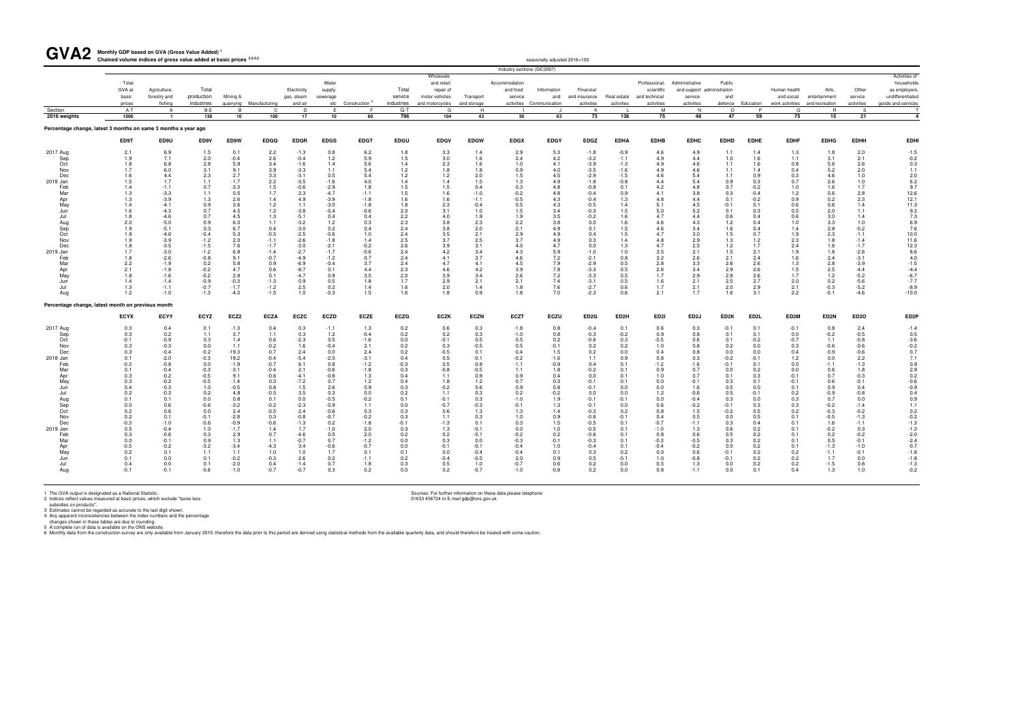**Monthly GDP based on GVA (Gross Value Added) <sup>1</sup>** GVA2 Monthly GDP based on GVA (Gross Value Added)<sup>1</sup><br>Chained volume indices of gross value added at basic prices <sup>2,3,4,5</sup>

| <b>UIAL</b>                                                    | Chained volume indices of gross value added at basic prices 2,3,4,5 |                              |             |                |                         |                           |                     |                               |                                           |                             |                   |                             | seasonally adjusted 2016=100              |                            |                   |                             |                                       |                   |                                           |                            |                        |                          |                                                      |
|----------------------------------------------------------------|---------------------------------------------------------------------|------------------------------|-------------|----------------|-------------------------|---------------------------|---------------------|-------------------------------|-------------------------------------------|-----------------------------|-------------------|-----------------------------|-------------------------------------------|----------------------------|-------------------|-----------------------------|---------------------------------------|-------------------|-------------------------------------------|----------------------------|------------------------|--------------------------|------------------------------------------------------|
|                                                                |                                                                     |                              |             |                |                         |                           |                     |                               |                                           |                             |                   | Industry sections (SIC2007) |                                           |                            |                   |                             |                                       |                   |                                           |                            |                        |                          |                                                      |
|                                                                |                                                                     |                              |             |                |                         |                           |                     |                               |                                           | Wholesale                   |                   |                             |                                           |                            |                   |                             |                                       |                   |                                           |                            |                        |                          | Activities of                                        |
|                                                                | Total                                                               |                              | Total       |                |                         |                           | Water               |                               |                                           | and retail:                 |                   | Accommodation               |                                           |                            |                   | Professional,               | Administrative                        | Public            |                                           |                            |                        |                          | households                                           |
|                                                                | GVA at<br>basic                                                     | Agriculture,<br>forestry and | production  | Mining &       |                         | Electricity<br>gas, steam | supply,<br>sewerage |                               | Total<br>service                          | repair of<br>motor vehicles | Transport         | and food<br>service         | Information<br>and                        | Financial<br>and insurance | Real estate       | scientific<br>and technical | and support administration<br>service | and               |                                           | Human health<br>and social | Arts,<br>entertainment | Other<br>service         | as employers,<br>undifferentiated                    |
|                                                                | prices                                                              | fishing                      | industries  |                | quarrying Manufacturing | and air                   |                     | etc Construction <sup>6</sup> | industries                                | and motorcycles             | and storage       |                             | activities Communication                  | activities                 | activities        | activities                  | activities                            |                   | defence Education                         | work activities            | and recreation         | activities               | goods and services                                   |
| Section                                                        | A-T                                                                 | A                            | B-E         | B              | -C                      | D                         | E                   |                               | $G-T$                                     | G                           | H                 |                             | J                                         | К                          |                   | M                           | N.                                    | $\circ$           | P                                         | $\Omega$                   | <b>R</b>               | -S                       |                                                      |
| 2016 weights                                                   | 1000                                                                | $\overline{7}$               | 138         | 10             | 100                     | 17                        | 10                  | 60                            | 796                                       | 104                         | 43                | 30                          | 63                                        | 73                         | 138               | 75                          | 48                                    | 47                | 59                                        | 75                         | 15                     | 21                       | $\overline{\mathbf{4}}$                              |
| Percentage change, latest 3 months on same 3 months a year ago |                                                                     |                              |             |                |                         |                           |                     |                               |                                           |                             |                   |                             |                                           |                            |                   |                             |                                       |                   |                                           |                            |                        |                          |                                                      |
|                                                                | ED9T                                                                | ED9U                         | ED9V        | ED9W           | <b>EDGQ</b>             | <b>EDGR</b>               | <b>EDGS</b>         | <b>EDGT</b>                   | <b>EDGU</b>                               | <b>EDGV</b>                 | <b>EDGW</b>       | <b>EDGX</b>                 | <b>EDGY</b>                               | <b>EDGZ</b>                | <b>EDHA</b>       | <b>EDHB</b>                 | <b>EDHC</b>                           | <b>EDHD</b>       | <b>EDHE</b>                               | <b>EDHF</b>                | <b>EDHG</b>            | <b>EDHH</b>              | <b>EDHI</b>                                          |
| 2017 Aug                                                       | 2.1                                                                 | 6.9                          | 1.5         | 0.1            | 2.2                     | $-1.3$                    | 0.8                 | 6.2                           | 1.8                                       | 3.3                         | 1.4               | 2.9                         | 5.3                                       | $-1.8$                     | $-0.9$            | 4.6                         | 4.9                                   | 1.1               | 1.4                                       | 1.3                        | 1.8                    | 2.0                      | $-1.5$                                               |
| Sep                                                            | 1.9                                                                 | 7.1                          | 2.0         | $-0.4$         | 2.6                     | $-0.4$                    | 1.2                 | $5.9\,$                       | 1.5                                       | 3.0                         | 1.6               | 2.4                         | 4.2                                       | $-3.2$                     | $-1.1$            | 4.9                         | 4.4                                   | 1.0               | 1.6                                       | 1.1                        | 3.1                    | 2.1                      | $-0.2$                                               |
| Oct                                                            | 1.8                                                                 | 6.8                          | 2.8         | 5.9            | 3.4                     | $-1.6$                    | 1.4                 | 5.6                           | 1.4                                       | 2.3                         | 1.6               | 1.0                         | 4.1                                       |                            | $-1.3$            | 4.9                         | 4.6                                   | 1.1               | 1.6                                       | 0.8                        | 5.6                    | 2.6                      | 0.3                                                  |
| Nov                                                            | 1.7                                                                 | 6.0                          | 3.1         | 9.1            | 3.9                     | $-3.3$                    | 1.1                 | 5.4                           | 1.2                                       | 1.8                         | 1.8               | 0.9                         | 4.0                                       | $-3.9$<br>$-3.5$           | $-1.6$            | 4.9                         | 4.6                                   | 1.1               | 1.4                                       | 0.4                        | 5.2                    | 2.0                      | 1.1                                                  |
| Dec                                                            | 1.6                                                                 | 4.4                          | 2.3         | 2.7            | $3.3$<br>2.2<br>1.5     | $-3.1$                    | 0.5                 | $\frac{5.4}{4.0}$             | 1.2                                       | 1.2                         | $\frac{2.0}{1.5}$ | 1.5                         | 4.5                                       | $-2.9$                     | $-1.5$            | 4.6                         | 5.4                                   | 1.1               | $\begin{array}{c} 0.9 \\ 0.3 \end{array}$ | 0.3                        | 4.6                    | $\frac{1.0}{1.0}$<br>1.7 | $2.0$<br>6.2<br>9.7<br>12.6                          |
| 2018 Jan                                                       | 1.5                                                                 | 1.7                          | 1.1         | $-1.7$         |                         | $-3.5$                    | $-1.6$              |                               | 1.4                                       | 1.4                         |                   | 1.3                         | 4.9                                       | $-1.8$                     | $-0.8$            | 4.4                         | 5.4                                   | 0.9               |                                           | 0.7                        | 2.6                    |                          |                                                      |
| Feb                                                            | 1.4                                                                 | $-1.1$                       | 0.7         | $-3.3$         |                         | $-0.6$                    | $-2.9$              | 1.8                           | 1.5                                       | 1.5                         | 0.4               | 0.3                         | 4.8                                       | $-0.8$                     | 0.1               | 4.2                         | 4.8                                   | 0.7               | $-0.2$                                    | 1.0                        | 1.6                    |                          |                                                      |
| Mar                                                            | 1.3                                                                 | $-3.3$                       | 1.1         | 0.5            | 1.7                     | 2.3                       | $-4.7$              | $-1.1$                        | 1.5                                       | 1.6                         | $-1.0$            | $-0.2$                      | 4.8                                       | $-0.4$                     | 0.9               | 4.1                         | 3.8                                   | 0.3               | $-0.4$                                    | 1.2                        | 0.6                    | $2.8\,$                  |                                                      |
| Apr                                                            | 1.3                                                                 | $-3.9$                       | 1.3         | 2.6            | 1.4                     | 4.9                       | $-3.9$              | $-1.8$                        | 1.6                                       | 1.6                         | $-1.1$            | $-0.5$                      | 4.3                                       | $-0.4$                     | 1.3               | 4.8                         | 4.4                                   | 0.1               | $-0.2$                                    | 0.9                        | 0.2                    | 2.3                      | $12.1$<br>$11.3$<br>$9.2$<br>$7.3$<br>$6.9$<br>$7.6$ |
| May                                                            | 1.4                                                                 | $-4.1$                       | 0.9         | 3.6            | 1.2                     | 1.1                       | $-3.0$              | $-1.8$                        | 1.8                                       | 2.3                         | $-0.4$            | 0.5                         | 4.3                                       | $-0.5$                     | 1.4               | 5.1                         | 4.5                                   | $-0.1$            | 0.1                                       | 0.6                        | 0.6                    | 1.4                      |                                                      |
| Jun                                                            | 1.6                                                                 | $-4.3$                       | 0.7         | 4.5            | 1.2                     | $-3.8$                    | $-0.4$              | $-0.6$                        | 2.0                                       | 3.1                         | 1.0               | 1.5                         | 3.4                                       | $-0.3$                     | 1.5               | 5.0                         | 5.2                                   | 0.1               | 0.3                                       | 0.5                        | 2.0                    | 1.1                      |                                                      |
| Jul                                                            | 1.8                                                                 | $-4.6$                       | 0.7         | 4.5            | 1.3                     | $-5.1$                    | 0.4                 | 0.4                           | $2.2$<br>$2.3$<br>$2.4$                   | 4.0                         | 1.9               | 1.9                         | $\begin{array}{c} 3.5 \\ 3.8 \end{array}$ | $-0.2$                     | 1.6               | 4.7                         | 4.4                                   | 0.6               | 0.4                                       | 0.6                        | 3.0                    | 1.4                      |                                                      |
| Aug                                                            | 2.0                                                                 | $-5.0$                       | 0.9         | $6.0$<br>$6.7$ | 1.1                     | $-3.2$                    | 1.2                 | $0.3$<br>0.4                  |                                           | 3.8                         | $2.\overline{3}$  | 2.2                         |                                           | 0.0                        | 1.6               | 4.6                         | 4.3                                   | 1.2               | 0.4                                       | 1.0                        | $\frac{3.3}{2.8}$      | 1.0                      |                                                      |
| Sep                                                            | 1.9                                                                 | $-5.1$                       | 0.3         |                | 0.4                     | $-3.0$                    | 0.2                 |                               |                                           | 3.8                         | 2.0               | 2.1                         | 4.9                                       | 0.1                        | 1.5               | 4.6                         | 3.4                                   | 1.6               | 0.4                                       | 1.4                        |                        | $-0.2$                   |                                                      |
| Oct                                                            | 1.9                                                                 | $-4.6$                       | $-0.4$      | 5.3            | $-0.5$                  | $-2.5$                    | $-0.6$              | 1.0                           | 2.4                                       | 3.5                         | 2.1               | 2.9                         | 4.9                                       | 0.4                        | 1.5               | 4.7                         | 3.0                                   | 1.5               | 0.7                                       | 1.9                        | 2.3                    | $-1.1$                   | 10.0                                                 |
| Nov                                                            | 1.9                                                                 | $-3.9$                       | $-1.2$      | 2.0            | $-1.1$                  | $-2.6$                    | $-1.8$              | 1.4                           | 2.5                                       | 3.7                         | 2.5               | 3.7                         | 4.9                                       | 0.3                        | 1.4               | 4.8                         | 2.9                                   | 1.3               | 1.2                                       | 2.3                        | 1.8                    | $-1.4$                   | 11.6                                                 |
| Dec                                                            | 1.8                                                                 | $-3.5$                       | $-1.5$      | 7.6            | $-1.7$                  | $-3.0$                    | $-2.1$              | $-0.2$                        | 2.6                                       | 3.9                         | 3.1               | 4.0                         | 4.7                                       | 0.0                        | 1.3               | 4.7                         | 2.5                                   | 1.2               | 1.7                                       | 2.4                        | 1.6                    | $-1.7$                   | 12.3                                                 |
| 2019 Jan                                                       | 1.7                                                                 | $-3.0$                       | $-1.2$      | $6.8\,$        | $-1.4$                  | $-2.7$                    | $-1.7$              | $-0.6$                        | 2.4                                       | 4.2                         | 3.4               | 4.3                         | 5.9                                       | $-1.0$                     | $1.0$             | 3.5                         | 2.1                                   | 1.5               | 2.1                                       | 1.9                        | 1.8                    | $-2.6$                   | $8.6$<br>$4.0$                                       |
| Feb                                                            | 1.8                                                                 | $-2.6$                       | $-0.8$      | 9.1            | $-0.7$                  | $-4.9$                    | $-1.2$              | 0.7                           | 2.4                                       | 4.1                         | 3.7               | 4.6                         | 7.2                                       | $-2.1$                     | 0.8               | 3.2                         | 2.6                                   | 2.1               | 2.4                                       | 1.6                        | 2.4                    | $-3.1$                   |                                                      |
| Mar                                                            | 2.2                                                                 | $-1.9$                       | 0.2         | 5.8            | 0.9                     | $-6.9$                    | $-0.4$              | 3.7                           | 2.4                                       | 4.7                         | 4.1               | 4.5                         | $7.9\,$                                   | $-2.9$                     | $0.5\,$           | 2.8                         | $3.3\,$                               | 2.6               | 2.6                                       | 1.3                        | 2.8                    | $-3.9$                   | $-1.5$                                               |
| Apr                                                            | 2.1                                                                 | $-1.8$                       | $-0.2$      | 4.7            | 0.6                     | $-8.7$                    | 0.1                 | $4.4\,$                       | 2.3                                       | 4.6                         | 4.2               | 3.9                         | $7.8\,$                                   | $-3.3$                     | $0.5\,$           | 2.6                         | $3.4\,$                               | 2.9               | 2.6                                       | 1.5                        | $2.5\,$                | $-4.4$                   | $-4.4$<br>$-6.7$<br>$-7.7$                           |
| May                                                            | 1.8                                                                 | $-1.6$                       | $-0.2$      | 2.8            | 0.1                     | $-4.7$                    | 0.9                 | $3.5\,$                       | 2.0                                       | 3.9                         | 3.4               | 2.6                         | $7.2\,$                                   | $-3.3$                     | 0.5               | 1.7                         | $2.9\,$                               | 2.8               | 2.6                                       | 1.7                        | $1.2$                  | $-5.2$                   |                                                      |
| Jun                                                            | 1.4                                                                 | $-1.4$                       | $-0.9$      | $-0.3$         | $-1.3$                  | 0.9                       | 0.5                 | 1.8                           | 1.7                                       | 2.9                         | 2.1               | 2.1                         | 7.4                                       | $-3.1$                     | 0.5               | 1.6                         | 2.1                                   | 2.5               | 2.7                                       | 2.0                        | 0.2                    | $-5.6$                   |                                                      |
| Jul                                                            | 1.3                                                                 | $-1.1$                       | $-0.7$      | $-1.7$         | $-1.2$                  | 2.5                       | 0.2                 | 1.4                           | 1.6                                       | 2.0                         | 1.4               | 1.8                         | 7.6                                       | $-2.7$                     | 0.6               | 1.7                         | 2.1                                   | 2.0               | 2.9                                       | 2.1                        | $-0.3$                 | $-5.2$                   | $-8.9$                                               |
| Aug                                                            | 1.2                                                                 | $-1.0$                       | $-1.3$      | $-4.3$         | $-1.5$                  | 1.0                       | $-0.3$              | 1.5                           | 1.6                                       | 1.8                         | 0.9               | 1.8                         | 7.0                                       | $-2.3$                     | 0.6               | 2.1                         | 1.7                                   | 1.6               | 3.1                                       | 2.2                        | $-0.1$                 | $-4.6$                   | $-10.0$                                              |
| Percentage change, latest month on previous month              |                                                                     |                              |             |                |                         |                           |                     |                               |                                           |                             |                   |                             |                                           |                            |                   |                             |                                       |                   |                                           |                            |                        |                          |                                                      |
|                                                                | <b>ECYX</b>                                                         | <b>ECYY</b>                  | <b>ECYZ</b> | ECZ2           | <b>ECZA</b>             | <b>ECZC</b>               | <b>ECZD</b>         | <b>ECZE</b>                   | <b>ECZG</b>                               | <b>ECZK</b>                 | <b>ECZN</b>       | <b>ECZT</b>                 | <b>ECZU</b>                               | ED <sub>2</sub> G          | ED <sub>2</sub> H | ED <sub>21</sub>            | ED <sub>2</sub> J                     | ED <sub>2</sub> K | ED <sub>2</sub> L                         | ED2M                       | ED <sub>2N</sub>       | ED <sub>20</sub>         | ED <sub>2</sub> P                                    |
| 2017 Aug                                                       | 0.3                                                                 | 0.4                          | 0.1         | $-1.3$         | 0.4                     | 0.3                       | $-1.1$              | 1.3                           | 0.2                                       | 0.6                         | 0.3               | $-1.8$                      | 0.8                                       | $-0.4$                     | 0.1               | 0.6                         | 0.3                                   | $-0.1$            | 0.1                                       | $-0.1$                     | 0.8                    | 2.4                      | $-1.4$                                               |
| Sep                                                            | 0.3                                                                 | 0.2                          | 1.1         | 3.7            | 1.1                     | 0.3                       | 1.2                 | $-0.4$                        | 0.2                                       | 0.2                         | 0.3               | $-1.0$                      | 0.8                                       | $-0.3$                     | $-0.2$            | 0.9                         | 0.8                                   | 0.1               | 0.1                                       | 0.0                        | $-0.2$                 | $-0.5$                   | 0.5                                                  |
| Oct                                                            | $-0.1$                                                              | $-0.9$                       | 0.3         | 1.4            | 0.6                     | $-2.3$<br>1.6             | 0.5                 | $-1.6$                        | $\begin{array}{c} 0.0 \\ 0.2 \end{array}$ | $-0.1$                      | 0.5               | 0.5                         | $0.2$<br>-0.1                             | $-0.6$<br>$0.2$            | 0.3               | $-0.5$                      | 0.6                                   | 0.1               | $-0.2$                                    | $-0.7$                     | 1.1                    | $-0.8$                   |                                                      |
| Nov                                                            | 0.3                                                                 | $-0.3$                       | 0.0         | 1.1            | $-0.2$                  |                           | $-0.4$              | 2.1                           |                                           | 0.3                         | $-0.5$            | 0.5                         |                                           |                            | 0.2               | 1.0                         | 0.8                                   | 0.2               | $0.0\,$                                   | 0.3                        | $-0.6$                 | $-0.6$                   | $-3.6$<br>$-0.2$<br>0.7                              |
| Dec                                                            | 0.3                                                                 | $-0.4$                       | $-0.2$      | $-19.3$        | 0.7                     | 2.4                       | 0.0                 | 2.4                           | 0.2                                       | $-0.5$                      | 0.1               | 0.4                         | 1.5                                       | 0.2                        | 0.0               | 0.4                         | 0.8                                   | 0.0               | 0.0                                       | 0.4                        | 0.9                    | $-0.6$                   |                                                      |
| 2018 Jan                                                       | 0.1                                                                 | $-2.0$                       | $-0.3$      | 19.2           | $-0.4$                  | $-5.4$                    | $-2.5$              | $-3.1$                        | 0.4                                       | 0.5                         | $-0.1$            | $-0.2$                      | $-1.6$                                    | 1.1                        | 0.9               | 0.8                         | 0.3                                   | $-0.2$            | $-0.1$                                    | 1.2                        | 0.0                    | 2.2                      | $7.1$<br>0.9<br>2.9<br>0.2<br>-0.6                   |
| Feb                                                            | $-0.3$                                                              | $-0.8$                       | 0.0         | $-1.9$         | $-0.7$                  | 6.1                       | 0.8                 | $-1.2$                        | $-0.3$                                    | 0.5                         | $-0.8$            | $-1.1$                      | $-0.9$                                    | 0.4                        | 0.1               | $-1.2$                      | $-1.6$                                | $-0.1$            | 0.1                                       | 0.0                        | $-1.1$                 | $-1.3$                   |                                                      |
| Mar                                                            | 0.1                                                                 | $-0.4$                       | $-0.3$      | $-3.1$         | $-0.4$                  | 2.1                       | $-0.6$              | $-1.8$                        | 0.3                                       | $-0.8$                      | $-0.5$            | 1.1                         | 1.8                                       | $-0.2$                     | 0.1               | 0.9                         | 0.7                                   | 0.0               | 0.2                                       | 0.0                        | 0.6                    | 1.8                      |                                                      |
| Apr                                                            | 0.3                                                                 | $-0.2$                       | $-0.5$      | 9.1            | $-0.6$                  | $-4.1$                    | $-0.8$              | 1.3                           | 0.4                                       | 1.1                         | 0.9               | 0.9                         | 0.4                                       | 0.0                        | 0.1               | 1.0                         | 0.7                                   | 0.1               | 0.3                                       | $-0.1$                     | 0.7                    | $-0.3$                   |                                                      |
| May                                                            | 0.3                                                                 | $-0.2$                       | $-0.5$      | $-1.4$         | 0.3                     | $-7.2$                    | 0.7                 | 1.2                           | 0.4                                       | 1.8                         | 1.2               | 0.7                         | 0.3                                       | $-0.1$                     | 0.1               | 0.0                         | $-0.1$                                | 0.3               | 0.1                                       | $-0.1$                     | 0.6                    | $-0.1$                   |                                                      |
| Jun                                                            | 0.4                                                                 | $-0.3$                       | 1.0         | $-0.5$         | 0.8                     | 1.5                       | 2.6                 | 0.9                           | $0.3\,$                                   | $-0.2$                      | 0.6               | 0.9                         | 0.8                                       | $-0.1$                     | 0.0               | 0.0                         | 1.6                                   | 0.5               | 0.0                                       | 0.1                        | 0.9                    | 0.4                      | $-0.9$                                               |
| Jul                                                            | 0.2                                                                 | $-0.3$                       | 0.2         | 4.8            | $-0.5$                  | 3.5                       | 0.3                 | 0.0                           | 0.2                                       | 1.1                         | 0.3               | 0.2                         | $-0.2$                                    | 0.0                        | 0.0               | $1.2$                       | $-0.6$                                | 0.5               | $-0.1$                                    | 0.2                        | $-0.9$                 | $-0.8$                   | 0.4                                                  |
| Aug                                                            | 0.1                                                                 | 0.1                          | 0.0         | 0.8            | 0.1                     | 0.0                       | $-0.5$              | $-0.2$                        | 0.1                                       | $-0.1$                      | 0.3               | $-1.0$                      | 1.9                                       | $-0.1$                     | $-0.1$            | 0.0                         | $-0.4$                                | 0.3               | 0.0                                       | 0.3                        | 0.7                    | $0.0\,$                  | 0.9                                                  |
| Sep                                                            | $0.0\,$                                                             | 0.6                          | $-0.6$      | $-3.2$         | $-0.2$                  | $-2.3$                    | $-0.9$              | 1.1                           | $0.0\,$                                   | $-0.7$                      | $-0.3$            | $-0.1$                      | $1.3$                                     | $-0.1$                     | 0.0               | 0.6                         | $-0.2$                                | $-0.1$            | 0.3                                       | 0.3                        | $-0.2$                 | $-1.4$                   | 1.1                                                  |
| Oct                                                            | 0.2                                                                 | 0.6                          | 0.0         | 2.4            | $-0.5$                  | 2.4                       | $-0.6$              | 0.3                           | 0.3                                       | 0.6                         | 1.3               | 1.3                         | $-1.4$                                    | $-0.3$                     | 0.2               | 0.8                         | 1.5                                   | $-0.2$            | 0.5                                       | 0.2                        | $-0.3$                 | $-0.2$                   | 0.2                                                  |
| Nov                                                            | 0.2                                                                 | 0.1                          | $-0.1$      | $-2.8$         | 0.3                     | $-0.8$                    | $-0.7$              | $-0.2$                        | 0.3                                       | 1.1                         | 0.3               | 1.0                         | 0.9                                       | $-0.6$                     | $-0.1$            | 0.4                         | 0.5                                   | 0.0               | 0.5                                       | 0.1                        | $-0.5$                 | $-1.3$                   | $-0.2$                                               |
| Dec                                                            | $-0.3$                                                              | $-1.0$                       | $-0.6$      | $-0.9$         | $-0.6$                  | $-1.3$                    | 0.2                 | $-1.8$                        | $-0.1$                                    | $-1.3$                      | 0.1               | 0.3                         | 1.5                                       | $-0.5$                     | 0.1               | $-0.7$                      | $-1.1$                                | 0.3               | 0.4                                       | 0.1                        | 1.6                    | $-1.1$                   | $-1.3$                                               |
| 2019 Jan                                                       | 0.5                                                                 | $-0.4$                       | 1.0         | $-1.7$         | 1.4                     | 1.7                       | $-1.0$              | 2.0                           | 0.3                                       | 1.3                         | $-0.1$            | 0.0                         | 1.0                                       | $-0.5$                     | 0.1               | $-1.0$                      | 1.3                                   | 0.6               | 0.2                                       | 0.1                        | $-0.2$                 | 0.3                      | $-1.3$                                               |
| Feb                                                            | 0.3                                                                 | $-0.6$                       | 0.3         | 2.9            | 0.7                     | $-4.6$                    | 0.5                 | 2.0                           | 0.2                                       | 0.2                         | $-0.1$            | $-0.2$                      | 0.2                                       | $-0.6$                     | 0.1               | 0.8                         | 0.6                                   | 0.5               | 0.2                                       | 0.1                        | 0.2                    | $-0.2$                   | $-2.0$                                               |
| Mar                                                            | $0.0\,$                                                             | $-0.1$                       | 0.9         | 1.3            | 1.1                     | $-0.7$                    | 0.7                 | $-1.2$                        | $0.0\,$                                   | 0.3                         | 0.0               | $-0.3$                      | $-0.1$                                    | $-0.3$                     | 0.1               | $-0.3$                      | $-0.5$                                | 0.3               | 0.2                                       | 0.1                        | 0.5                    | $-0.1$                   | $-2.4$                                               |
| Apr                                                            | $-0.5$                                                              | $-0.2$                       | $-3.2$      | $-3.4$         | $-4.3$                  | 3.4                       | $-0.6$              | $-0.7$                        | 0.0                                       | $-0.1$                      | $-0.1$            | $-0.4$                      | 1.0                                       | $-0.4$                     | 0.1               | $-0.4$                      | $-0.2$                                | 0.0               | 0.2                                       | 0.1                        | $-1.3$                 | $-1.0$                   | $-0.7$                                               |
| May                                                            | 0.2                                                                 | 0.1                          | 1.1         | 1.1            | 1.0                     | 1.0                       | 1.7                 | 0.1                           | 0.1                                       | 0.0                         | $-0.4$            | $-0.4$                      | 0.1                                       | 0.3                        | 0.2               | 0.0                         | 0.6                                   | $-0.1$            | 0.2                                       | 0.2                        | $-1.1$                 | $-0.1$                   | $-1.8$                                               |
| Jun                                                            | 0.1                                                                 | 0.0                          | 0.1         | $-0.2$         | $-0.3$                  | 2.6                       | 0.2                 | $-1.1$                        | 0.2                                       | $-0.4$                      | $-0.5$            | 2.0                         | 0.9                                       | 0.5                        | $-0.1$            | 1.0                         | $-0.8$                                | $-0.1$            | 0.2                                       | 0.2                        | 1.7                    | 0.0                      | $-1.8$                                               |
| Jul                                                            | 0.4                                                                 | 0.0                          | 0.1         | $-2.0$         | 0.4                     | $-1.4$                    | 0.7                 | 1.8                           | 0.3                                       | 0.5                         | 1.0               | $-0.7$                      | 0.6                                       | 0.2                        | 0.0               | 0.5                         | 1.3                                   | 0.0               | 0.2                                       | 0.2                        | $-1.5$                 | 0.8                      | $-1.3$                                               |
| Aug                                                            | $-0.1$                                                              | $-0.1$                       | $-0.6$      | $-1.0$         | $-0.7$                  | $-0.7$                    | 0.3                 | 0.2                           | 0.0                                       | 0.2                         | $-0.7$            | $-1.0$                      | $-0.8$                                    | 0.2                        | 0.0               | 0.8                         | $-1.1$                                | 0.0               | 0.1                                       | 0.4                        | 1.3                    | 1.0                      | $-0.2$                                               |
|                                                                |                                                                     |                              |             |                |                         |                           |                     |                               |                                           |                             |                   |                             |                                           |                            |                   |                             |                                       |                   |                                           |                            |                        |                          |                                                      |
|                                                                |                                                                     |                              |             |                |                         |                           |                     |                               |                                           |                             |                   |                             |                                           |                            |                   |                             |                                       |                   |                                           |                            |                        |                          |                                                      |

1 The GVA output is designated as a National Statistic.<br>2 Indices reflect values measured at basic prices, which exclude "taxes less<br>3 Sources: For further information on these data please telephone<br>3 Statistics connot be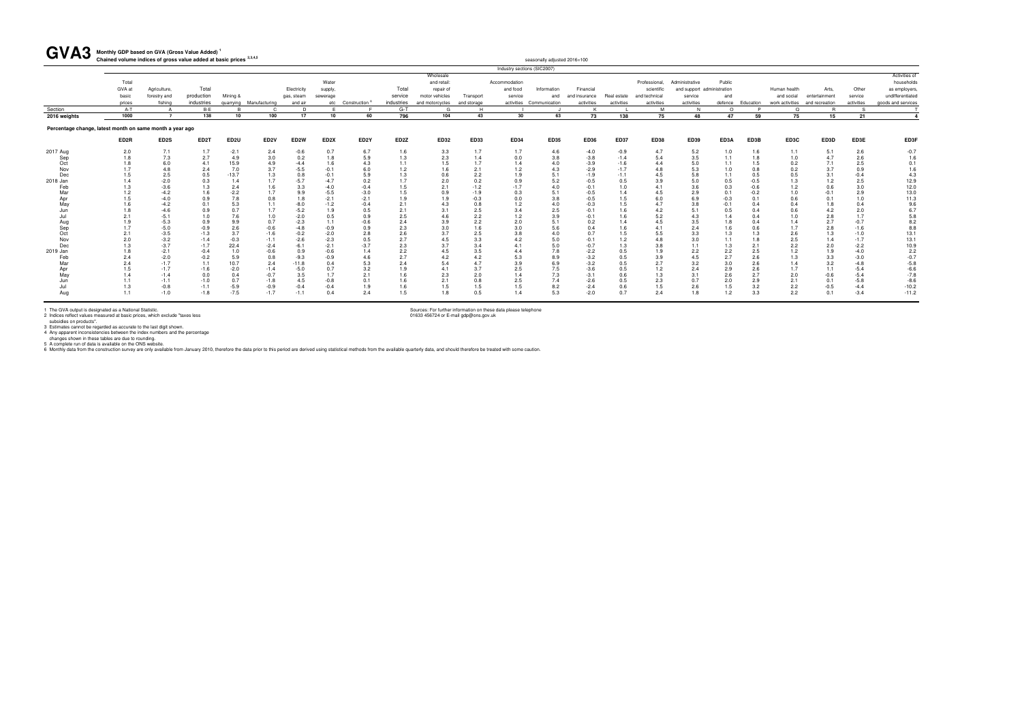seasonally adjusted 2016=100

1 The GVA output is designated as a National Statistic.<br>2 Indices reflect values measured at basic prices, which exclude "taxes less<br>3 istimates cannot be regarded as accurate to the last digit shown.<br>4 Any apparent incons

#### **Monthly GDP based on GVA (Gross Value Added) <sup>1</sup>** GVA3 Monthly GDP based on GVA (Gross Value Added)<sup>1</sup><br>Chained volume indices of gross value added at basic prices <sup>2,3,4,5</sup>

|                                                          |                  |                  |                   |                  |                         |                   |                   |                               |            |                 |             |               | Industry sections (SIC2007) |               |             |               |                            |            |            |              |                                |               |                    |
|----------------------------------------------------------|------------------|------------------|-------------------|------------------|-------------------------|-------------------|-------------------|-------------------------------|------------|-----------------|-------------|---------------|-----------------------------|---------------|-------------|---------------|----------------------------|------------|------------|--------------|--------------------------------|---------------|--------------------|
|                                                          |                  |                  |                   |                  |                         |                   |                   |                               |            | Wholesale       |             |               |                             |               |             |               |                            |            |            |              |                                |               | Activities of      |
|                                                          | Total            |                  |                   |                  |                         |                   | Water             |                               |            | and retail:     |             | Accommodation |                             |               |             | Professional. | Administrative             | Public     |            |              |                                |               | households         |
|                                                          | GVA at           | Agriculture,     | Total             |                  |                         | Electricity       | supply.           |                               | Total      | repair of       |             | and food      | Information                 | Financial     |             | scientific    | and support administration |            |            | Human health | Arts                           | Other         | as employers       |
|                                                          | basic            | forestry and     | production        | Mining &         |                         | gas, steam        | sewerage          |                               | service    | motor vehicles  | Transport   | service       | and                         | and insurance | Real estate | and technical | service                    | and        |            | and social   | entertainment                  | service       | undifferentiated   |
|                                                          | prices           | fishing          | industries        |                  | quarrying Manufacturing | and air           |                   | etc Construction <sup>6</sup> | industries | and motorcycles | and storage |               | activities Communication    | activities    | activities  | activities    | activities                 | defence    | Education  |              | work activities and recreation | activities    | goods and services |
| Section                                                  | $A-T$            | A                | B-E               |                  | $\cap$                  | D                 |                   |                               | $G-T$      | G               | H           |               |                             |               |             | M             | N                          | $\Omega$   |            | $\Omega$     |                                |               |                    |
| 2016 weights                                             | 1000             | $\overline{7}$   | 138               | 10               | 100                     | 17                | 10                | 60                            | 796        | 104             | 43          | 30            | 63                          | 73            | 138         | 75            | 48                         | 47         | 59         | 75           | 15                             | 21            |                    |
| Percentage change, latest month on same month a year ago |                  |                  |                   |                  |                         |                   |                   |                               |            |                 |             |               |                             |               |             |               |                            |            |            |              |                                |               |                    |
|                                                          | ED <sub>2R</sub> | ED2S             | ED <sub>2</sub> T | ED <sub>2U</sub> | ED <sub>2V</sub>        | ED <sub>2</sub> W | ED <sub>2</sub> X | ED <sub>2</sub> Y             | ED2Z       | <b>ED32</b>     | <b>ED33</b> | <b>ED34</b>   | <b>ED35</b>                 | <b>ED36</b>   | <b>ED37</b> | <b>ED38</b>   | <b>ED39</b>                | ED3A       | ED3B       | ED3C         | ED3D                           | ED3E          | ED3F               |
| 2017 Aug                                                 | 2.0              | 7.1              | 1.7               | $-2.1$           | 2.4                     | $-0.6$            | 0.7               | 6.7                           | 1.6        | 3.3             | 1.7         | 1.7           | 4.6                         | $-4.0$        | $-0.9$      | 4.7           | 5.2                        | 1.0        | 1.6        | 1.1          | 5.1                            | 2.6           | $-0.7$             |
| Sep                                                      | 1.8              | 7.3              | 2.7               | 4.9              | 3.0                     | 0.2               | 1.8               | 5.9                           | 1.3        | 2.3             | 1.4         | 0.0           | 3.8                         | $-3.8$        | $-1.4$      | 5.4           | 3.5                        | 1.1        | 1.8        | 1.0          | 4.7                            | 2.6           | 1.6                |
| Oct                                                      | 1.8              | 6.0              | 4.1               | 15.9             | 4.9                     | $-4.4$            | 1.6               | 4.3                           | 1.1        | 1.5             | 1.7         | 1.4           | 4.0                         | $-3.9$        | $-1.6$      | 4.4           | 5.0                        | 1.1        | 1.5        | 0.2          | 7.1                            | 2.5           | 0.1                |
| Nov                                                      | 1.7              | 4.8              | 2.4               | 7.0              | 3.7                     | $-5.5$            | $-0.1$            | 6.0                           | 1.2        | 1.6             | 2.1         | 1.2           | 4.3                         | $-2.9$        | $-1.7$      | 4.8           | 5.3                        | 1.0        | 0.8        | 0.2          | 3.7                            | 0.9           | 1.6                |
| Dec                                                      | 1.5              | 2.5              | 0.5               | $-13.7$          | 1.3                     | 0.8               | $-0.1$            | 5.9                           | 1.3        | 0.6             | 2.2         | 1.9           | 5.1                         | $-1.9$        | $-1.1$      | 4.5           | 5.8                        | 1.1        | 0.5        | 0.5          | 3.1                            | $-0.4$        | 4.3                |
| 2018 Jan                                                 | 1.4              | $-2.0$           | 0.3               | 1.4              | 1.7                     | $-5.7$            | $-4.7$            | 0.2                           | 1.7        | 2.0             | 0.2         | 0.9           | 5.2                         | $-0.5$        | 0.5         | 3.9           | 5.0                        | 0.5        | $-0.5$     | 1.3          | 1.2                            | 2.5           | 12.9               |
| Feb                                                      | 1.3              | $-3.6$           | 1.3               | 2.4              | 1.6                     | 3.3               | $-4.0$            | $-0.4$                        | 1.5        | 2.1             | $-1.2$      | $-1.7$        | 4.0                         | $-0.1$        | 1.0         | 4.1           | 3.6                        | 0.3        | $-0.6$     | 1.2          | 0.6                            | 3.0           | 12.0               |
| Mar                                                      | 1.2              | $-4.2$           | 1.6               | $-2.2$           | 1.7                     | 9.9               | $-5.5$            | $-3.0$                        | 1.5        | 0.9             | $-1.9$      | 0.3           | 5.1                         | $-0.5$        | 1.4         | 4.5           | 2.9                        | 0.1        | $-0.2$     | 1.0          | $-0.1$                         | 2.9           | 13.0               |
| Apr                                                      | 1.5              | $-4.0$           | 0.9               | 7.8              | 0.8                     | 1.8               | $-2.1$            | $-2.1$                        | 1.9        | 1.9             | $-0.3$      | 0.0           | 3.8                         | $-0.5$        | 1.5         | 6.0           | 6.9                        | $-0.3$     | 0.1        | 0.6          | 0.1                            | 1.0           | 11.3               |
| May                                                      | 1.6              | $-4.2$           | 0.1               | 5.3              | 1.1                     | $-8.0$            | $-1.2$            | $-0.4$                        | 2.1        | 4.3             | 0.8         | 1.2           | 4.0                         | $-0.3$        | 1.5         | 4.7           | 3.8                        | $-0.1$     | 0.4        | 0.4          | 1.8                            | 0.4           | 9.6                |
| Jun                                                      | 1.8<br>2.1       | $-4.6$           | 0.9               | 0.7              | 1.7                     | $-5.2$            | 1.9               | 0.5                           | 2.1        | 3.1             | 2.5         | 3.4           | 2.5                         | $-0.1$        | 1.6         | 4.2           | 5.1                        | 0.5        | 0.4        | 0.6          | 4.2                            | 2.0           | 6.7                |
|                                                          | 1.9              | $-5.1$<br>$-5.3$ | 1.0               | 7.6<br>9.9       | 1.0<br>0.7              | $-2.0$<br>$-2.3$  | 0.5               | 0.9<br>$-0.6$                 | 2.5<br>2.4 | 4.6<br>3.9      | 2.2<br>2.2  | 1.2<br>2.0    | 3.9<br>5.1                  | $-0.1$<br>0.2 | 1.6         | 5.2<br>4.5    | 4.3<br>3.5                 | 1.4<br>1.8 | 0.4        | 1.0<br>1.4   | 2.8<br>2.7                     | 1.7<br>$-0.7$ | 5.8<br>8.2         |
| Aug<br>Sep                                               | 1.7              | $-5.0$           | 0.9<br>$-0.9$     | 2.6              | $-0.6$                  | $-4.8$            | 1.1<br>$-0.9$     | 0.9                           | 2.3        | 3.0             | 1.6         | 3.0           | 5.6                         | 0.4           | 1.4<br>1.6  | 4.1           | 2.4                        | 1.6        | 0.4<br>0.6 | 1.7          | 2.8                            | $-1.6$        | 8.8                |
| Oct                                                      | 2.1              | $-3.5$           | $-1.3$            | 3.7              | $-1.6$                  | $-0.2$            | $-2.0$            | 2.8                           | 2.6        | 3.7             | 2.5         | 3.8           | 4.0                         | 0.7           | 1.5         | 5.5           | 3.3                        | 1.3        | 1.3        | 2.6          | 1.3                            | $-1.0$        | 13.1               |
| Nov                                                      | 2.0              | $-3.2$           | $-1.4$            | $-0.3$           | $-1.1$                  | $-2.6$            | $-2.3$            | 0.5                           | 2.7        | 4.5             | 3.3         | 4.2           | 5.0                         | $-0.1$        | 1.2         | 4.8           | 3.0                        | 1.1        | 1.8        | 2.5          | 1.4                            | $-1.7$        | 13.1               |
| Dec                                                      | 1.3              | $-3.7$           | $-1.7$            | 22.4             | $-2.4$                  | $-6.1$            | $-2.1$            | $-3.7$                        | 2.3        | 3.7             | 3.4         | 4.1           | 5.0                         | $-0.7$        | 1.3         | 3.8           | 1.1                        | 1.3        | 2.1        | 2.2          | 2.0                            | $-2.2$        | 10.9               |
| 2019 Jan                                                 | 1.8              | $-2.1$           | $-0.4$            | 1.0              | $-0.6$                  | 0.9               | $-0.6$            | 1.4                           | 2.2        | 4.5             | 3.5         | 4.4           | 7.8                         | $-2.2$        | 0.5         | 1.9           | 2.2                        | 2.2        | 2.5        | 1.2          | 1.9                            | $-4.0$        | 2.2                |
| Feb                                                      | 2.4              | $-2.0$           | $-0.2$            | 5.9              | 0.8                     | $-9.3$            | $-0.9$            | 4.6                           | 2.7        | 4.2             | 4.2         | 5.3           | 8.9                         | $-3.2$        | 0.5         | 3.9           | 4.5                        | 2.7        | 2.6        | 1.3          | 3.3                            | $-3.0$        | $-0.7$             |
| Mar                                                      | 2.4              | $-1.7$           |                   | 10.7             | 2.4                     | $-11.8$           | 0.4               | 5.3                           | 2.4        | 5.4             | 4.7         | 3.9           | 6.9                         | $-3.2$        | 0.5         | 2.7           | 3.2                        | 3.0        | 2.6        | 1.4          | 3.2                            | $-4.8$        | $-5.8$             |
| Anr                                                      | 1.5              | $-1.7$           | $-1.6$            | $-2.0$           | $-1.4$                  | $-5.0$            | 0.7               | 3.2                           | 1.9        | 4.1             | 3.7         | 2.5           | 7.5                         | $-3.6$        | 0.5         | 1.2           | 2.4                        | 2.9        | 2.6        | 1.7          | 1.1                            | $-5.4$        | $-6.6$             |
| Mav                                                      | 1.4              | $-1.4$           | 0.0               | 0.4              | $-0.7$                  | 3.5               | 1.7               | 2.1                           | 1.6        | 2.3             | 2.0         | 1.4           | 7.3                         | $-3.1$        | 0.6         | 1.3           | 3.1                        | 2.6        | 2.7        | 2.0          | $-0.6$                         | $-5.4$        | $-7.8$             |
| Jun                                                      | 1.1              | $-1.1$           | $-1.0$            | 0.7              | $-1.8$                  | 4.5               | $-0.8$            | 0.1                           | 1.6        | 2.1             | 0.8         | 2.5           | 7.4                         | $-2.6$        | 0.5         | 2.3           | 0.7                        | 2.0        | 2.9        | 2.1          | 0.1                            | $-5.8$        | $-8.6$             |
| Jul                                                      | 1.3              | $-0.8$           | $-1.1$            | $-5.9$           | $-0.9$                  | $-0.4$            | $-0.4$            | 1.9                           | 1.6        | 1.5             | 1.5         | 1.5           | 8.2                         | $-2.4$        | 0.6         | 1.5           | 2.6                        | 1.5        | 3.2        | 2.2          | $-0.5$                         | $-4.4$        | $-10.2$            |
| Aug                                                      | 1.1              | $-1.0$           | $-1.8$            | $-7.5$           | $-1.7$                  | $-1.1$            | 0.4               | 2.4                           | 1.5        | 1.8             | 0.5         | 1.4           | 5.3                         | $-2.0$        | 0.7         | 2.4           | 1.8                        | 1.2        | 3.3        | 2.2          | 0.1                            | $-3.4$        | $-11.2$            |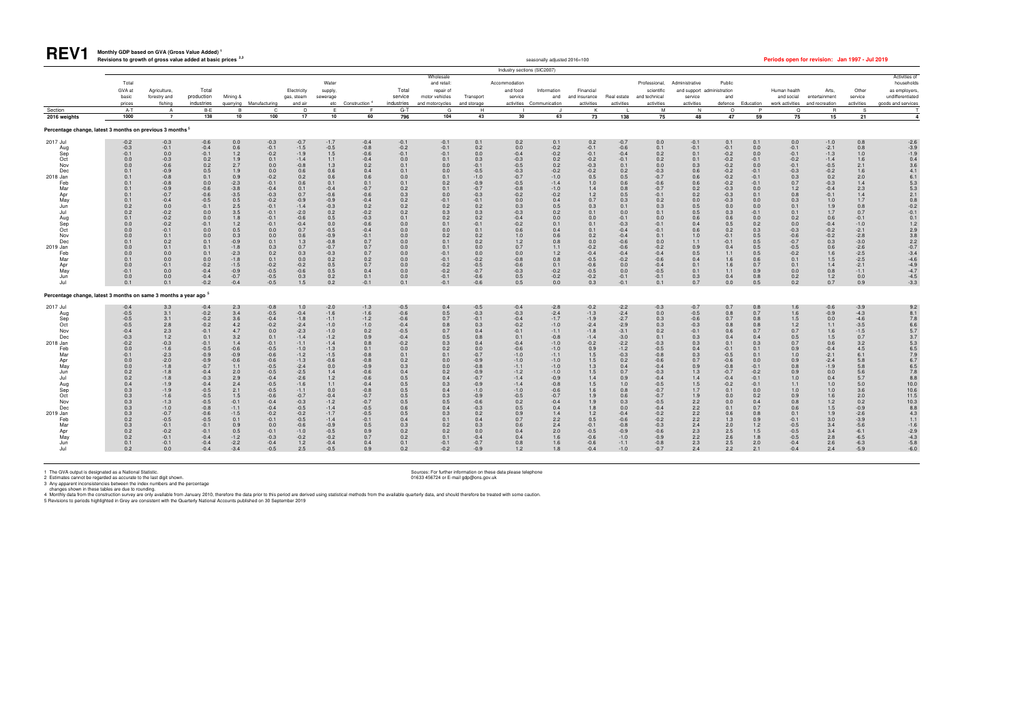# **Monthly GDP based on GVA (Gross Value Added) <sup>1</sup>**

| .                                                                                                                                                                                          |                                                                                                                                                                                                                                            | Revisions to growth of gross value added at basic prices                                                                                                                                                                          |                                                                                                                                                                                                                                                     |                                                                                                                                                                                                        |                                                                                                                                                                                                                                               |                                                                                                                                                                                                                                               |                                                                                                                                                                                                                                           |                                                                                                                                                                                                                             |                                                                                                                                                                                                              |                                                                                                                                                                                                 |                                                                                                                                                                                                                                 |                                                                                                                                                                                                                            | seasonally adjusted 2016=100                                                                                                                                                                                                           |                                                                                                                                                                                                                             |                                                                                                                                                                                                                                                                |                                                                                                                                                                                                                                             |                                                                                                                                                                                                              |                                                                                                                                                                                                          |                                                                                                                                                                                             | Periods open for revision: Jan 1997 - Jul 2019                                                                                                                                                             |                                                                                                                                                                                                                                 |                                                                                                                                                                                                                           |                                                                                                                                                                                                                                           |
|--------------------------------------------------------------------------------------------------------------------------------------------------------------------------------------------|--------------------------------------------------------------------------------------------------------------------------------------------------------------------------------------------------------------------------------------------|-----------------------------------------------------------------------------------------------------------------------------------------------------------------------------------------------------------------------------------|-----------------------------------------------------------------------------------------------------------------------------------------------------------------------------------------------------------------------------------------------------|--------------------------------------------------------------------------------------------------------------------------------------------------------------------------------------------------------|-----------------------------------------------------------------------------------------------------------------------------------------------------------------------------------------------------------------------------------------------|-----------------------------------------------------------------------------------------------------------------------------------------------------------------------------------------------------------------------------------------------|-------------------------------------------------------------------------------------------------------------------------------------------------------------------------------------------------------------------------------------------|-----------------------------------------------------------------------------------------------------------------------------------------------------------------------------------------------------------------------------|--------------------------------------------------------------------------------------------------------------------------------------------------------------------------------------------------------------|-------------------------------------------------------------------------------------------------------------------------------------------------------------------------------------------------|---------------------------------------------------------------------------------------------------------------------------------------------------------------------------------------------------------------------------------|----------------------------------------------------------------------------------------------------------------------------------------------------------------------------------------------------------------------------|----------------------------------------------------------------------------------------------------------------------------------------------------------------------------------------------------------------------------------------|-----------------------------------------------------------------------------------------------------------------------------------------------------------------------------------------------------------------------------|----------------------------------------------------------------------------------------------------------------------------------------------------------------------------------------------------------------------------------------------------------------|---------------------------------------------------------------------------------------------------------------------------------------------------------------------------------------------------------------------------------------------|--------------------------------------------------------------------------------------------------------------------------------------------------------------------------------------------------------------|----------------------------------------------------------------------------------------------------------------------------------------------------------------------------------------------------------|---------------------------------------------------------------------------------------------------------------------------------------------------------------------------------------------|------------------------------------------------------------------------------------------------------------------------------------------------------------------------------------------------------------|---------------------------------------------------------------------------------------------------------------------------------------------------------------------------------------------------------------------------------|---------------------------------------------------------------------------------------------------------------------------------------------------------------------------------------------------------------------------|-------------------------------------------------------------------------------------------------------------------------------------------------------------------------------------------------------------------------------------------|
|                                                                                                                                                                                            |                                                                                                                                                                                                                                            |                                                                                                                                                                                                                                   |                                                                                                                                                                                                                                                     |                                                                                                                                                                                                        |                                                                                                                                                                                                                                               |                                                                                                                                                                                                                                               |                                                                                                                                                                                                                                           |                                                                                                                                                                                                                             |                                                                                                                                                                                                              |                                                                                                                                                                                                 |                                                                                                                                                                                                                                 | Industry sections (SIC2007)                                                                                                                                                                                                |                                                                                                                                                                                                                                        |                                                                                                                                                                                                                             |                                                                                                                                                                                                                                                                |                                                                                                                                                                                                                                             |                                                                                                                                                                                                              |                                                                                                                                                                                                          |                                                                                                                                                                                             |                                                                                                                                                                                                            |                                                                                                                                                                                                                                 |                                                                                                                                                                                                                           |                                                                                                                                                                                                                                           |
|                                                                                                                                                                                            | Total<br>GVA at<br>basic<br>prices                                                                                                                                                                                                         | Agriculture,<br>forestry and<br>fishing                                                                                                                                                                                           | Total<br>production<br>industries                                                                                                                                                                                                                   | Mining &                                                                                                                                                                                               | quarrying Manufacturing                                                                                                                                                                                                                       | Electricity<br>gas, steam<br>and air                                                                                                                                                                                                          | Water<br>supply,<br>sewerage                                                                                                                                                                                                              | etc Construction <sup>4</sup>                                                                                                                                                                                               | Total<br>service<br>industries                                                                                                                                                                               | Wholesale<br>and retail:<br>repair of<br>motor vehicles<br>and motorcycles                                                                                                                      | Transport<br>and storage                                                                                                                                                                                                        | Accommodation<br>and food<br>service<br>activities                                                                                                                                                                         | Information<br>and<br>Communication                                                                                                                                                                                                    | Financial<br>and insurance<br>activities                                                                                                                                                                                    | Real estate<br>activities                                                                                                                                                                                                                                      | Professional,<br>scientific<br>and technical<br>activities                                                                                                                                                                                  | Administrative<br>and support administration<br>service<br>activities                                                                                                                                        | Public<br>and<br>defence                                                                                                                                                                                 | Education                                                                                                                                                                                   | Human health<br>and social<br>work activities                                                                                                                                                              | Arts,<br>entertainment<br>and recreation                                                                                                                                                                                        | Other<br>service<br>activities                                                                                                                                                                                            | Activities of<br>households<br>as employers<br>undifferentiated<br>goods and services                                                                                                                                                     |
| Section                                                                                                                                                                                    | $A-T$                                                                                                                                                                                                                                      | $\overline{A}$                                                                                                                                                                                                                    | B-E                                                                                                                                                                                                                                                 | $\overline{B}$                                                                                                                                                                                         | $\mathbf{C}$                                                                                                                                                                                                                                  | D                                                                                                                                                                                                                                             | E                                                                                                                                                                                                                                         | F.                                                                                                                                                                                                                          | $G-T$                                                                                                                                                                                                        | G                                                                                                                                                                                               | H                                                                                                                                                                                                                               |                                                                                                                                                                                                                            |                                                                                                                                                                                                                                        | K                                                                                                                                                                                                                           |                                                                                                                                                                                                                                                                | M                                                                                                                                                                                                                                           | N                                                                                                                                                                                                            | $\circ$                                                                                                                                                                                                  | P                                                                                                                                                                                           | $\Omega$                                                                                                                                                                                                   | $\mathsf{R}$                                                                                                                                                                                                                    | S.                                                                                                                                                                                                                        |                                                                                                                                                                                                                                           |
| 2016 weights                                                                                                                                                                               | 1000                                                                                                                                                                                                                                       | $\overline{7}$                                                                                                                                                                                                                    | 138                                                                                                                                                                                                                                                 | 10                                                                                                                                                                                                     | 100                                                                                                                                                                                                                                           | 17                                                                                                                                                                                                                                            | 10                                                                                                                                                                                                                                        | 60                                                                                                                                                                                                                          | 796                                                                                                                                                                                                          | 104                                                                                                                                                                                             | 43                                                                                                                                                                                                                              | 30                                                                                                                                                                                                                         | 63                                                                                                                                                                                                                                     | 73                                                                                                                                                                                                                          | 138                                                                                                                                                                                                                                                            | 75                                                                                                                                                                                                                                          | 48                                                                                                                                                                                                           | 47                                                                                                                                                                                                       | 59                                                                                                                                                                                          | 75                                                                                                                                                                                                         | 15                                                                                                                                                                                                                              | 21                                                                                                                                                                                                                        |                                                                                                                                                                                                                                           |
| Percentage change, latest 3 months on previous 3 months <sup>5</sup>                                                                                                                       |                                                                                                                                                                                                                                            |                                                                                                                                                                                                                                   |                                                                                                                                                                                                                                                     |                                                                                                                                                                                                        |                                                                                                                                                                                                                                               |                                                                                                                                                                                                                                               |                                                                                                                                                                                                                                           |                                                                                                                                                                                                                             |                                                                                                                                                                                                              |                                                                                                                                                                                                 |                                                                                                                                                                                                                                 |                                                                                                                                                                                                                            |                                                                                                                                                                                                                                        |                                                                                                                                                                                                                             |                                                                                                                                                                                                                                                                |                                                                                                                                                                                                                                             |                                                                                                                                                                                                              |                                                                                                                                                                                                          |                                                                                                                                                                                             |                                                                                                                                                                                                            |                                                                                                                                                                                                                                 |                                                                                                                                                                                                                           |                                                                                                                                                                                                                                           |
| 2017 Jul<br>Aug<br>Sep<br>Oct<br>Nov<br>Dec<br>2018 Jan<br>Feb<br>Mar<br>Apr<br>May<br>Jun<br>Jul<br>Aug<br>Sep<br>Oct<br>Nov<br>Dec<br>2019 Jan<br>Feb<br>Mar<br>Apr<br>May               | $-0.2$<br>$-0.3$<br>$-0.1$<br>0.0<br>0.0<br>0.1<br>0.1<br>0.1<br>0.1<br>0.1<br>0.1<br>$0.2\,$<br>0.2<br>0.1<br>0.0<br>0.0<br>0.0<br>0.1<br>0.0<br>0.0<br>0.1<br>0.0<br>$-0.1$<br>0.0                                                       | $-0.3$<br>$-0.1$<br>0.0<br>$-0.3$<br>$-0.6$<br>$-0.9$<br>$-0.8$<br>$-0.8$<br>$-0.9$<br>$-0.7$<br>$-0.4$<br>0.0<br>$-0.2$<br>$-0.2$<br>$-0.2$<br>$-0.1$<br>0.1<br>0.2<br>0.1<br>0.0<br>0.0<br>$-0.1$<br>0.0                        | $-0.6$<br>$-0.4$<br>$-0.1$<br>0.2<br>0.2<br>0.5<br>0.1<br>0.0<br>$-0.6$<br>$-0.6$<br>$-0.5$<br>$-0.1$<br>0.0<br>0.0<br>$-0.1$<br>0.0<br>0.0<br>0.1<br>0.1<br>0.1<br>0.0<br>$-0.2$<br>$-0.4$<br>$-0.4$                                               | 0.0<br>0.6<br>1.2<br>1.9<br>2.7<br>1.9<br>0.9<br>$-2.3$<br>$-3.8$<br>$-3.5$<br>0.5<br>2.5<br>3.5<br>1.8<br>1.2<br>0.5<br>0.3<br>$-0.9$<br>$-1.8$<br>$-2.3$<br>$-1.8$<br>$-1.5$<br>$-0.9$<br>$-0.7$     | $-0.3$<br>$-0.1$<br>$-0.2$<br>0.1<br>0.0<br>0.0<br>$-0.2$<br>$-0.1$<br>$-0.4$<br>$-0.3$<br>$-0.2$<br>$-0.1$<br>$-0.1$<br>$-0.1$<br>$-0.1$<br>0.0<br>0.0<br>0.1<br>0.3<br>0.2<br>0.1<br>$-0.2$<br>$-0.5$<br>$-0.5$                             | $-0.7$<br>$-1.5$<br>$-1.9$<br>$-1.4$<br>$-0.8$<br>0.6<br>0.2<br>0.6<br>0.1<br>0.7<br>$-0.9$<br>$-1.4$<br>$-2.0$<br>$-0.6$<br>$-0.4$<br>0.7<br>0.6<br>1.3<br>0.7<br>0.3<br>0.0<br>$-0.2$<br>$-0.6$<br>$0.3\,$                                  | $-1.7$<br>$-0.5$<br>$1.5\,$<br>1.1<br>$1.3$<br>0.6<br>0.6<br>0.1<br>$-0.4$<br>$-0.6$<br>$-0.9$<br>$-0.3$<br>0.2<br>$0.5\,$<br>0.0<br>$-0.5$<br>$-0.9$<br>$-0.8$<br>$-0.7$<br>$-0.3$<br>0.2<br>0.5<br>0.5<br>0.2                           | $-0.4$<br>$-0.8$<br>$-0.6$<br>$-0.4$<br>0.2<br>$0.4$<br>$0.6$<br>0.1<br>$-0.7$<br>$-0.6$<br>$-0.4$<br>$0.2$<br>$-0.2$<br>$-0.3$<br>$-0.6$<br>$-0.4$<br>$-0.1$<br>$0.7\,$<br>$0.7\,$<br>0.7<br>0.2<br>0.7<br>0.4<br>0.1      | $-0.1$<br>$-0.2$<br>$-0.1$<br>0.0<br>0.1<br>0.1<br>0.0<br>0.1<br>$0.2\,$<br>0.3<br>0.2<br>$0.2\,$<br>0.2<br>0.1<br>0.0<br>0.0<br>0.0<br>$0.0\,$<br>0.0<br>0.0<br>0.0<br>0.0<br>$0.0\,$<br>$0.0\,$            | $-0.1$<br>$-0.1$<br>$-0.1$<br>0.1<br>0.0<br>0.0<br>0.1<br>0.2<br>0.1<br>0.0<br>$-0.1$<br>0.2<br>0.3<br>0.2<br>0.1<br>0.0<br>0.2<br>0.1<br>0.1<br>$-0.1$<br>$-0.1$<br>$-0.2$<br>$-0.2$<br>$-0.1$ | 0.1<br>0.2<br>$0.0\,$<br>0.3<br>$-0.1$<br>$-0.5$<br>$-1.0$<br>$-0.9$<br>$-0.7$<br>$-0.3$<br>$-0.1$<br>$0.2\,$<br>0.3<br>0.2<br>$-0.1$<br>0.1<br>0.2<br>0.2<br>0.0<br>0.0<br>$-0.2$<br>$-0.5$<br>$-0.7$<br>$-0.6$                | 0.2<br>0.0<br>$-0.4$<br>$-0.3$<br>$-0.5$<br>$-0.3$<br>$-0.7$<br>$-0.5$<br>$-0.8$<br>$-0.2$<br>0.0<br>$0.3\,$<br>$-0.3$<br>$-0.4$<br>$-0.2$<br>0.6<br>$1.0$<br>$1.2$<br>0.7<br>0.0<br>$-0.8$<br>$-0.6$<br>$-0.3$<br>$0.5\,$ | 0.1<br>$-0.2$<br>$-0.2$<br>$0.2$<br>0.2<br>$-0.2$<br>$-1.0$<br>$-1.4$<br>$-1.0$<br>$-0.2$<br>0.4<br>$0.5\,$<br>0.2<br>$0.0\,$<br>0.1<br>0.4<br>$0.6\,$<br>$0.8\,$<br>1.1<br>$1.2$<br>0.8<br>0.1<br>$-0.2$<br>$-0.2$                    | 0.2<br>$-0.1$<br>$-0.1$<br>$-0.2$<br>$-0.3$<br>$-0.2$<br>0.5<br>1.0<br>$1.4$<br>1.2<br>0.7<br>0.3<br>0.1<br>$0.0\,$<br>0.1<br>0.1<br>0.2<br>0.0<br>$-0.2$<br>$-0.4$<br>$-0.5$<br>$-0.6$<br>$-0.5$<br>$-0.2$                 | $-0.7$<br>$-0.6$<br>$-0.4$<br>$-0.1$<br>0.1<br>$0.2$<br>$0.5$<br>$0.6\,$<br>$0.8\,$<br>0.5<br>0.3<br>0.1<br>0.0<br>$-0.1$<br>$-0.3$<br>$-0.4$<br>$-0.4$<br>$-0.6$<br>$-0.6$<br>$-0.4$<br>$-0.2$<br>0.0<br>$0.0\,$<br>$-0.1$                                    | 0.0<br>0.1<br>0.2<br>0.2<br>0.0<br>$-0.3$<br>$-0.7$<br>$-0.6$<br>$-0.7$<br>$-0.1$<br>0.2<br>$0.3\,$<br>0.1<br>0.0<br>$-0.1$<br>$-0.1$<br>0.1<br>0.0<br>$-0.2$<br>$-0.4$<br>$-0.6$<br>$-0.4$<br>$-0.5$<br>$-0.1$                             | $-0.1$<br>$-0.1$<br>0.1<br>0.1<br>0.3<br>$0.6$<br>$0.6$<br>$0.6\,$<br>0.2<br>0.2<br>$0.0\,$<br>$0.5$<br>$0.5$<br>0.6<br>0.4<br>0.6<br>$1.0$<br>1.1<br>$0.9\,$<br>0.5<br>0.4<br>0.1<br>0.1<br>$0.3\,$         | 0.1<br>$-0.1$<br>$-0.2$<br>$-0.2$<br>$-0.2$<br>$-0.2$<br>$-0.2$<br>$-0.2$<br>$-0.3$<br>$-0.3$<br>$-0.3$<br>0.0<br>0.3<br>0.6<br>0.5<br>0.2<br>$-0.1$<br>$-0.1$<br>0.4<br>1.1<br>1.6<br>1.6<br>1.1<br>0.4 | 0.1<br>0.0<br>0.0<br>$-0.1$<br>0.0<br>$-0.1$<br>$-0.1$<br>$-0.1$<br>0.0<br>0.1<br>0.0<br>0.0<br>$-0.1$<br>0.0<br>0.2<br>0.3<br>0.5<br>0.5<br>0.5<br>0.5<br>0.6<br>0.7<br>0.9<br>0.8         | 0.0<br>$-0.1$<br>$-0.1$<br>$-0.2$<br>$-0.1$<br>$-0.3$<br>0.3<br>0.7<br>1.2<br>0.8<br>0.3<br>0.1<br>0.1<br>0.2<br>0.0<br>$-0.3$<br>$-0.6$<br>$-0.7$<br>$-0.5$<br>$-0.2$<br>0.1<br>0.1<br>0.0<br>$0.2\,$     | $-1.0$<br>$-2.1$<br>$-1.3$<br>$-1.4$<br>$-0.5$<br>$-0.2$<br>0.2<br>$-0.3$<br>$-0.4$<br>$-0.1$<br>1.0<br>$1.9$<br>1.7<br>0.6<br>$-0.4$<br>$-0.2$<br>$-0.2$<br>$0.3\,$<br>$0.6\,$<br>1.6<br>1.5<br>1.4<br>0.8                     | 0.8<br>0.8<br>1.0<br>1.6<br>2.1<br>1.6<br>2.0<br>1.4<br>2.3<br>1.4<br>1.7<br>$0.8\,$<br>0.7<br>$-0.1$<br>$-1.0$<br>$-2.1$<br>$-2.8$<br>$-3.0$<br>$-2.6$<br>$-2.5$<br>$-2.5$<br>$-2.1$<br>$-1.1$<br>0.0                    | $-2.6$<br>$-3.9$<br>$-1.9$<br>0.4<br>3.6<br>4.1<br>6.1<br>$\frac{5.3}{5.3}$<br>2.1<br>$0.8$<br>$-0.2$<br>$-0.1$<br>0.1<br>1.2<br>2.9<br>3.8<br>2.2<br>7.4<br>4.6<br>4.4<br>4.5<br>3.3                                                     |
| Jun<br>Jul<br>Percentage change, latest 3 months on same 3 months a year ago <sup>5</sup>                                                                                                  | 0.1                                                                                                                                                                                                                                        | 0.0<br>0.1                                                                                                                                                                                                                        | $-0.2$                                                                                                                                                                                                                                              | $-0.4$                                                                                                                                                                                                 | $-0.5$                                                                                                                                                                                                                                        | 1.5                                                                                                                                                                                                                                           | 0.2                                                                                                                                                                                                                                       | $-0.1$                                                                                                                                                                                                                      | 0.1                                                                                                                                                                                                          | $-0.1$                                                                                                                                                                                          | $-0.6$                                                                                                                                                                                                                          | 0.5                                                                                                                                                                                                                        | 0.0                                                                                                                                                                                                                                    | 0.3                                                                                                                                                                                                                         | $-0.1$                                                                                                                                                                                                                                                         | 0.1                                                                                                                                                                                                                                         | 0.7                                                                                                                                                                                                          | 0.0                                                                                                                                                                                                      | 0.5                                                                                                                                                                                         | 0.2                                                                                                                                                                                                        | $1.2\,$<br>0.7                                                                                                                                                                                                                  | 0.9                                                                                                                                                                                                                       |                                                                                                                                                                                                                                           |
|                                                                                                                                                                                            |                                                                                                                                                                                                                                            |                                                                                                                                                                                                                                   |                                                                                                                                                                                                                                                     |                                                                                                                                                                                                        |                                                                                                                                                                                                                                               |                                                                                                                                                                                                                                               |                                                                                                                                                                                                                                           |                                                                                                                                                                                                                             |                                                                                                                                                                                                              |                                                                                                                                                                                                 |                                                                                                                                                                                                                                 |                                                                                                                                                                                                                            |                                                                                                                                                                                                                                        |                                                                                                                                                                                                                             |                                                                                                                                                                                                                                                                |                                                                                                                                                                                                                                             |                                                                                                                                                                                                              |                                                                                                                                                                                                          |                                                                                                                                                                                             |                                                                                                                                                                                                            |                                                                                                                                                                                                                                 |                                                                                                                                                                                                                           |                                                                                                                                                                                                                                           |
| 2017 Jul<br>Aug<br>Sep<br>Oct<br>Nov<br>Dec<br>2018 Jan<br>Feb<br>Mar<br>Apr<br>May<br>Jun<br>Jul<br>Aug<br>Sep<br>Oct<br>Nov<br>Dec<br>2019 Jan<br>Feb<br>Mar<br>Apr<br>May<br>Jun<br>Jul | $-0.4$<br>$-0.5$<br>$-0.5$<br>$-0.5$<br>$-0.4$<br>$-0.3$<br>$-0.2$<br>0.0<br>$-0.1$<br>0.0<br>0.0<br>$0.2\,$<br>0.2<br>0.4<br>0.3<br>0.3<br>0.3<br>$0.3\,$<br>0.3<br>$\begin{array}{c} 0.2 \\ 0.3 \end{array}$<br>0.2<br>0.2<br>0.1<br>0.2 | 3.3<br>3.1<br>3.1<br>2.8<br>2.3<br>1.2<br>$-0.3$<br>$-1.6$<br>$-2.3$<br>$-2.0$<br>$-1.8$<br>$-1.8$<br>$-1.8$<br>$-1.9$<br>$-1.9$<br>$-1.6$<br>$-1.3$<br>$-1.0$<br>$-0.7$<br>$-0.5$<br>$-0.1$<br>$-0.2$<br>$-0.1$<br>$-0.1$<br>0.0 | $-0.4$<br>$-0.2$<br>$-0.2$<br>$-0.2$<br>$-0.1$<br>0.1<br>$-0.1$<br>$-0.5$<br>$-0.9$<br>$-0.9$<br>$-0.7$<br>$-0.4$<br>$-0.3$<br>$-0.4$<br>$-0.5$<br>$-0.5$<br>$-0.5$<br>$-0.8$<br>$-0.6$<br>$-0.5$<br>$-0.1$<br>$-0.1$<br>$-0.4$<br>$-0.4$<br>$-0.4$ | 2.3<br>3.4<br>3.6<br>4.2<br>4.7<br>3.2<br>1.4<br>$-0.6$<br>$-0.9$<br>$-0.6$<br>1.1<br>2.0<br>2.9<br>2.4<br>2.1<br>1.5<br>$-0.1$<br>$-1.1$<br>$-1.5$<br>0.1<br>0.9<br>0.5<br>$-1.2$<br>$-2.2$<br>$-3.4$ | $-0.8$<br>$-0.5$<br>$-0.4$<br>$-0.2$<br>0.0<br>0.1<br>$-0.1$<br>$-0.5$<br>$-0.6$<br>$-0.6$<br>$-0.5$<br>$-0.5$<br>$-0.4$<br>$-0.5$<br>$-0.5$<br>$-0.6$<br>$-0.4$<br>$-0.4$<br>$-0.2$<br>$-0.1$<br>0.0<br>$-0.1$<br>$-0.3$<br>$-0.4$<br>$-0.5$ | 1.0<br>$-0.4$<br>$-1.8$<br>$-2.4$<br>$-2.3$<br>$-1.4$<br>$-1.1$<br>$-1.0$<br>$-1.2$<br>$-1.3$<br>$-2.4$<br>$-2.5$<br>$-2.6$<br>$-1.6$<br>$-1.1$<br>$-0.7$<br>$-0.3$<br>$-0.5$<br>$-0.2$<br>$-0.5$<br>$-0.6$<br>$-1.0$<br>$-0.2$<br>1.2<br>2.5 | $-2.0$<br>$-1.6$<br>$-1.1$<br>$-1.0$<br>$-1.0$<br>$-1.2$<br>$-1.4$<br>$-1.3$<br>$-1.5$<br>$-0.6$<br>$0.0$<br>1.4<br>1.2<br>1.1<br>0.0<br>$-0.4$<br>$-1.2$<br>$-1.4$<br>$-1.7$<br>$-1.4$<br>$-0.9$<br>$-0.5$<br>$-0.2$<br>$-0.4$<br>$-0.5$ | $-1.3$<br>$-1.6$<br>$-1.2$<br>$-1.0$<br>0.2<br>0.9<br>0.8<br>0.1<br>$-0.8$<br>$-0.8$<br>$-0.9$<br>$-0.6$<br>$-0.6$<br>$-0.4$<br>$-0.8$<br>$-0.7$<br>$-0.7$<br>$-0.5$<br>$-0.5$<br>$-0.1$<br>0.5<br>0.9<br>0.7<br>0.4<br>0.9 | $-0.5$<br>$-0.6$<br>$-0.6$<br>$-0.4$<br>$-0.5$<br>$-0.4$<br>$-0.2$<br>$0.0\,$<br>0.1<br>0.2<br>$0.3$<br>$0.4$<br>0.5<br>$0.5\,$<br>0.5<br>0.5<br>0.5<br>0.6<br>0.5<br>0.4<br>0.3<br>0.2<br>0.2<br>0.1<br>0.2 | 0.4<br>0.5<br>0.7<br>0.8<br>0.7<br>0.5<br>0.3<br>0.2<br>0.1<br>0.0<br>0.0<br>0.2<br>0.4<br>0.3<br>0.4<br>0.3<br>0.5<br>0.4<br>0.3<br>0.1<br>0.2<br>0.2<br>0.1<br>$-0.1$<br>$-0.2$               | $-0.5$<br>$-0.3$<br>$-0.1$<br>0.3<br>0.4<br>0.8<br>0.4<br>0.0<br>$-0.7$<br>$-0.9$<br>$-0.8$<br>$-0.9$<br>$-0.7$<br>$-0.9$<br>$-1.0$<br>$-0.9$<br>$-0.6$<br>$-0.3$<br>0.2<br>0.4<br>0.3<br>$0.0\,$<br>$-0.4$<br>$-0.7$<br>$-0.9$ | $-0.4$<br>$-0.3$<br>$-0.4$<br>$-0.2$<br>$-0.1$<br>0.1<br>$-0.4$<br>$-0.6$<br>$-1.0$<br>$-1.0$<br>$-1.1$<br>$-1.2$<br>$-1.4$<br>$-1.4$<br>$-1.0$<br>$-0.5$<br>0.2<br>0.5<br>0.9<br>0.7<br>0.6<br>0.4<br>0.4<br>0.8<br>1.2   | $-2.8$<br>$-2.4$<br>$-1.7$<br>$-1.0$<br>$-1.1$<br>$-0.8$<br>$-1.0$<br>$-1.0$<br>$-1.1$<br>$-1.0$<br>$-1.0$<br>$-1.0$<br>$-0.9$<br>$-0.8$<br>$-0.6$<br>$-0.7$<br>$-0.4$<br>0.4<br>1.4<br>$2.2$<br>$2.4$<br>$2.0$<br>$1.6$<br>1.6<br>1.8 | $-0.2$<br>$-1.3$<br>$-1.9$<br>$-2.4$<br>$-1.8$<br>$-1.4$<br>$-0.2$<br>0.9<br>1.5<br>1.5<br>$\frac{1.3}{1.5}$<br>1.4<br>1.5<br>1.6<br>1.9<br>$\frac{1.9}{1.8}$<br>1.2<br>$0.5$<br>-0.1<br>-0.5<br>$-0.6$<br>$-0.6$<br>$-0.4$ | $-2.2$<br>$-2.4$<br>$-2.7$<br>$-2.9$<br>$-3.1$<br>$-3.0$<br>$-2.2$<br>$-1.2$<br>$-0.3$<br>0.2<br>$\begin{array}{c} 0.4 \\ 0.7 \end{array}$<br>0.9<br>1.0<br>0.8<br>$0.6\,$<br>0.3<br>0.0<br>$-0.4$<br>$-0.6$<br>$-0.8$<br>$-0.9$<br>$-1.0$<br>$-1.1$<br>$-1.0$ | $-0.3$<br>0.0<br>0.3<br>$0.3\,$<br>0.2<br>0.1<br>$-0.3$<br>$-0.5$<br>$-0.8$<br>$-0.6$<br>$-0.4$<br>$-0.3$<br>$-0.4$<br>$-0.5$<br>$-0.7$<br>$-0.7$<br>$-0.5$<br>$-0.4$<br>$-0.2$<br>$-0.2$<br>$-0.3$<br>$-0.6$<br>$-0.9$<br>$-0.8$<br>$-0.7$ | $-0.7$<br>$-0.5$<br>$-0.6$<br>$-0.3$<br>$-0.1$<br>0.3<br>0.3<br>0.4<br>0.3<br>$0.7$<br>$0.9$<br>$1.3$<br>1.4<br>$1.5\,$<br>1.7<br>$1.9$<br>$2.2$<br>$2.2$<br>$2.2$<br>2.2<br>2.4<br>2.3<br>2.2<br>2.3<br>2.4 | 0.7<br>$0.8\,$<br>0.7<br>0.8<br>0.6<br>0.4<br>0.1<br>$-0.1$<br>$-0.5$<br>$-0.6$<br>$-0.8$<br>$-0.7$<br>$-0.4$<br>$-0.2$<br>0.1<br>0.0<br>0.0<br>0.1<br>0.6<br>1.3<br>2.0<br>2.5<br>2.6<br>2.5<br>2.2     | 0.8<br>0.7<br>0.8<br>$0.8\,$<br>0.7<br>0.4<br>0.3<br>0.1<br>0.1<br>0.0<br>$-0.1$<br>$-0.2$<br>$-0.1$<br>$-0.1$<br>0.0<br>0.2<br>0.4<br>0.7<br>0.8<br>0.9<br>1.2<br>1.5<br>1.8<br>2.0<br>2.1 | $\frac{1.6}{1.6}$<br>1.5<br>$1.2\,$<br>0.7<br>0.5<br>0.7<br>0.9<br>1.0<br>0.9<br>0.8<br>0.9<br>$1.0$<br>1.1<br>1.0<br>0.9<br>0.8<br>0.6<br>0.1<br>$-0.1$<br>$-0.5$<br>$-0.5$<br>$-0.5$<br>$-0.4$<br>$-0.4$ | $-0.6$<br>$-0.9$<br>$0.0$<br>$1.1$<br>1.6<br>$1.5\,$<br>0.6<br>$-0.4$<br>$-2.1$<br>$-2.4$<br>$-1.9$<br>0.0<br>0.4<br>$1.0$<br>1.0<br>$1.6\,$<br>$1.2\,$<br>$1.5\,$<br>$1.9$<br>$3.0$<br>$3.4$<br>$3.4$<br>$2.8$<br>$2.6$<br>2.4 | $-3.9$<br>$-4.3$<br>$-4.6$<br>$-3.5$<br>$-1.5$<br>0.7<br>3.2<br>4.5<br>6.1<br>5.8<br>$\frac{5.8}{5.6}$<br>5.7<br>5.0<br>3.6<br>2.0<br>0.2<br>$-0.9$<br>$-2.6$<br>$-3.9$<br>$-5.6$<br>$-6.1$<br>$-6.5$<br>$-6.3$<br>$-5.9$ | 9.2<br>8.1<br>7.8<br>6.6<br>5.7<br>$3.7$<br>$5.3$<br>$6.5$<br>$7.9$<br>6.7<br>6.5<br>7.8<br>8.8<br>10.0<br>$10.6$<br>11.5<br>$\begin{array}{c} 10.3 \\ 8.8 \end{array}$<br>4.3<br>$1.1$<br>$-1.6$<br>$-2.9$<br>$-4.3$<br>$-5.8$<br>$-6.0$ |

1 The GVA output is designated as a National Statistic.<br>2 Estimates cannot be regarded as accurate to the last digit shown. Sources: For further information on these data please telephone<br>3 Any apparent inconsistencies bet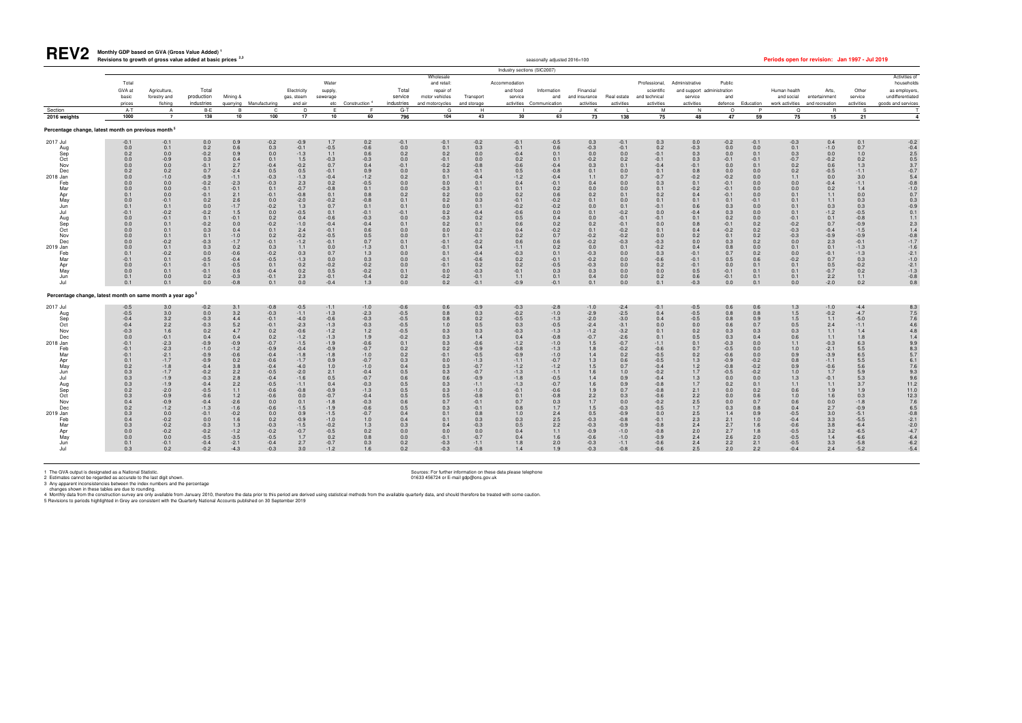

#### **Monthly GDP based on GVA (Gross Value Added) <sup>1</sup>** Revisions to growth of gross value added at basic prices <sup>2,3</sup> seasonally adjusted 2016=100 **Periods open for revision: Jan 1997 - Jul 2019**

|                                                                                                                                                                                            |                                                                                                                                                                                                     |                                                                                                                                                                                                                                |                                                                                                                                                                                                                                            |                                                                                                                                                                                                                    |                                                                                                                                                                                                                                         |                                                                                                                                                                                                                                      |                                                                                                                                                                                                                                      |                                                                                                                                                                                                                                                                 |                                                                                                                                                                                               |                                                                                                                                                                                                           |                                                                                                                                                                                                                                | Industry sections (SIC2007)                                                                                                                                                                                              |                                                                                                                                                                                                                                                             |                                                                                                                                                                                                                 |                                                                                                                                                                                                                             |                                                                                                                                                                                                                                      |                                                                                                                                                                                                                |                                                                                                                                                                                                           |                                                                                                                                                                                      |                                                                                                                                                                                                      |                                                                                                                                                                                                                   |                                                                                                                                                                                                                        |                                                                                                                                                                                                                                                        |
|--------------------------------------------------------------------------------------------------------------------------------------------------------------------------------------------|-----------------------------------------------------------------------------------------------------------------------------------------------------------------------------------------------------|--------------------------------------------------------------------------------------------------------------------------------------------------------------------------------------------------------------------------------|--------------------------------------------------------------------------------------------------------------------------------------------------------------------------------------------------------------------------------------------|--------------------------------------------------------------------------------------------------------------------------------------------------------------------------------------------------------------------|-----------------------------------------------------------------------------------------------------------------------------------------------------------------------------------------------------------------------------------------|--------------------------------------------------------------------------------------------------------------------------------------------------------------------------------------------------------------------------------------|--------------------------------------------------------------------------------------------------------------------------------------------------------------------------------------------------------------------------------------|-----------------------------------------------------------------------------------------------------------------------------------------------------------------------------------------------------------------------------------------------------------------|-----------------------------------------------------------------------------------------------------------------------------------------------------------------------------------------------|-----------------------------------------------------------------------------------------------------------------------------------------------------------------------------------------------------------|--------------------------------------------------------------------------------------------------------------------------------------------------------------------------------------------------------------------------------|--------------------------------------------------------------------------------------------------------------------------------------------------------------------------------------------------------------------------|-------------------------------------------------------------------------------------------------------------------------------------------------------------------------------------------------------------------------------------------------------------|-----------------------------------------------------------------------------------------------------------------------------------------------------------------------------------------------------------------|-----------------------------------------------------------------------------------------------------------------------------------------------------------------------------------------------------------------------------|--------------------------------------------------------------------------------------------------------------------------------------------------------------------------------------------------------------------------------------|----------------------------------------------------------------------------------------------------------------------------------------------------------------------------------------------------------------|-----------------------------------------------------------------------------------------------------------------------------------------------------------------------------------------------------------|--------------------------------------------------------------------------------------------------------------------------------------------------------------------------------------|------------------------------------------------------------------------------------------------------------------------------------------------------------------------------------------------------|-------------------------------------------------------------------------------------------------------------------------------------------------------------------------------------------------------------------|------------------------------------------------------------------------------------------------------------------------------------------------------------------------------------------------------------------------|--------------------------------------------------------------------------------------------------------------------------------------------------------------------------------------------------------------------------------------------------------|
|                                                                                                                                                                                            | Total<br>GVA at<br>basic<br>prices                                                                                                                                                                  | Agriculture.<br>forestry and<br>fishing                                                                                                                                                                                        | Total<br>production<br>industries                                                                                                                                                                                                          | Mining &                                                                                                                                                                                                           | quarrying Manufacturing                                                                                                                                                                                                                 | Electricity<br>gas, steam<br>and air                                                                                                                                                                                                 | Water<br>supply,<br>sewerage                                                                                                                                                                                                         | etc Construction <sup>4</sup>                                                                                                                                                                                                                                   | Total<br>service<br>industries                                                                                                                                                                | Wholesale<br>and retail:<br>repair of<br>motor vehicles<br>and motorcycles                                                                                                                                | Transport<br>and storage                                                                                                                                                                                                       | Accommodation<br>and food<br>service                                                                                                                                                                                     | Information<br>and<br>activities Communication                                                                                                                                                                                                              | Financial<br>and insurance<br>activities                                                                                                                                                                        | Real estate<br>activities                                                                                                                                                                                                   | Professional,<br>scientific<br>and technical<br>activities                                                                                                                                                                           | Administrative<br>and support administration<br>service<br>activities                                                                                                                                          | Public<br>and<br>defence                                                                                                                                                                                  | Education                                                                                                                                                                            | Human health<br>and social<br>work activities and recreation                                                                                                                                         | Arts.<br>entertainment                                                                                                                                                                                            | Other<br>service<br>activities                                                                                                                                                                                         | Activities of<br>households<br>as employers.<br>undifferentiated<br>goods and services                                                                                                                                                                 |
| Section<br>2016 weights                                                                                                                                                                    | $A-T$<br>1000                                                                                                                                                                                       | A<br>$\overline{7}$                                                                                                                                                                                                            | B-E<br>138                                                                                                                                                                                                                                 | 10                                                                                                                                                                                                                 | C.<br>100                                                                                                                                                                                                                               | D<br>17                                                                                                                                                                                                                              | 10                                                                                                                                                                                                                                   | F<br>60                                                                                                                                                                                                                                                         | $G-T$<br>796                                                                                                                                                                                  | G<br>104                                                                                                                                                                                                  | H<br>43                                                                                                                                                                                                                        | 30                                                                                                                                                                                                                       | 63                                                                                                                                                                                                                                                          | K<br>73                                                                                                                                                                                                         | 138                                                                                                                                                                                                                         | м<br>75                                                                                                                                                                                                                              | N<br>48                                                                                                                                                                                                        | $\circ$<br>47                                                                                                                                                                                             | P<br>59                                                                                                                                                                              | $\Omega$<br>75                                                                                                                                                                                       | $\overline{R}$<br>15                                                                                                                                                                                              | S<br>21                                                                                                                                                                                                                |                                                                                                                                                                                                                                                        |
| Percentage change, latest month on previous month <sup>5</sup>                                                                                                                             |                                                                                                                                                                                                     |                                                                                                                                                                                                                                |                                                                                                                                                                                                                                            |                                                                                                                                                                                                                    |                                                                                                                                                                                                                                         |                                                                                                                                                                                                                                      |                                                                                                                                                                                                                                      |                                                                                                                                                                                                                                                                 |                                                                                                                                                                                               |                                                                                                                                                                                                           |                                                                                                                                                                                                                                |                                                                                                                                                                                                                          |                                                                                                                                                                                                                                                             |                                                                                                                                                                                                                 |                                                                                                                                                                                                                             |                                                                                                                                                                                                                                      |                                                                                                                                                                                                                |                                                                                                                                                                                                           |                                                                                                                                                                                      |                                                                                                                                                                                                      |                                                                                                                                                                                                                   |                                                                                                                                                                                                                        |                                                                                                                                                                                                                                                        |
| 2017 Jul<br>Aug<br>Sep<br>Oct<br>Nov<br>Dec<br>2018 Jan<br>Feb<br>Mar<br>Apr<br>May<br>Jun<br>Jul<br>Aug<br>Sep<br>Oct<br>Nov<br>Dec<br>2019 Jan<br>Feb<br>Mar<br>Apr<br>May<br>Jun<br>Jul | $-0.1$<br>0.0<br>0.2<br>0.0<br>0.0<br>0.2<br>0.0<br>0.0<br>0.0<br>0.1<br>0.0<br>0.1<br>$-0.1$<br>0.0<br>0.0<br>0.0<br>0.0<br>0.0<br>0.0<br>0.1<br>$-0.1$<br>0.0<br>0.0<br>0.1<br>0.1                | $-0.1$<br>0.1<br>0.0<br>$-0.9$<br>0.0<br>0.2<br>$-1.0$<br>0.0<br>0.0<br>0.0<br>$-0.1$<br>0.1<br>$-0.2$<br>$-0.1$<br>0.1<br>0.1<br>0.1<br>$-0.2$<br>0.1<br>$-0.2$<br>0.1<br>$-0.1$<br>0.1<br>0.0<br>0.1                         | 0.0<br>0.2<br>$-0.2$<br>0.3<br>$-0.1$<br>0.7<br>$-0.9$<br>$-0.2$<br>$-0.1$<br>$-0.1$<br>0.2<br>0.0<br>$-0.2$<br>0.1<br>$-0.2$<br>0.3<br>0.1<br>$-0.3$<br>0.3<br>0.0<br>$-0.5$<br>$-0.1$<br>$-0.1$<br>0.2<br>0.0                            | 0.9<br>0.6<br>0.9<br>0.4<br>2.7<br>$-2.4$<br>$-1.1$<br>$-2.3$<br>$-0.1$<br>2.1<br>2.6<br>$-1.7$<br>1.5<br>$-0.1$<br>0.0<br>0.4<br>$-1.0$<br>$-1.7$<br>0.2<br>$-0.6$<br>$-0.4$<br>$-0.5$<br>0.6<br>$-0.3$<br>$-0.8$ | $-0.2$<br>0.3<br>0.0<br>0.1<br>$-0.4$<br>0.5<br>$-0.3$<br>$-0.3$<br>0.1<br>$-0.1$<br>$0.0\,$<br>$-0.2$<br>$0.0\,$<br>0.2<br>$-0.2$<br>0.1<br>0.2<br>$-0.1$<br>0.3<br>$-0.2$<br>$-0.5$<br>0.1<br>$-0.4$<br>$-0.1$<br>0.1                 | $-0.9$<br>$-0.1$<br>$-1.3$<br>1.5<br>$-0.2$<br>0.5<br>$-1.3$<br>2.3<br>$-0.7$<br>$-0.8$<br>$-2.0$<br>1.3<br>$-0.5$<br>0.4<br>$-1.0$<br>2.4<br>$-0.2$<br>$-1.2$<br>1.1<br>0.3<br>$-1.3$<br>0.2<br>0.2<br>2.3<br>0.0                   | 1.7<br>$-0.5$<br>1.1<br>$-0.3$<br>0.7<br>$-0.1$<br>$-0.4$<br>0.2<br>$-0.8$<br>0.1<br>$-0.2$<br>0.7<br>0.1<br>$-0.6$<br>$-0.4$<br>$-0.1$<br>$-0.5$<br>$-0.1$<br>0.0<br>0.7<br>0.0<br>$-0.2$<br>0.5<br>$-0.1$<br>$-0.4$                | 0.2<br>$-0.6$<br>0.6<br>$-0.3$<br>0.4<br>0.9<br>$-1.2$<br>$-0.5$<br>0.1<br>0.8<br>$-0.8$<br>0.1<br>$-0.1$<br>$-0.3$<br>$-0.4$<br>$0.6\,$<br>0.5<br>0.7<br>$-1.3$<br>$1.3$<br>0.3<br>$-0.2$<br>$-0.2$<br>$-0.4$<br>1.3                                           | $-0.1$<br>$0.0\,$<br>0.2<br>0.0<br>$-0.1$<br>$0.0\,$<br>0.2<br>0.0<br>0.0<br>0.2<br>0.1<br>0.1<br>$-0.1$<br>0.0<br>0.1<br>0.0<br>0.0<br>0.1<br>0.1<br>0.0<br>0.0<br>0.0<br>0.1<br>0.2<br>0.0  | $-0.1$<br>0.1<br>0.2<br>$-0.1$<br>$-0.2$<br>0.3<br>0.1<br>0.0<br>$-0.3$<br>0.2<br>0.2<br>0.0<br>0.2<br>$-0.3$<br>0.2<br>0.0<br>0.1<br>$-0.1$<br>$-0.1$<br>0.1<br>$-0.1$<br>$-0.1$<br>0.0<br>$-0.2$<br>0.2 | $-0.2$<br>0.3<br>0.0<br>0.0<br>$-0.8$<br>$-0.1$<br>$-0.4$<br>0.1<br>$-0.1$<br>0.0<br>0.3<br>0.1<br>$-0.4$<br>0.2<br>0.1<br>0.2<br>$-0.1$<br>$-0.2$<br>0.4<br>$-0.4$<br>$-0.6$<br>0.2<br>$-0.3$<br>$-0.1$<br>$-0.1$             | $-0.1$<br>$-0.1$<br>$-0.4$<br>0.2<br>$-0.6$<br>0.5<br>$-1.2$<br>0.4<br>0.1<br>0.2<br>$-0.1$<br>$-0.2$<br>$-0.6$<br>0.5<br>0.6<br>0.4<br>0.2<br>0.6<br>$-1.1$<br>$-0.3$<br>0.2<br>0.2<br>$-0.1$<br>1.1<br>$-0.9$          | $-0.5$<br>0.6<br>0.1<br>0.1<br>$-0.4$<br>$-0.8$<br>$-0.4$<br>$-0.1$<br>$\begin{array}{c} 0.2 \\ 0.6 \end{array}$<br>$-0.2$<br>$-0.2$<br>$0.0\,$<br>$0.4\,$<br>$0.2$<br>-0.2<br>0.7<br>$0.6\,$<br>$0.2\,$<br>0.1<br>$-0.1$<br>$-0.5$<br>0.3<br>0.1<br>$-0.1$ | 0.3<br>$-0.3$<br>0.0<br>$-0.2$<br>0.3<br>0.1<br>1.1<br>0.4<br>0.0<br>0.2<br>0.1<br>0.0<br>0.1<br>0.0<br>0.2<br>0.1<br>$-0.2$<br>$-0.2$<br>0.0<br>$-0.3$<br>$-0.2$<br>$-0.3$<br>0.3<br>0.4<br>0.1                | $-0.1$<br>$-0.1$<br>0.0<br>0.2<br>0.1<br>0.0<br>0.7<br>0.0<br>0.0<br>0.1<br>0.0<br>0.1<br>$-0.2$<br>$-0.1$<br>$-0.1$<br>$-0.2$<br>$-0.2$<br>$-0.3$<br>0.1<br>0.0<br>0.0<br>0.0<br>0.0<br>0.0<br>0.0                         | 0.3<br>0.2<br>$-0.1$<br>$-0.1$<br>$-0.4$<br>0.1<br>$-0.7$<br>0.3<br>0.1<br>0.2<br>0.1<br>$-0.1$<br>0.0<br>$-0.1$<br>0.0<br>0.1<br>0.0<br>$-0.3$<br>$-0.2$<br>0.3<br>$-0.6$<br>0.2<br>0.0<br>0.2<br>0.1                               | 0.0<br>$-0.3$<br>0.3<br>0.3<br>$-0.1$<br>$0.8\,$<br>$-0.2$<br>0.1<br>$-0.2$<br>0.4<br>0.1<br>0.6<br>$-0.4$<br>0.1<br>0.8<br>0.4<br>0.2<br>$0.0\,$<br>0.4<br>$-0.1$<br>$-0.1$<br>$-0.1$<br>0.5<br>0.6<br>$-0.3$ | $-0.2$<br>0.0<br>0.0<br>$-0.1$<br>0.0<br>0.0<br>$-0.2$<br>$-0.1$<br>$-0.1$<br>$-0.1$<br>0.1<br>0.3<br>0.3<br>0.2<br>$-0.1$<br>$-0.2$<br>0.1<br>0.3<br>0.8<br>0.7<br>0.5<br>0.0<br>$-0.1$<br>$-0.1$<br>0.0 | $-0.1$<br>0.0<br>0.1<br>$-0.1$<br>0.1<br>0.0<br>0.0<br>0.0<br>0.0<br>0.0<br>$-0.1$<br>0.0<br>0.0<br>0.0<br>0.2<br>0.2<br>0.2<br>0.2<br>0.0<br>0.2<br>0.6<br>0.1<br>0.1<br>0.1<br>0.1 | $-0.3$<br>0.1<br>0.3<br>$-0.7$<br>0.2<br>0.2<br>1.1<br>0.0<br>0.0<br>0.1<br>0.1<br>0.1<br>0.1<br>$-0.1$<br>$-0.2$<br>$-0.3$<br>$-0.3$<br>0.0<br>0.1<br>0.0<br>$-0.2$<br>0.1<br>0.1<br>0.1<br>0.0     | 0.4<br>$-1.0$<br>$0.0\,$<br>$-0.2$<br>0.6<br>$-0.5$<br>0.0<br>$-0.4$<br>0.2<br>1.1<br>1.1<br>0.3<br>$-1.2$<br>0.1<br>0.7<br>$-0.4$<br>$-0.9$<br>2.3<br>0.1<br>$-0.1$<br>0.7<br>0.5<br>$-0.7$<br>$2.2\,$<br>$-2.0$ | 0.1<br>0.7<br>1.0<br>0.2<br>1.3<br>$-1.1$<br>3.0<br>$-1.1$<br>1.4<br>0.0<br>0.3<br>0.3<br>$-0.5$<br>$-0.8$<br>$-0.9$<br>$-1.5$<br>$-0.9$<br>$-0.1$<br>$-1.3$<br>$-1.3$<br>0.3<br>$-0.2$<br>0.2<br>1.1<br>0.2           | $-0.2$<br>$-0.4$<br>2.5<br>$\begin{array}{c} 0.5 \\ 3.7 \end{array}$<br>$-0.7$<br>5.4<br>$-0.8$<br>$-1.0$<br>0.7<br>$0.3 - 0.9$<br>0.1<br>1.1<br>$2.3$<br>1.4<br>$-0.8$<br>$-1.7$<br>$-1.6$<br>$-2.1$<br>$-1.0$<br>$-2.1$<br>$-1.3$<br>$-0.8$<br>$0.8$ |
| Percentage change, latest month on same month a year ago <sup>5</sup>                                                                                                                      |                                                                                                                                                                                                     |                                                                                                                                                                                                                                |                                                                                                                                                                                                                                            |                                                                                                                                                                                                                    |                                                                                                                                                                                                                                         |                                                                                                                                                                                                                                      |                                                                                                                                                                                                                                      |                                                                                                                                                                                                                                                                 |                                                                                                                                                                                               |                                                                                                                                                                                                           |                                                                                                                                                                                                                                |                                                                                                                                                                                                                          |                                                                                                                                                                                                                                                             |                                                                                                                                                                                                                 |                                                                                                                                                                                                                             |                                                                                                                                                                                                                                      |                                                                                                                                                                                                                |                                                                                                                                                                                                           |                                                                                                                                                                                      |                                                                                                                                                                                                      |                                                                                                                                                                                                                   |                                                                                                                                                                                                                        |                                                                                                                                                                                                                                                        |
| 2017 Jul<br>Aug<br>Sep<br>Oct<br>Nov<br>Dec<br>2018 Jan<br>Feb<br>Mar<br>Apr<br>May<br>Jun<br>Jul<br>Aug<br>Sep<br>Oct<br>Nov<br>Dec<br>2019 Jan<br>Feb<br>Mar<br>Apr<br>May<br>Jun<br>Jul | $-0.5$<br>$-0.5$<br>$-0.4$<br>$-0.4$<br>$-0.3$<br>0.0<br>$-0.1$<br>$-0.1$<br>$-0.1$<br>0.1<br>0.2<br>0.3<br>0.3<br>0.3<br>0.2<br>0.3<br>0.4<br>0.2<br>0.3<br>0.4<br>0.3<br>0.0<br>0.0<br>0.1<br>0.3 | 3.0<br>3.0<br>3.2<br>2.2<br>1.6<br>$-0.1$<br>$-2.3$<br>$-2.3$<br>$-2.1$<br>$-1.7$<br>$-1.8$<br>$-1.7$<br>$-1.9$<br>$-1.9$<br>$-2.0$<br>$-0.9$<br>$-0.9$<br>$-1.2$<br>0.0<br>$-0.2$<br>$-0.2$<br>$-0.2$<br>0.0<br>$-0.1$<br>0.2 | $-0.2$<br>0.0<br>$-0.3$<br>$-0.3$<br>0.2<br>0.4<br>$-0.9$<br>$-1.0$<br>$-0.9$<br>$-0.9$<br>$-0.4$<br>$-0.2$<br>$-0.3$<br>$-0.4$<br>$-0.5$<br>$-0.6$<br>$-0.4$<br>$-1.3$<br>$-0.1$<br>0.0<br>$-0.3$<br>$-0.2$<br>$-0.5$<br>$-0.4$<br>$-0.2$ | 3.1<br>3.2<br>4.4<br>5.2<br>4.7<br>0.4<br>$-0.9$<br>$-1.2$<br>$-0.6$<br>0.2<br>3.8<br>2.2<br>2.8<br>2.2<br>1.1<br>1.2<br>$-2.6$<br>$-1.6$<br>$-0.2$<br>1.6<br>1.3<br>$-1.2$<br>$-3.5$<br>$-2.1$<br>$-4.3$          | $-0.8$<br>$-0.3$<br>$-0.1$<br>$-0.1$<br>0.2<br>0.2<br>$-0.7$<br>$-0.9$<br>$-0.4$<br>$-0.6$<br>$-0.4$<br>$-0.5$<br>$-0.4$<br>$-0.5$<br>$-0.6$<br>$-0.6$<br>0.0<br>$-0.6$<br>0.0<br>0.2<br>$-0.3$<br>$-0.2$<br>$-0.5$<br>$-0.4$<br>$-0.3$ | $-0.5$<br>$-1.1$<br>$-4.0$<br>$-2.3$<br>$-0.6$<br>$-1.2$<br>$-1.5$<br>$-0.4$<br>$-1.8$<br>$-1.7$<br>$-4.0$<br>$-2.0$<br>$-1.6$<br>$-1.1$<br>$-0.8$<br>0.0<br>0.1<br>$-1.5$<br>0.9<br>$-0.9$<br>$-1.5$<br>$-0.7$<br>1.7<br>2.7<br>3.0 | $-1.1$<br>$-1.3$<br>$-0.6$<br>$-1.3$<br>$-1.2$<br>$-1.3$<br>$-1.9$<br>$-0.9$<br>$-1.8$<br>0.9<br>1.0<br>2.1<br>0.5<br>0.4<br>$-0.9$<br>$-0.7$<br>$-1.8$<br>$-1.9$<br>$-1.5$<br>$-1.0$<br>$-0.2$<br>$-0.5$<br>0.2<br>$-0.7$<br>$-1.2$ | $-1.0$<br>$-2.3$<br>$-0.3$<br>$-0.3$<br>$1.2$<br>1.9<br>$-0.6$<br>$-0.7$<br>$-1.0$<br>$-0.7$<br>$-1.0$<br>$-0.4$<br>$-0.7$<br>$-0.3$<br>$-1.3$<br>$-0.4$<br>$-0.3$<br>$-0.6$<br>$-0.7$<br>1.0<br>$\begin{array}{c} 1.3 \\ 0.2 \end{array}$<br>0.8<br>0.3<br>1.6 | $-0.6$<br>$-0.5$<br>$-0.5$<br>$-0.5$<br>$-0.5$<br>$-0.2$<br>0.1<br>0.2<br>0.2<br>0.3<br>0.4<br>0.5<br>0.6<br>0.5<br>0.5<br>0.5<br>0.6<br>0.5<br>0.4<br>0.4<br>0.3<br>0.0<br>0.0<br>0.2<br>0.2 | 0.6<br>0.8<br>0.8<br>1.0<br>0.3<br>0.3<br>0.3<br>0.2<br>$-0.1$<br>0.0<br>0.3<br>0.3<br>0.6<br>0.3<br>0.3<br>0.5<br>0.7<br>0.3<br>0.1<br>0.1<br>0.4<br>0.0<br>$-0.1$<br>$-0.3$<br>$-0.3$                   | $-0.9$<br>0.3<br>0.2<br>0.5<br>0.3<br>1.4<br>$-0.6$<br>$-0.9$<br>$-0.5$<br>$-1.3$<br>$-0.7$<br>$-0.7$<br>$-0.9$<br>$-1.1$<br>$-1.0$<br>$-0.8$<br>$-0.1$<br>$-0.1$<br>0.8<br>0.3<br>$-0.3$<br>0.0<br>$-0.7$<br>$-1.1$<br>$-0.8$ | $-0.3$<br>$-0.2$<br>$-0.5$<br>0.3<br>$-0.3$<br>0.4<br>$-1.2$<br>$-0.8$<br>$-0.9$<br>$-1.1$<br>$-1.2$<br>$-1.3$<br>$-1.8$<br>$-1.3$<br>$-0.1$<br>0.1<br>0.7<br>0.8<br>1.0<br>0.3<br>$0.5\,$<br>0.4<br>0.4<br>$1.8$<br>1.4 | $-2.8$<br>$-1.0$<br>$-1.3$<br>$-0.5$<br>$-1.3$<br>$-0.8$<br>$-1.0$<br>$-1.3$<br>$-1.0$<br>$-0.7$<br>$-1.2$<br>$-1.1$<br>$-0.5$<br>$-0.7$<br>$-0.6$<br>$-0.8$<br>0.3<br>1.7<br>$2.4\,$<br>2.5<br>$2.2$<br>1.1<br>1.6<br>2.0<br>1.9                           | $-1.0$<br>$-2.9$<br>$-2.0$<br>$-2.4$<br>$-1.2$<br>$-0.7$<br>1.5<br>1.8<br>1.4<br>1.3<br>1.5<br>1.6<br>1.4<br>1.6<br>1.9<br>2.2<br>1.7<br>1.5<br>0.5<br>$-0.3$<br>$-0.3$<br>$-0.9$<br>$-0.6$<br>$-0.3$<br>$-0.3$ | $-2.4$<br>$-2.5$<br>$-3.0$<br>$-3.1$<br>$-3.2$<br>$-2.6$<br>$-0.7$<br>$-0.2$<br>0.2<br>0.6<br>0.7<br>1.0<br>0.9<br>0.9<br>0.7<br>0.3<br>0.0<br>$-0.3$<br>$-0.9$<br>$-0.8$<br>$-0.9$<br>$-1.0$<br>$-1.0$<br>$-1.1$<br>$-0.8$ | $-0.1$<br>0.4<br>0.4<br>0.0<br>0.1<br>0.1<br>$-1.1$<br>$-0.6$<br>$-0.5$<br>$-0.5$<br>$-0.4$<br>$-0.2$<br>$-0.4$<br>$-0.8$<br>$-0.8$<br>$-0.6$<br>$-0.2$<br>$-0.5$<br>0.0<br>$-0.1$<br>$-0.8$<br>$-0.8$<br>$-0.9$<br>$-0.6$<br>$-0.6$ | $-0.5$<br>$-0.5$<br>$-0.5$<br>0.0<br>0.2<br>0.5<br>0.1<br>0.7<br>$0.2\,$<br>1.3<br>1.2<br>1.7<br>1.3<br>1.7<br>2.1<br>2.2<br>$2.5\,$<br>1.7<br>2.5<br>2.3<br>$2.4$<br>$2.0$<br>2.4<br>2.4<br>2.5               | 0.6<br>0.8<br>0.8<br>0.6<br>0.3<br>0.3<br>$-0.3$<br>$-0.5$<br>$-0.6$<br>$-0.9$<br>$-0.8$<br>$-0.5$<br>0.0<br>0.2<br>0.0<br>0.0<br>0.0<br>0.3<br>1.4<br>2.1<br>2.7<br>2.7<br>2.6<br>2.2<br>2.0             | 0.6<br>0.8<br>0.9<br>0.7<br>0.3<br>0.4<br>0.0<br>0.0<br>0.0<br>$-0.2$<br>$-0.2$<br>$-0.2$<br>0.0<br>0.1<br>0.2<br>0.6<br>0.7<br>0.8<br>0.9<br>1.0<br>1.6<br>1.8<br>2.0<br>2.1<br>2.2 | $1.3\,$<br>1.5<br>1.5<br>0.5<br>0.3<br>0.6<br>1.1<br>1.0<br>0.9<br>0.8<br>0.9<br>1.0<br>1.3<br>1.1<br>0.6<br>1.0<br>0.6<br>0.4<br>$-0.5$<br>$-0.4$<br>$-0.6$<br>$-0.5$<br>$-0.5$<br>$-0.5$<br>$-0.4$ | $-1.0$<br>$-0.2$<br>1.1<br>2.4<br>1.1<br>1.1<br>$-0.3$<br>$-2.1$<br>$-3.9$<br>$-1.1$<br>$-0.6$<br>1.7<br>$-0.1$<br>1.1<br>1.9<br>1.6<br>$0.0\,$<br>2.7<br>3.0<br>3.3<br>$\frac{3.8}{3.2}$<br>1.4<br>3.3<br>2.4    | $-4.4$<br>$-4.7$<br>$-5.0$<br>$-1.1$<br>1.4<br>1.8<br>6.3<br>5.5<br>$6.5\,$<br>5.5<br>5.6<br>5.9<br>5.3<br>3.7<br>1.9<br>0.3<br>$-1.8$<br>$-0.9$<br>$-5.1$<br>$-5.5$<br>$-6.4$<br>$-6.5$<br>$-6.6$<br>$-5.8$<br>$-5.2$ | 8.3<br>7.5<br>7.6<br>4.6<br>4.8<br>$\frac{1.4}{9.9}$<br>$8.3$<br>5.7<br>6.1<br>$7.6$<br>9.3<br>9.6<br>11.2<br>11.0<br>$\begin{array}{c} 12.3 \\ 7.6 \\ 6.5 \end{array}$<br>$-0.8$<br>$-2.1$<br>$-2.0$<br>$-4.7$<br>$-6.4$<br>$-6.2$<br>$-5.4$          |

1 The GVA output is designated as a National Statistic.<br>2 Estimates cannot be regarded as accurate to the last digit shown. Sources: For further information on these data please telephone<br>3 Any apparent inconsistencies bet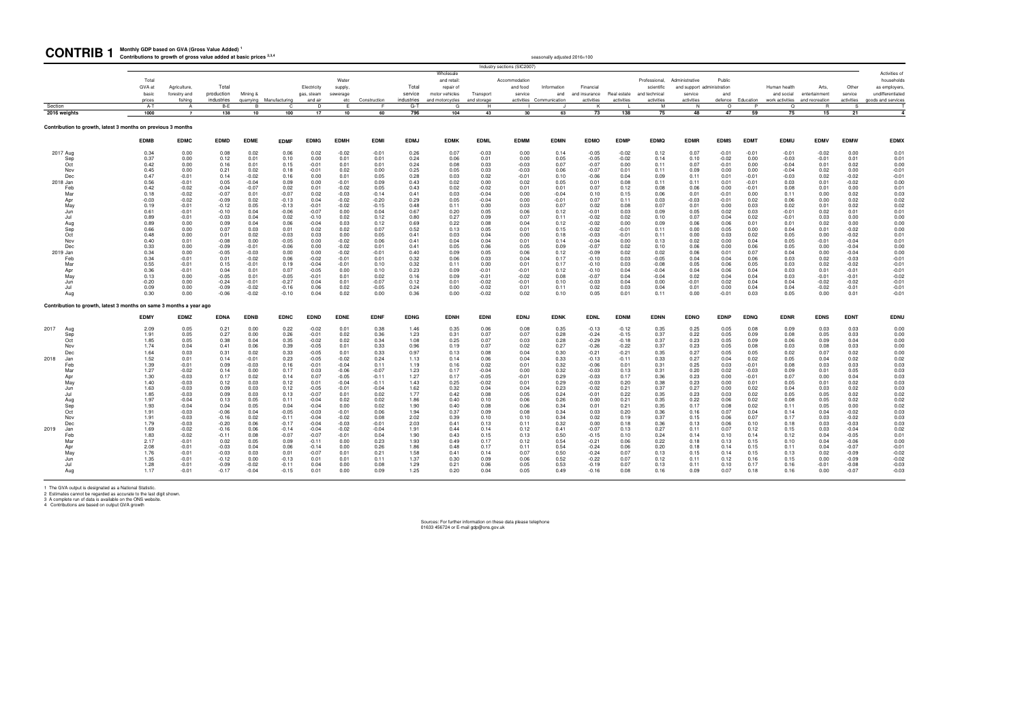**Monthly GDP based on GVA (Gross Value Added) <sup>1</sup>**

1 The GVA output is designated as a National Statistic.<br>2 Estimates cannot be regarded as accurate to the last digit shown.<br>3 A complete run of data is available on the ONS website.<br>4 Contributions are based on output GVA

| <b>CONTRIB</b>                                                      | Monthly GDP based on GVA (Gross Value Added)<br>Contributions to growth of gross value added at basic prices 2,3,4 |                                         |                                   |                      |                         |                                      |                                     |                    |                                |                                                               |                          |                                      | seasonally adjusted 2016=100                   |                                          |                           |                                                            |                                                                       |                    |                    |                                               |                                          |                                |                                                                       |
|---------------------------------------------------------------------|--------------------------------------------------------------------------------------------------------------------|-----------------------------------------|-----------------------------------|----------------------|-------------------------|--------------------------------------|-------------------------------------|--------------------|--------------------------------|---------------------------------------------------------------|--------------------------|--------------------------------------|------------------------------------------------|------------------------------------------|---------------------------|------------------------------------------------------------|-----------------------------------------------------------------------|--------------------|--------------------|-----------------------------------------------|------------------------------------------|--------------------------------|-----------------------------------------------------------------------|
|                                                                     |                                                                                                                    |                                         |                                   |                      |                         |                                      |                                     |                    |                                | Wholesale                                                     |                          | Industry sections (SIC2007)          |                                                |                                          |                           |                                                            |                                                                       |                    |                    |                                               |                                          |                                | Activities of                                                         |
|                                                                     | Total<br>GVA at<br>basic<br>prices                                                                                 | Agriculture,<br>forestry and<br>fishing | Total<br>production<br>industries | Mining &             | quarrying Manufacturing | Electricity<br>gas, steam<br>and air | Water<br>supply,<br>sewerage<br>etc | Construction       | Total<br>service<br>industries | and retail:<br>repair of<br>motor vehicles<br>and motorcycles | Transport<br>and storage | Accommodation<br>and food<br>service | Information<br>and<br>activities Communication | Financial<br>and insurance<br>activities | Real estate<br>activities | Professional,<br>scientific<br>and technical<br>activities | Administrative<br>and support administration<br>service<br>activities | Public<br>and      | defence Education  | Human health<br>and social<br>work activities | Arts,<br>entertainment<br>and recreation | Other<br>service<br>activities | households<br>as employers,<br>undifferentiated<br>goods and services |
| Section<br>2016 weights                                             | $A-T$<br>1000                                                                                                      | $\overline{A}$<br>$\overline{7}$        | $B-E$<br>138                      | $\overline{B}$<br>10 | C.<br>100               | n.<br>17                             | $\mathbb{R}$<br>10                  | 60                 | $G-T$<br>796                   | G<br>104                                                      | H<br>43                  | 30                                   | 63                                             | $\mathsf{K}$<br>73                       | 138                       | M<br>75                                                    | $\mathbf N$<br>48                                                     | $\Omega$<br>47     | 59                 | $\Omega$<br>75                                | R<br>15                                  | $\mathbf{s}$<br>21             | $\overline{4}$                                                        |
|                                                                     |                                                                                                                    |                                         |                                   |                      |                         |                                      |                                     |                    |                                |                                                               |                          |                                      |                                                |                                          |                           |                                                            |                                                                       |                    |                    |                                               |                                          |                                |                                                                       |
| Contribution to growth, latest 3 months on previous 3 months        |                                                                                                                    |                                         |                                   |                      |                         |                                      |                                     |                    |                                |                                                               |                          |                                      |                                                |                                          |                           |                                                            |                                                                       |                    |                    |                                               |                                          |                                |                                                                       |
|                                                                     | <b>EDMB</b>                                                                                                        | <b>EDMC</b>                             | <b>EDMD</b>                       | <b>EDME</b>          | <b>EDMF</b>             | <b>EDMG</b>                          | <b>EDMH</b>                         | <b>EDMI</b>        | <b>EDMJ</b>                    | <b>EDMK</b>                                                   | <b>EDML</b>              | <b>EDMM</b>                          | <b>EDMN</b>                                    | <b>EDMO</b>                              | <b>EDMP</b>               | <b>EDMQ</b>                                                | <b>EDMR</b>                                                           | <b>EDMS</b>        | <b>EDMT</b>        | <b>EDMU</b>                                   | <b>EDMV</b>                              | <b>EDMW</b>                    | <b>EDMX</b>                                                           |
| 2017 Aug                                                            | 0.34                                                                                                               | 0.00                                    | 0.08                              | 0.02                 | 0.06                    | 0.02                                 | $-0.02$                             | $-0.01$            | 0.26                           | 0.07                                                          | $-0.03$                  | 0.00                                 | 0.14                                           | $-0.05$                                  | $-0.02$                   | 0.12                                                       | 0.07                                                                  | $-0.01$            | $-0.01$            | $-0.01$                                       | $-0.02$                                  | 0.00                           | 0.0                                                                   |
| Sep<br>Oct                                                          | 0.37<br>0.42                                                                                                       | 0.00<br>0.00                            | 0.12<br>0.16                      | 0.01<br>0.01         | 0.10<br>0.15            | 0.00<br>$-0.01$                      | 0.01<br>0.01                        | 0.01<br>0.01       | 0.24<br>0.24                   | 0.06<br>0.08                                                  | 0.01<br>0.03             | 0.00<br>$-0.03$                      | 0.05<br>0.07                                   | $-0.05$<br>$-0.07$                       | $-0.02$<br>0.00           | 0.14<br>0.11                                               | 0.10<br>0.07                                                          | $-0.02$<br>$-0.01$ | 0.00<br>0.00       | $-0.03$<br>$-0.04$                            | $-0.01$<br>0.01                          | 0.01<br>0.02                   | 0.01<br>0.00                                                          |
| Nov                                                                 | 0.45                                                                                                               | 0.00                                    | 0.21                              | 0.02                 | 0.18                    | $-0.01$                              | 0.02                                | 0.00               | 0.25                           | 0.05                                                          | 0.03                     | $-0.03$                              | 0.06                                           | $-0.07$                                  | 0.01                      | 0.11                                                       | 0.09                                                                  | 0.00               | 0.00               | $-0.04$                                       | 0.02                                     | 0.00                           | $-0.01$                                                               |
| Dec                                                                 | 0.47                                                                                                               | $-0.01$                                 | 0.14                              | $-0.02$              | 0.16                    | 0.00                                 | 0.01                                | 0.05               | 0.28                           | 0.03                                                          | 0.02                     | $-0.01$                              | 0.10                                           | $-0.06$                                  | 0.04                      | 0.09                                                       | 0.11                                                                  | 0.01               | $-0.01$            | $-0.03$                                       | 0.02                                     | $-0.02$                        | $-0.01$                                                               |
| 2018 Jan<br>Feb                                                     | 0.56<br>0.42                                                                                                       | $-0.01$<br>$-0.02$                      | 0.05<br>$-0.04$                   | $-0.04$<br>$-0.07$   | 0.09<br>0.02            | 0.00<br>0.01                         | $-0.01$<br>$-0.02$                  | 0.09<br>0.05       | 0.43<br>0.43                   | 0.02<br>0.02                                                  | 0.00<br>$-0.02$          | 0.02<br>0.01                         | 0.05<br>0.01                                   | 0.01<br>0.07                             | 0.08<br>0.12              | 0.11<br>0.08                                               | 0.11<br>0.06                                                          | 0.01<br>0.00       | $-0.01$<br>$-0.01$ | 0.03<br>0.08                                  | 0.01<br>0.01                             | $-0.02$<br>0.00                | 0.00<br>0.01                                                          |
| Mar                                                                 | 0.18                                                                                                               | $-0.02$                                 | $-0.07$                           | 0.01                 | $-0.07$                 | 0.02                                 | $-0.03$                             | $-0.14$            | 0.41                           | 0.03                                                          | $-0.04$                  | 0.00                                 | $-0.04$                                        | 0.10                                     | 0.15                      | 0.06                                                       | 0.01                                                                  | $-0.01$            | 0.00               | 0.11                                          | 0.00                                     | 0.02                           | 0.03                                                                  |
| Apr                                                                 | $-0.03$                                                                                                            | $-0.02$                                 | $-0.09$                           | 0.02                 | $-0.13$                 | 0.04                                 | $-0.02$                             | $-0.20$            | 0.29                           | 0.05                                                          | $-0.04$                  | 0.00                                 | $-0.01$                                        | 0.07                                     | 0.11                      | 0.03                                                       | $-0.03$                                                               | $-0.01$            | 0.02               | 0.06                                          | 0.00                                     | 0.02                           | 0.02                                                                  |
| May                                                                 | 0.19                                                                                                               | $-0.01$                                 | $-0.12$                           | 0.05                 | $-0.13$                 | $-0.01$                              | $-0.02$                             | $-0.15$            | 0.48                           | 0.11                                                          | 0.00                     | 0.03                                 | 0.07                                           | 0.02                                     | 0.08                      | 0.07                                                       | 0.01                                                                  | 0.00               | 0.03               | 0.02                                          | 0.01                                     | 0.02                           | 0.02                                                                  |
| Jun<br>Jul                                                          | 0.61<br>0.89                                                                                                       | $-0.01$<br>$-0.01$                      | $-0.10$<br>$-0.03$                | 0.04<br>0.04         | $-0.06$<br>0.02         | $-0.07$<br>$-0.10$                   | 0.00<br>0.02                        | 0.04<br>0.12       | 0.67<br>0.80                   | 0.20<br>0.27                                                  | 0.05<br>0.09             | 0.06<br>0.07                         | 0.12<br>0.11                                   | $-0.01$<br>$-0.02$                       | 0.03<br>0.02              | 0.09<br>0.10                                               | 0.05<br>0.07                                                          | 0.02<br>0.04       | 0.03<br>0.02       | $-0.01$<br>$-0.01$                            | 0.02<br>0.03                             | 0.01<br>0.00                   | 0.01<br>0.00                                                          |
| Aug                                                                 | 0.89                                                                                                               | 0.00                                    | 0.09                              | 0.04                 | 0.06                    | $-0.04$                              | 0.03                                | 0.12               | 0.69                           | 0.22                                                          | 0.08                     | 0.04                                 | 0.12                                           | $-0.02$                                  | 0.00                      | 0.09                                                       | 0.06                                                                  | 0.06               | 0.01               | 0.01                                          | 0.02                                     | 0.00                           | 0.00                                                                  |
| Sep                                                                 | 0.66                                                                                                               | 0.00                                    | 0.07                              | 0.03                 | 0.01                    | 0.02                                 | 0.02                                | 0.07               | 0.52                           | 0.13                                                          | 0.05                     | 0.01                                 | 0.15                                           | $-0.02$                                  | $-0.01$                   | 0.11                                                       | 0.00                                                                  | 0.05               | 0.00               | 0.04                                          | 0.01                                     | $-0.02$                        | 0.00                                                                  |
| Oct<br>Nov                                                          | 0.48<br>0.40                                                                                                       | 0.00<br>0.01                            | 0.01<br>$-0.08$                   | 0.02<br>0.00         | $-0.03$<br>$-0.05$      | 0.03<br>0.00                         | 0.00<br>$-0.02$                     | 0.05<br>0.06       | 0.41<br>0.41                   | 0.03<br>0.04                                                  | 0.04<br>0.04             | 0.00<br>0.01                         | 0.18<br>0.14                                   | $-0.03$<br>$-0.04$                       | $-0.01$<br>0.00           | 0.11<br>0.13                                               | 0.00<br>0.02                                                          | 0.03<br>0.00       | 0.02<br>0.04       | 0.05<br>0.05                                  | 0.00<br>$-0.01$                          | $-0.02$<br>$-0.04$             | 0.01<br>0.01                                                          |
| Dec                                                                 | 0.33                                                                                                               | 0.00                                    | $-0.09$                           | $-0.01$              | $-0.06$                 | 0.00                                 | $-0.02$                             | 0.01               | 0.41                           | 0.05                                                          | 0.06                     | 0.05                                 | 0.09                                           | $-0.07$                                  | 0.02                      | 0.10                                                       | 0.06                                                                  | 0.00               | 0.06               | 0.05                                          | 0.00                                     | $-0.04$                        | 0.00                                                                  |
| 2019 Jan                                                            | 0.34                                                                                                               | 0.00                                    | $-0.05$                           | $-0.03$              | 0.00                    | 0.00                                 | $-0.02$                             | $-0.01$            | 0.40                           | 0.09                                                          | 0.05                     | 0.06                                 | 0.12                                           | $-0.09$                                  | 0.02                      | 0.02                                                       | 0.06                                                                  | 0.01               | 0.07               | 0.04                                          | 0.00                                     | $-0.04$                        | 0.00                                                                  |
| Feb                                                                 | 0.34                                                                                                               | $-0.01$                                 | 0.01                              | $-0.02$              | 0.06                    | $-0.02$                              | $-0.01$                             | 0.01               | 0.32                           | 0.06                                                          | 0.03                     | 0.04                                 | 0.17                                           | $-0.10$                                  | 0.03                      | $-0.05$                                                    | 0.04                                                                  | 0.04               | 0.06               | 0.03                                          | 0.02                                     | $-0.03$                        | $-0.01$                                                               |
| Mar<br>Apr                                                          | 0.55<br>0.36                                                                                                       | $-0.01$<br>$-0.01$                      | 0.15<br>0.04                      | $-0.01$<br>0.01      | 0.19<br>0.07            | $-0.04$<br>$-0.05$                   | $-0.01$<br>0.00                     | 0.10<br>0.10       | 0.32<br>0.23                   | 0.11<br>0.09                                                  | 0.00<br>$-0.01$          | 0.01<br>$-0.01$                      | 0.17<br>0.12                                   | $-0.10$<br>$-0.10$                       | 0.03<br>0.04              | $-0.08$<br>$-0.04$                                         | 0.05<br>0.04                                                          | 0.06<br>0.06       | 0.05<br>0.04       | 0.03<br>0.03                                  | 0.02<br>0.01                             | $-0.02$<br>$-0.01$             | $-0.01$<br>$-0.01$                                                    |
| May                                                                 | 0.13                                                                                                               | 0.00                                    | $-0.05$                           | 0.01                 | $-0.05$                 | $-0.01$                              | 0.01                                | 0.02               | 0.16                           | 0.09                                                          | $-0.01$                  | $-0.02$                              | 0.08                                           | $-0.07$                                  | 0.04                      | $-0.04$                                                    | 0.02                                                                  | 0.04               | 0.04               | 0.03                                          | $-0.01$                                  | $-0.01$                        | $-0.02$                                                               |
| Jun                                                                 | $-0.20$                                                                                                            | 0.00                                    | $-0.24$                           | $-0.01$              | $-0.27$                 | 0.04                                 | 0.01                                | $-0.07$            | 0.12                           | 0.01                                                          | $-0.02$                  | $-0.01$                              | 0.10                                           | $-0.03$                                  | 0.04                      | 0.00                                                       | $-0.01$                                                               | 0.02               | 0.04               | 0.04                                          | $-0.02$                                  | $-0.02$                        | $-0.01$                                                               |
| Jul<br>Aug                                                          | 0.09<br>0.30                                                                                                       | 0.00<br>0.00                            | $-0.09$<br>$-0.06$                | $-0.02$<br>$-0.02$   | $-0.16$<br>$-0.10$      | 0.06<br>0.04                         | 0.02<br>0.02                        | $-0.05$<br>0.00    | 0.24<br>0.36                   | 0.00<br>0.00                                                  | $-0.02$<br>$-0.02$       | 0.01<br>0.02                         | 0.11<br>0.10                                   | 0.02<br>0.05                             | 0.03<br>0.01              | 0.04<br>0.11                                               | 0.01<br>0.00                                                          | 0.00<br>$-0.01$    | 0.04<br>0.03       | 0.04<br>0.05                                  | $-0.02$<br>0.00                          | $-0.01$<br>0.01                | $-0.01$<br>$-0.01$                                                    |
|                                                                     |                                                                                                                    |                                         |                                   |                      |                         |                                      |                                     |                    |                                |                                                               |                          |                                      |                                                |                                          |                           |                                                            |                                                                       |                    |                    |                                               |                                          |                                |                                                                       |
| Contribution to growth, latest 3 months on same 3 months a year ago |                                                                                                                    |                                         |                                   |                      |                         |                                      |                                     |                    |                                |                                                               |                          |                                      |                                                |                                          |                           |                                                            |                                                                       |                    |                    |                                               |                                          |                                |                                                                       |
|                                                                     | <b>EDMY</b>                                                                                                        | <b>EDMZ</b>                             | <b>EDNA</b>                       | <b>EDNB</b>          | <b>EDNC</b>             | <b>EDND</b>                          | <b>EDNE</b>                         | <b>EDNF</b>        | <b>EDNG</b>                    | <b>EDNH</b>                                                   | <b>EDNI</b>              | <b>EDNJ</b>                          | <b>EDNK</b>                                    | <b>EDNL</b>                              | <b>EDNM</b>               | <b>EDNN</b>                                                | <b>EDNO</b>                                                           | <b>EDNP</b>        | <b>EDNQ</b>        | <b>EDNR</b>                                   | <b>EDNS</b>                              | <b>EDNT</b>                    | <b>EDNU</b>                                                           |
| 2017<br>Aug<br>Sep                                                  | 2.09<br>1.91                                                                                                       | 0.05<br>0.05                            | 0.21<br>0.27                      | 0.00<br>0.00         | 0.22<br>0.26            | $-0.02$<br>$-0.01$                   | 0.01<br>0.02                        | 0.38<br>0.36       | 1.46<br>1.23                   | 0.35<br>0.31                                                  | 0.06<br>0.07             | 0.08<br>0.07                         | 0.35<br>0.28                                   | $-0.13$<br>$-0.24$                       | $-0.12$<br>$-0.15$        | 0.35<br>0.37                                               | 0.25<br>0.22                                                          | 0.05<br>0.05       | 0.08<br>0.09       | 0.09<br>0.08                                  | 0.03<br>0.05                             | 0.03<br>0.03                   | 0.00<br>0.00                                                          |
| Oct                                                                 | 1.85                                                                                                               | 0.05                                    | 0.38                              | 0.04                 | 0.35                    | $-0.02$                              | 0.02                                | 0.34               | 1.08                           | 0.25                                                          | 0.07                     | 0.03                                 | 0.28                                           | $-0.29$                                  | $-0.18$                   | 0.37                                                       | 0.23                                                                  | 0.05               | 0.09               | 0.06                                          | 0.09                                     | 0.04                           | 0.00                                                                  |
| Nov                                                                 | 1.74                                                                                                               | 0.04                                    | 0.41                              | 0.06                 | 0.39                    | $-0.05$                              | 0.01                                | 0.33               | 0.96                           | 0.19                                                          | 0.07                     | 0.02                                 | 0.27                                           | $-0.26$                                  | $-0.22$                   | 0.37                                                       | 0.23                                                                  | 0.05               | 0.08               | 0.03                                          | 0.08                                     | 0.03                           | 0.00                                                                  |
| Dec                                                                 | 1.64                                                                                                               | 0.03                                    | 0.31                              | 0.02                 | 0.33                    | $-0.05$                              | 0.01                                | 0.33               | 0.97                           | 0.13                                                          | 0.08                     | 0.04                                 | 0.30                                           | $-0.21$                                  | $-0.21$                   | 0.35                                                       | 0.27                                                                  | 0.05               | 0.05               | 0.02                                          | 0.07                                     | 0.02                           | 0.00                                                                  |
| 2018<br>.lan<br>Feb                                                 | 1.52<br>1.39                                                                                                       | 0.01<br>$-0.01$                         | 0.14<br>0.09                      | $-0.01$<br>$-0.03$   | 0.23<br>0.16            | $-0.05$<br>$-0.01$                   | $-0.02$<br>$-0.04$                  | 0.24<br>0.11       | 1.13<br>1.19                   | 0.14<br>0.16                                                  | 0.06<br>0.02             | 0.04<br>0.01                         | 0.33<br>0.32                                   | $-0.13$<br>$-0.06$                       | $-0.11$<br>0.01           | 0.33<br>0.31                                               | 0.27<br>0.25                                                          | 0.04<br>0.03       | 0.02<br>$-0.01$    | 0.05<br>0.08                                  | 0.04<br>0.03                             | 0.02<br>0.03                   | 0.02<br>0.03                                                          |
| Mar                                                                 | 1.27                                                                                                               | $-0.02$                                 | 0.14                              | 0.00                 | 0.17                    | 0.03                                 | $-0.06$                             | $-0.07$            | 1.23                           | 0.17                                                          | $-0.04$                  | 0.00                                 | 0.32                                           | $-0.03$                                  | 0.13                      | 0.31                                                       | 0.20                                                                  | 0.02               | $-0.03$            | 0.09                                          | 0.01                                     | 0.05                           | 0.03                                                                  |
| Apr                                                                 | 1.30                                                                                                               | $-0.03$                                 | 0.17                              | 0.02                 | 0.14                    | 0.07                                 | $-0.05$                             | $-0.11$            | 1.27                           | 0.17                                                          | $-0.05$                  | $-0.01$                              | 0.29                                           | $-0.03$                                  | 0.17                      | 0.36                                                       | 0.23                                                                  | 0.00               | $-0.01$            | 0.07                                          | 0.00                                     | 0.04                           | 0.03                                                                  |
| May                                                                 | 1.40<br>1.63                                                                                                       | $-0.03$<br>$-0.03$                      | 0.12                              | 0.03<br>0.03         | 0.12                    | 0.01                                 | $-0.04$<br>$-0.01$                  | $-0.11$<br>$-0.04$ | 1.43<br>1.62                   | 0.25<br>0.32                                                  | $-0.02$<br>0.04          | 0.01<br>0.04                         | 0.29<br>0.23                                   | $-0.03$<br>$-0.02$                       | 0.20                      | 0.38<br>0.37                                               | 0.23<br>0.27                                                          | 0.00<br>0.00       | 0.01               | 0.05                                          | 0.01<br>0.03                             | 0.02<br>0.02                   | 0.03<br>0.03                                                          |
| Jun<br>Jul                                                          | 1.85                                                                                                               | $-0.03$                                 | 0.09<br>0.09                      | 0.03                 | 0.12<br>0.13            | $-0.05$<br>$-0.07$                   | 0.01                                | 0.02               | 1.77                           | 0.42                                                          | 0.08                     | 0.05                                 | 0.24                                           | $-0.01$                                  | 0.21<br>0.22              | 0.35                                                       | 0.23                                                                  | 0.03               | 0.02<br>0.02       | 0.04<br>0.05                                  | 0.05                                     | 0.02                           | 0.02                                                                  |
| Aug                                                                 | 1.97                                                                                                               | $-0.04$                                 | 0.13                              | 0.05                 | 0.11                    | $-0.04$                              | 0.02                                | 0.02               | 1.86                           | 0.40                                                          | 0.10                     | 0.06                                 | 0.26                                           | 0.00                                     | 0.21                      | 0.35                                                       | 0.22                                                                  | 0.06               | 0.02               | 0.08                                          | 0.05                                     | 0.02                           | 0.02                                                                  |
| Sep                                                                 | 1.93                                                                                                               | $-0.04$                                 | 0.04                              | 0.05                 | 0.04                    | $-0.04$                              | 0.00                                | 0.02               | 1.90                           | 0.40                                                          | 0.08                     | 0.06                                 | 0.34                                           | 0.01                                     | 0.21                      | 0.35                                                       | 0.17                                                                  | 0.08               | 0.02               | 0.11                                          | 0.05                                     | 0.00                           | 0.02                                                                  |
| Oct<br>Nov                                                          | 1.91<br>1.91                                                                                                       | $-0.03$<br>$-0.03$                      | $-0.06$<br>$-0.16$                | 0.04<br>0.02         | $-0.05$<br>$-0.11$      | $-0.03$<br>$-0.04$                   | $-0.01$<br>$-0.02$                  | 0.06<br>0.08       | 1.94<br>2.02                   | 0.37<br>0.39                                                  | 0.09<br>0.10             | 0.08<br>0.10                         | 0.34<br>0.34                                   | 0.03<br>0.02                             | 0.20<br>0.19              | 0.36<br>0.37                                               | 0.16<br>0.15                                                          | 0.07<br>0.06       | 0.04<br>0.07       | 0.14<br>0.17                                  | 0.04<br>0.03                             | $-0.02$<br>$-0.02$             | 0.03<br>0.03                                                          |
| Dec                                                                 | 1.79                                                                                                               | $-0.03$                                 | $-0.20$                           | 0.06                 | $-0.17$                 | $-0.04$                              | $-0.03$                             | $-0.01$            | 2.03                           | 0.41                                                          | 0.13                     | 0.11                                 | 0.32                                           | 0.00                                     | 0.18                      | 0.36                                                       | 0.13                                                                  | 0.06               | 0.10               | 0.18                                          | 0.03                                     | $-0.03$                        | 0.03                                                                  |
| 2019<br>Jan                                                         | 1.69                                                                                                               | $-0.02$                                 | $-0.16$                           | 0.06                 | $-0.14$                 | $-0.04$                              | $-0.02$                             | $-0.04$            | 1.91                           | 0.44                                                          | 0.14                     | 0.12                                 | 0.41                                           | $-0.07$                                  | 0.13                      | 0.27                                                       | 0.11                                                                  | 0.07               | 0.12               | 0.15                                          | 0.03                                     | $-0.04$                        | 0.02                                                                  |
| Feb                                                                 | 1.83                                                                                                               | $-0.02$                                 | $-0.11$                           | 0.08                 | $-0.07$                 | $-0.07$                              | $-0.01$                             | 0.04               | 1.90                           | 0.43                                                          | 0.15                     | 0.13                                 | 0.50                                           | $-0.15$                                  | 0.10                      | 0.24                                                       | 0.14                                                                  | 0.10               | 0.14               | 0.12                                          | 0.04                                     | $-0.05$                        | 0.01                                                                  |
| Mar<br>Apr                                                          | 2.17<br>2.08                                                                                                       | $-0.01$<br>$-0.01$                      | 0.02<br>$-0.03$                   | 0.05<br>0.04         | 0.09<br>0.06            | $-0.11$<br>$-0.14$                   | 0.00<br>0.00                        | 0.23<br>0.26       | 1.93<br>1.86                   | 0.49<br>0.48                                                  | 0.17<br>0.17             | 0.12<br>0.11                         | 0.54<br>0.54                                   | $-0.21$<br>$-0.24$                       | 0.06<br>0.06              | 0.22<br>0.20                                               | 0.18<br>0.18                                                          | 0.13<br>0.14       | 0.15<br>0.15       | 0.10<br>0.11                                  | 0.04<br>0.04                             | $-0.06$<br>$-0.07$             | 0.00<br>$-0.01$                                                       |
| May                                                                 | 1.76                                                                                                               | $-0.01$                                 | $-0.03$                           | 0.03                 | 0.01                    | $-0.07$                              | 0.01                                | 0.21               | 1.58                           | 0.41                                                          | 0.14                     | 0.07                                 | 0.50                                           | $-0.24$                                  | 0.07                      | 0.13                                                       | 0.15                                                                  | 0.14               | 0.15               | 0.13                                          | 0.02                                     | $-0.09$                        | $-0.02$                                                               |
| Jun                                                                 | 1.35                                                                                                               | $-0.01$                                 | $-0.12$                           | 0.00                 | $-0.13$                 | 0.01                                 | 0.01                                | 0.11               | 1.37                           | 0.30                                                          | 0.09                     | 0.06                                 | 0.52                                           | $-0.22$                                  | 0.07                      | 0.12                                                       | 0.11                                                                  | 0.12               | 0.16               | 0.15                                          | 0.00                                     | $-0.09$                        | $-0.02$                                                               |
| Jul                                                                 | 1.28                                                                                                               | $-0.01$                                 | $-0.09$                           | $-0.02$              | $-0.11$                 | 0.04                                 | 0.00                                | 0.08               | 1.29                           | 0.21                                                          | 0.06                     | 0.05                                 | 0.53                                           | $-0.19$                                  | 0.07                      | 0.13                                                       | 0.11                                                                  | 0.10               | 0.17               | 0.16                                          | $-0.01$                                  | $-0.08$                        | $-0.03$                                                               |
| Aug                                                                 | 1.17                                                                                                               | $-0.01$                                 | $-0.17$                           | $-0.04$              | $-0.15$                 | 0.01                                 | 0.00                                | 0.09               | 1.25                           | 0.20                                                          | 0.04                     | 0.05                                 | 0.49                                           | $-0.16$                                  | 0.08                      | 0.16                                                       | 0.09                                                                  | 0.07               | 0.18               | 0.16                                          | 0.00                                     | $-0.07$                        | $-0.03$                                                               |

Sources: For further information on these data please telephone 01633 456724 or E-mail gdp@ons.gov.uk